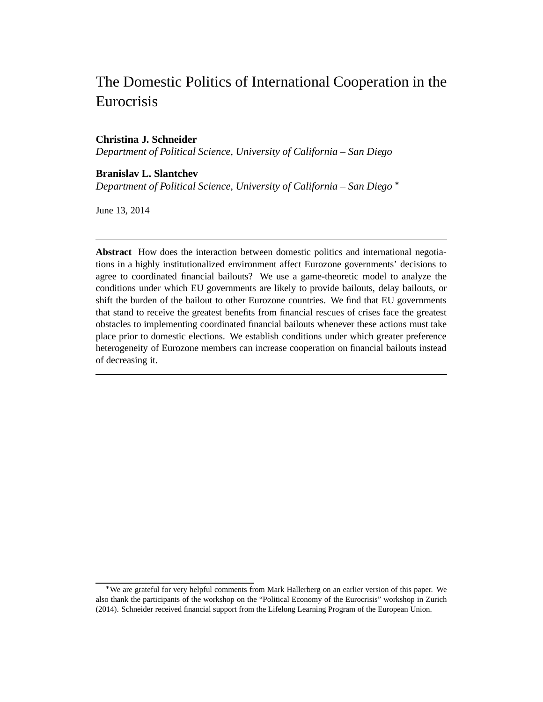# The Domestic Politics of International Cooperation in the Eurocrisis

# **Christina J. Schneider**

*Department of Political Science, University of California – San Diego*

# **Branislav L. Slantchev**

*Department of Political Science, University of California – San Diego*

June 13, 2014

**Abstract** How does the interaction between domestic politics and international negotiations in a highly institutionalized environment affect Eurozone governments' decisions to agree to coordinated financial bailouts? We use a game-theoretic model to analyze the conditions under which EU governments are likely to provide bailouts, delay bailouts, or shift the burden of the bailout to other Eurozone countries. We find that EU governments that stand to receive the greatest benefits from financial rescues of crises face the greatest obstacles to implementing coordinated financial bailouts whenever these actions must take place prior to domestic elections. We establish conditions under which greater preference heterogeneity of Eurozone members can increase cooperation on financial bailouts instead of decreasing it.

We are grateful for very helpful comments from Mark Hallerberg on an earlier version of this paper. We also thank the participants of the workshop on the "Political Economy of the Eurocrisis" workshop in Zurich (2014). Schneider received financial support from the Lifelong Learning Program of the European Union.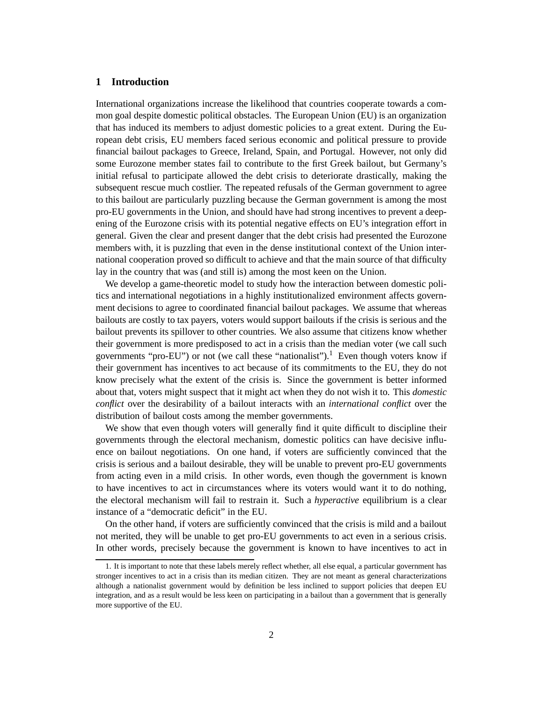## **1 Introduction**

International organizations increase the likelihood that countries cooperate towards a common goal despite domestic political obstacles. The European Union (EU) is an organization that has induced its members to adjust domestic policies to a great extent. During the European debt crisis, EU members faced serious economic and political pressure to provide financial bailout packages to Greece, Ireland, Spain, and Portugal. However, not only did some Eurozone member states fail to contribute to the first Greek bailout, but Germany's initial refusal to participate allowed the debt crisis to deteriorate drastically, making the subsequent rescue much costlier. The repeated refusals of the German government to agree to this bailout are particularly puzzling because the German government is among the most pro-EU governments in the Union, and should have had strong incentives to prevent a deepening of the Eurozone crisis with its potential negative effects on EU's integration effort in general. Given the clear and present danger that the debt crisis had presented the Eurozone members with, it is puzzling that even in the dense institutional context of the Union international cooperation proved so difficult to achieve and that the main source of that difficulty lay in the country that was (and still is) among the most keen on the Union.

We develop a game-theoretic model to study how the interaction between domestic politics and international negotiations in a highly institutionalized environment affects government decisions to agree to coordinated financial bailout packages. We assume that whereas bailouts are costly to tax payers, voters would support bailouts if the crisis is serious and the bailout prevents its spillover to other countries. We also assume that citizens know whether their government is more predisposed to act in a crisis than the median voter (we call such governments "pro-EU") or not (we call these "nationalist").<sup>1</sup> Even though voters know if their government has incentives to act because of its commitments to the EU, they do not know precisely what the extent of the crisis is. Since the government is better informed about that, voters might suspect that it might act when they do not wish it to. This *domestic conflict* over the desirability of a bailout interacts with an *international conflict* over the distribution of bailout costs among the member governments.

We show that even though voters will generally find it quite difficult to discipline their governments through the electoral mechanism, domestic politics can have decisive influence on bailout negotiations. On one hand, if voters are sufficiently convinced that the crisis is serious and a bailout desirable, they will be unable to prevent pro-EU governments from acting even in a mild crisis. In other words, even though the government is known to have incentives to act in circumstances where its voters would want it to do nothing, the electoral mechanism will fail to restrain it. Such a *hyperactive* equilibrium is a clear instance of a "democratic deficit" in the EU.

On the other hand, if voters are sufficiently convinced that the crisis is mild and a bailout not merited, they will be unable to get pro-EU governments to act even in a serious crisis. In other words, precisely because the government is known to have incentives to act in

<sup>1.</sup> It is important to note that these labels merely reflect whether, all else equal, a particular government has stronger incentives to act in a crisis than its median citizen. They are not meant as general characterizations although a nationalist government would by definition be less inclined to support policies that deepen EU integration, and as a result would be less keen on participating in a bailout than a government that is generally more supportive of the EU.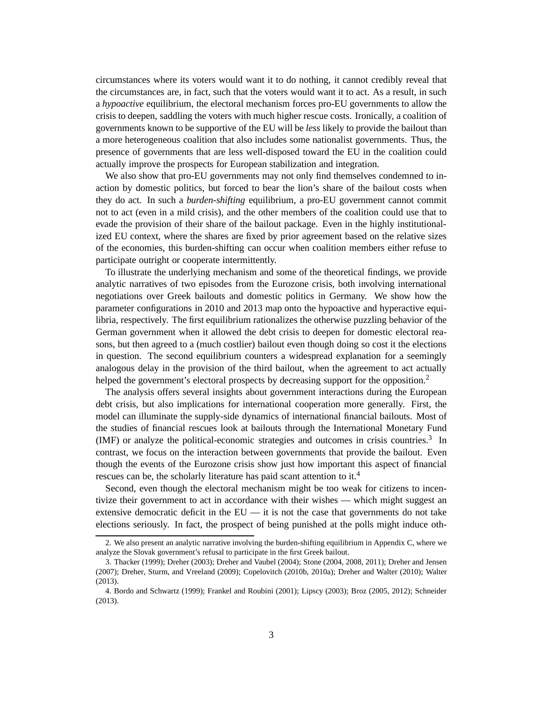circumstances where its voters would want it to do nothing, it cannot credibly reveal that the circumstances are, in fact, such that the voters would want it to act. As a result, in such a *hypoactive* equilibrium, the electoral mechanism forces pro-EU governments to allow the crisis to deepen, saddling the voters with much higher rescue costs. Ironically, a coalition of governments known to be supportive of the EU will be *less* likely to provide the bailout than a more heterogeneous coalition that also includes some nationalist governments. Thus, the presence of governments that are less well-disposed toward the EU in the coalition could actually improve the prospects for European stabilization and integration.

We also show that pro-EU governments may not only find themselves condemned to inaction by domestic politics, but forced to bear the lion's share of the bailout costs when they do act. In such a *burden-shifting* equilibrium, a pro-EU government cannot commit not to act (even in a mild crisis), and the other members of the coalition could use that to evade the provision of their share of the bailout package. Even in the highly institutionalized EU context, where the shares are fixed by prior agreement based on the relative sizes of the economies, this burden-shifting can occur when coalition members either refuse to participate outright or cooperate intermittently.

To illustrate the underlying mechanism and some of the theoretical findings, we provide analytic narratives of two episodes from the Eurozone crisis, both involving international negotiations over Greek bailouts and domestic politics in Germany. We show how the parameter configurations in 2010 and 2013 map onto the hypoactive and hyperactive equilibria, respectively. The first equilibrium rationalizes the otherwise puzzling behavior of the German government when it allowed the debt crisis to deepen for domestic electoral reasons, but then agreed to a (much costlier) bailout even though doing so cost it the elections in question. The second equilibrium counters a widespread explanation for a seemingly analogous delay in the provision of the third bailout, when the agreement to act actually helped the government's electoral prospects by decreasing support for the opposition.<sup>2</sup>

The analysis offers several insights about government interactions during the European debt crisis, but also implications for international cooperation more generally. First, the model can illuminate the supply-side dynamics of international financial bailouts. Most of the studies of financial rescues look at bailouts through the International Monetary Fund (IMF) or analyze the political-economic strategies and outcomes in crisis countries.<sup>3</sup> In contrast, we focus on the interaction between governments that provide the bailout. Even though the events of the Eurozone crisis show just how important this aspect of financial rescues can be, the scholarly literature has paid scant attention to it.<sup>4</sup>

Second, even though the electoral mechanism might be too weak for citizens to incentivize their government to act in accordance with their wishes — which might suggest an extensive democratic deficit in the  $EU - it$  it is not the case that governments do not take elections seriously. In fact, the prospect of being punished at the polls might induce oth-

<sup>2.</sup> We also present an analytic narrative involving the burden-shifting equilibrium in Appendix C, where we analyze the Slovak government's refusal to participate in the first Greek bailout.

<sup>3.</sup> Thacker (1999); Dreher (2003); Dreher and Vaubel (2004); Stone (2004, 2008, 2011); Dreher and Jensen (2007); Dreher, Sturm, and Vreeland (2009); Copelovitch (2010b, 2010a); Dreher and Walter (2010); Walter (2013).

<sup>4.</sup> Bordo and Schwartz (1999); Frankel and Roubini (2001); Lipscy (2003); Broz (2005, 2012); Schneider (2013).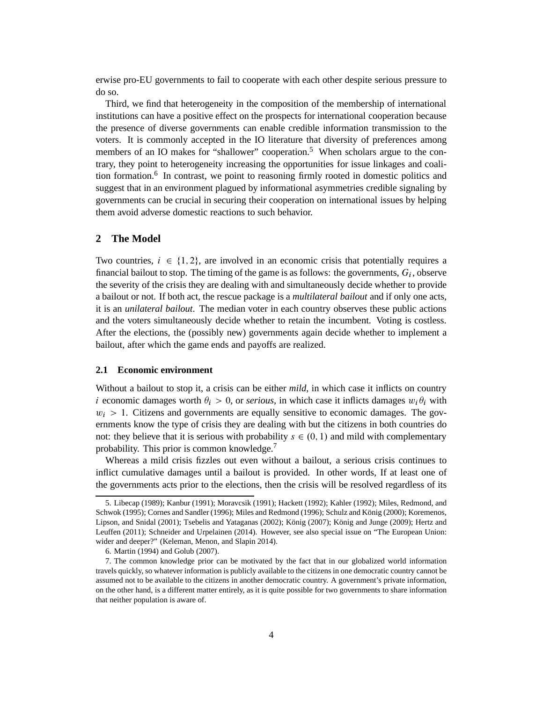erwise pro-EU governments to fail to cooperate with each other despite serious pressure to do so.

Third, we find that heterogeneity in the composition of the membership of international institutions can have a positive effect on the prospects for international cooperation because the presence of diverse governments can enable credible information transmission to the voters. It is commonly accepted in the IO literature that diversity of preferences among members of an IO makes for "shallower" cooperation.<sup>5</sup> When scholars argue to the contrary, they point to heterogeneity increasing the opportunities for issue linkages and coalition formation.<sup>6</sup> In contrast, we point to reasoning firmly rooted in domestic politics and suggest that in an environment plagued by informational asymmetries credible signaling by governments can be crucial in securing their cooperation on international issues by helping them avoid adverse domestic reactions to such behavior.

# **2 The Model**

Two countries,  $i \in \{1, 2\}$ , are involved in an economic crisis that potentially requires a financial bailout to stop. The timing of the game is as follows: the governments,  $G_i$ , observe the severity of the crisis they are dealing with and simultaneously decide whether to provide a bailout or not. If both act, the rescue package is a *multilateral bailout* and if only one acts, it is an *unilateral bailout*. The median voter in each country observes these public actions and the voters simultaneously decide whether to retain the incumbent. Voting is costless. After the elections, the (possibly new) governments again decide whether to implement a bailout, after which the game ends and payoffs are realized.

## **2.1 Economic environment**

Without a bailout to stop it, a crisis can be either *mild*, in which case it inflicts on country i economic damages worth  $\theta_i > 0$ , or *serious*, in which case it inflicts damages  $w_i \theta_i$  with  $w_i > 1$ . Citizens and governments are equally sensitive to economic damages. The governments know the type of crisis they are dealing with but the citizens in both countries do not: they believe that it is serious with probability  $s \in (0, 1)$  and mild with complementary probability. This prior is common knowledge.<sup>7</sup>

Whereas a mild crisis fizzles out even without a bailout, a serious crisis continues to inflict cumulative damages until a bailout is provided. In other words, If at least one of the governments acts prior to the elections, then the crisis will be resolved regardless of its

<sup>5.</sup> Libecap (1989); Kanbur (1991); Moravcsik (1991); Hackett (1992); Kahler (1992); Miles, Redmond, and Schwok (1995); Cornes and Sandler (1996); Miles and Redmond (1996); Schulz and König (2000); Koremenos, Lipson, and Snidal (2001); Tsebelis and Yataganas (2002); König (2007); König and Junge (2009); Hertz and Leuffen (2011); Schneider and Urpelainen (2014). However, see also special issue on "The European Union: wider and deeper?" (Keleman, Menon, and Slapin 2014).

<sup>6.</sup> Martin (1994) and Golub (2007).

<sup>7.</sup> The common knowledge prior can be motivated by the fact that in our globalized world information travels quickly, so whatever information is publicly available to the citizens in one democratic country cannot be assumed not to be available to the citizens in another democratic country. A government's private information, on the other hand, is a different matter entirely, as it is quite possible for two governments to share information that neither population is aware of.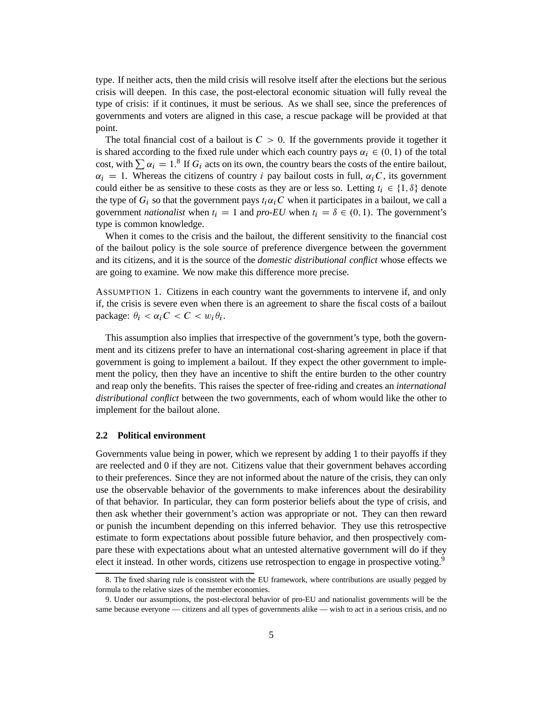type. If neither acts, then the mild crisis will resolve itself after the elections but the serious crisis will deepen. In this case, the post-electoral economic situation will fully reveal the type of crisis: if it continues, it must be serious. As we shall see, since the preferences of governments and voters are aligned in this case, a rescue package will be provided at that point.

The total financial cost of a bailout is  $C > 0$ . If the governments provide it together it is shared according to the fixed rule under which each country pays  $\alpha_i \in (0, 1)$  of the total cost, with  $\sum \alpha_i = 1$ .<sup>8</sup> If  $G_i$  acts on its own, the country bears the costs of the entire bailout,  $\alpha_i = 1$ . Whereas the citizens of country i pay bailout costs in full,  $\alpha_i C$ , its government could either be as sensitive to these costs as they are or less so. Letting  $t_i \in \{1, \delta\}$  denote the type of  $G_i$  so that the government pays  $t_i \alpha_i C$  when it participates in a bailout, we call a government *nationalist* when  $t_i = 1$  and *pro-EU* when  $t_i = \delta \in (0, 1)$ . The government's type is common knowledge.

When it comes to the crisis and the bailout, the different sensitivity to the financial cost of the bailout policy is the sole source of preference divergence between the government and its citizens, and it is the source of the *domestic distributional conflict* whose effects we are going to examine. We now make this difference more precise.

ASSUMPTION 1. Citizens in each country want the governments to intervene if, and only if, the crisis is severe even when there is an agreement to share the fiscal costs of a bailout package:  $\theta_i < \alpha_i C < C < w_i \theta_i$ .

This assumption also implies that irrespective of the government's type, both the government and its citizens prefer to have an international cost-sharing agreement in place if that government is going to implement a bailout. If they expect the other government to implement the policy, then they have an incentive to shift the entire burden to the other country and reap only the benefits. This raises the specter of free-riding and creates an *international distributional conflict* between the two governments, each of whom would like the other to implement for the bailout alone.

## **2.2 Political environment**

Governments value being in power, which we represent by adding 1 to their payoffs if they are reelected and 0 if they are not. Citizens value that their government behaves according to their preferences. Since they are not informed about the nature of the crisis, they can only use the observable behavior of the governments to make inferences about the desirability of that behavior. In particular, they can form posterior beliefs about the type of crisis, and then ask whether their government's action was appropriate or not. They can then reward or punish the incumbent depending on this inferred behavior. They use this retrospective estimate to form expectations about possible future behavior, and then prospectively compare these with expectations about what an untested alternative government will do if they elect it instead. In other words, citizens use retrospection to engage in prospective voting.<sup>9</sup>

<sup>8.</sup> The fixed sharing rule is consistent with the EU framework, where contributions are usually pegged by formula to the relative sizes of the member economies.

<sup>9.</sup> Under our assumptions, the post-electoral behavior of pro-EU and nationalist governments will be the same because everyone — citizens and all types of governments alike — wish to act in a serious crisis, and no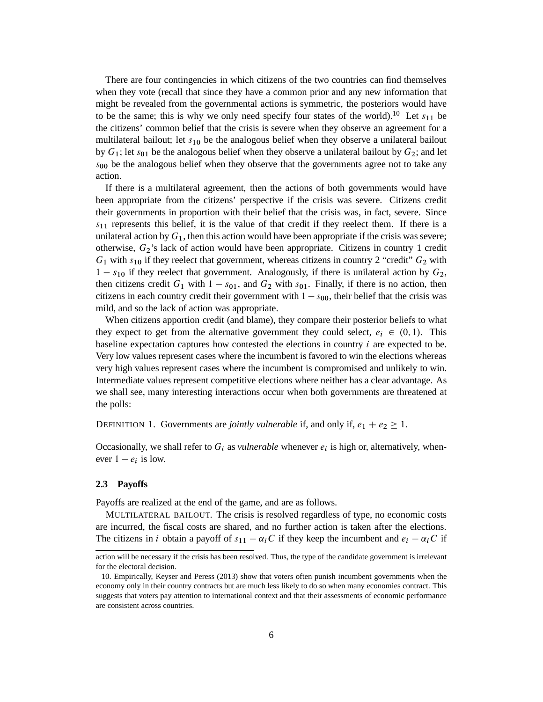There are four contingencies in which citizens of the two countries can find themselves when they vote (recall that since they have a common prior and any new information that might be revealed from the governmental actions is symmetric, the posteriors would have to be the same; this is why we only need specify four states of the world).<sup>10</sup> Let  $s_{11}$  be the citizens' common belief that the crisis is severe when they observe an agreement for a multilateral bailout; let  $s_{10}$  be the analogous belief when they observe a unilateral bailout by  $G_1$ ; let  $s_{01}$  be the analogous belief when they observe a unilateral bailout by  $G_2$ ; and let  $s_{00}$  be the analogous belief when they observe that the governments agree not to take any action.

If there is a multilateral agreement, then the actions of both governments would have been appropriate from the citizens' perspective if the crisis was severe. Citizens credit their governments in proportion with their belief that the crisis was, in fact, severe. Since  $s_{11}$  represents this belief, it is the value of that credit if they reelect them. If there is a unilateral action by  $G_1$ , then this action would have been appropriate if the crisis was severe; otherwise, G2's lack of action would have been appropriate. Citizens in country 1 credit  $G_1$  with  $s_{10}$  if they reelect that government, whereas citizens in country 2 "credit"  $G_2$  with  $1 - s_{10}$  if they reelect that government. Analogously, if there is unilateral action by  $G_2$ , then citizens credit  $G_1$  with  $1 - s_{01}$ , and  $G_2$  with  $s_{01}$ . Finally, if there is no action, then citizens in each country credit their government with  $1 - s_{00}$ , their belief that the crisis was mild, and so the lack of action was appropriate.

When citizens apportion credit (and blame), they compare their posterior beliefs to what they expect to get from the alternative government they could select,  $e_i \in (0, 1)$ . This baseline expectation captures how contested the elections in country  $i$  are expected to be. Very low values represent cases where the incumbent is favored to win the elections whereas very high values represent cases where the incumbent is compromised and unlikely to win. Intermediate values represent competitive elections where neither has a clear advantage. As we shall see, many interesting interactions occur when both governments are threatened at the polls:

DEFINITION 1. Governments are *jointly vulnerable* if, and only if,  $e_1 + e_2 \ge 1$ .

Occasionally, we shall refer to  $G_i$  as *vulnerable* whenever  $e_i$  is high or, alternatively, whenever  $1 - e_i$  is low.

#### **2.3 Payoffs**

Payoffs are realized at the end of the game, and are as follows.

MULTILATERAL BAILOUT. The crisis is resolved regardless of type, no economic costs are incurred, the fiscal costs are shared, and no further action is taken after the elections. The citizens in i obtain a payoff of  $s_{11} - \alpha_i C$  if they keep the incumbent and  $e_i - \alpha_i C$  if

action will be necessary if the crisis has been resolved. Thus, the type of the candidate government is irrelevant for the electoral decision.

<sup>10.</sup> Empirically, Keyser and Peress (2013) show that voters often punish incumbent governments when the economy only in their country contracts but are much less likely to do so when many economies contract. This suggests that voters pay attention to international context and that their assessments of economic performance are consistent across countries.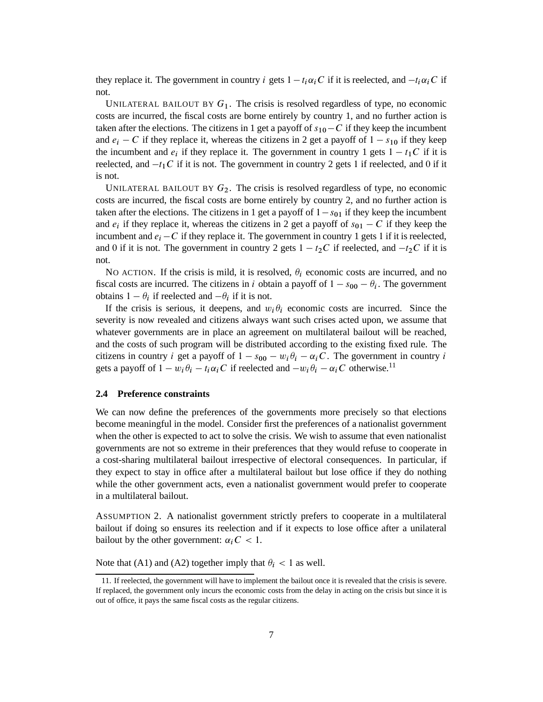they replace it. The government in country i gets  $1 - t_i \alpha_i C$  if it is reelected, and  $-t_i \alpha_i C$  if not.

UNILATERAL BAILOUT BY  $G_1$ . The crisis is resolved regardless of type, no economic costs are incurred, the fiscal costs are borne entirely by country 1, and no further action is taken after the elections. The citizens in 1 get a payoff of  $s_{10}-C$  if they keep the incumbent and  $e_i - C$  if they replace it, whereas the citizens in 2 get a payoff of  $1 - s_{10}$  if they keep the incumbent and  $e_i$  if they replace it. The government in country 1 gets  $1 - t_1C$  if it is reelected, and  $-t_1C$  if it is not. The government in country 2 gets 1 if reelected, and 0 if it is not.

UNILATERAL BAILOUT BY  $G_2$ . The crisis is resolved regardless of type, no economic costs are incurred, the fiscal costs are borne entirely by country 2, and no further action is taken after the elections. The citizens in 1 get a payoff of  $1-s_{01}$  if they keep the incumbent and  $e_i$  if they replace it, whereas the citizens in 2 get a payoff of  $s_{01} - C$  if they keep the incumbent and  $e_i - C$  if they replace it. The government in country 1 gets 1 if it is reelected, and 0 if it is not. The government in country 2 gets  $1 - t_2C$  if reelected, and  $-t_2C$  if it is not.

NO ACTION. If the crisis is mild, it is resolved,  $\theta_i$  economic costs are incurred, and no fiscal costs are incurred. The citizens in i obtain a payoff of  $1 - s_{00} - \theta_i$ . The government obtains  $1 - \theta_i$  if reelected and  $-\theta_i$  if it is not.

If the crisis is serious, it deepens, and  $w_i \theta_i$  economic costs are incurred. Since the severity is now revealed and citizens always want such crises acted upon, we assume that whatever governments are in place an agreement on multilateral bailout will be reached, and the costs of such program will be distributed according to the existing fixed rule. The citizens in country *i* get a payoff of  $1 - s_{00} - w_i \theta_i - \alpha_i C$ . The government in country *i* gets a payoff of  $1 - w_i \theta_i - t_i \alpha_i C$  if reelected and  $-w_i \theta_i - \alpha_i C$  otherwise.<sup>11</sup>

## **2.4 Preference constraints**

We can now define the preferences of the governments more precisely so that elections become meaningful in the model. Consider first the preferences of a nationalist government when the other is expected to act to solve the crisis. We wish to assume that even nationalist governments are not so extreme in their preferences that they would refuse to cooperate in a cost-sharing multilateral bailout irrespective of electoral consequences. In particular, if they expect to stay in office after a multilateral bailout but lose office if they do nothing while the other government acts, even a nationalist government would prefer to cooperate in a multilateral bailout.

ASSUMPTION 2. A nationalist government strictly prefers to cooperate in a multilateral bailout if doing so ensures its reelection and if it expects to lose office after a unilateral bailout by the other government:  $\alpha_i C < 1$ .

Note that (A1) and (A2) together imply that  $\theta_i$  < 1 as well.

<sup>11.</sup> If reelected, the government will have to implement the bailout once it is revealed that the crisis is severe. If replaced, the government only incurs the economic costs from the delay in acting on the crisis but since it is out of office, it pays the same fiscal costs as the regular citizens.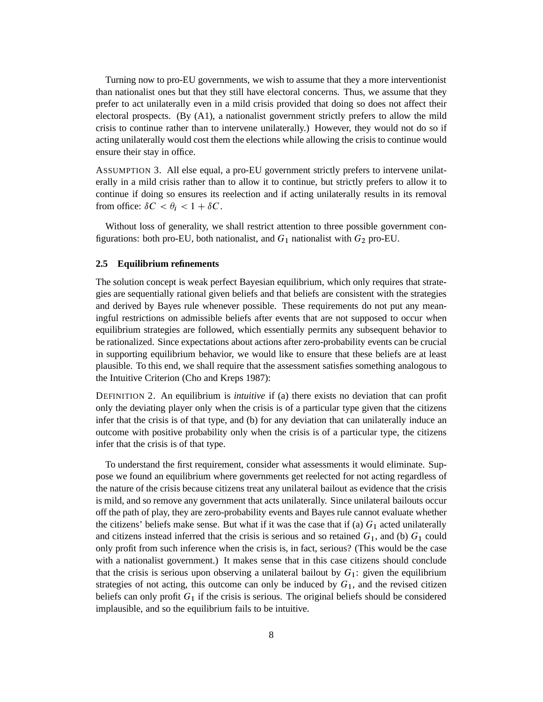Turning now to pro-EU governments, we wish to assume that they a more interventionist than nationalist ones but that they still have electoral concerns. Thus, we assume that they prefer to act unilaterally even in a mild crisis provided that doing so does not affect their electoral prospects. (By (A1), a nationalist government strictly prefers to allow the mild crisis to continue rather than to intervene unilaterally.) However, they would not do so if acting unilaterally would cost them the elections while allowing the crisis to continue would ensure their stay in office.

ASSUMPTION 3. All else equal, a pro-EU government strictly prefers to intervene unilaterally in a mild crisis rather than to allow it to continue, but strictly prefers to allow it to continue if doing so ensures its reelection and if acting unilaterally results in its removal from office:  $\delta C < \theta_i < 1 + \delta C$ .

Without loss of generality, we shall restrict attention to three possible government configurations: both pro-EU, both nationalist, and  $G_1$  nationalist with  $G_2$  pro-EU.

## **2.5 Equilibrium refinements**

The solution concept is weak perfect Bayesian equilibrium, which only requires that strategies are sequentially rational given beliefs and that beliefs are consistent with the strategies and derived by Bayes rule whenever possible. These requirements do not put any meaningful restrictions on admissible beliefs after events that are not supposed to occur when equilibrium strategies are followed, which essentially permits any subsequent behavior to be rationalized. Since expectations about actions after zero-probability events can be crucial in supporting equilibrium behavior, we would like to ensure that these beliefs are at least plausible. To this end, we shall require that the assessment satisfies something analogous to the Intuitive Criterion (Cho and Kreps 1987):

DEFINITION 2. An equilibrium is *intuitive* if (a) there exists no deviation that can profit only the deviating player only when the crisis is of a particular type given that the citizens infer that the crisis is of that type, and (b) for any deviation that can unilaterally induce an outcome with positive probability only when the crisis is of a particular type, the citizens infer that the crisis is of that type.

To understand the first requirement, consider what assessments it would eliminate. Suppose we found an equilibrium where governments get reelected for not acting regardless of the nature of the crisis because citizens treat any unilateral bailout as evidence that the crisis is mild, and so remove any government that acts unilaterally. Since unilateral bailouts occur off the path of play, they are zero-probability events and Bayes rule cannot evaluate whether the citizens' beliefs make sense. But what if it was the case that if (a)  $G_1$  acted unilaterally and citizens instead inferred that the crisis is serious and so retained  $G_1$ , and (b)  $G_1$  could only profit from such inference when the crisis is, in fact, serious? (This would be the case with a nationalist government.) It makes sense that in this case citizens should conclude that the crisis is serious upon observing a unilateral bailout by  $G_1$ : given the equilibrium strategies of not acting, this outcome can only be induced by  $G_1$ , and the revised citizen beliefs can only profit  $G_1$  if the crisis is serious. The original beliefs should be considered implausible, and so the equilibrium fails to be intuitive.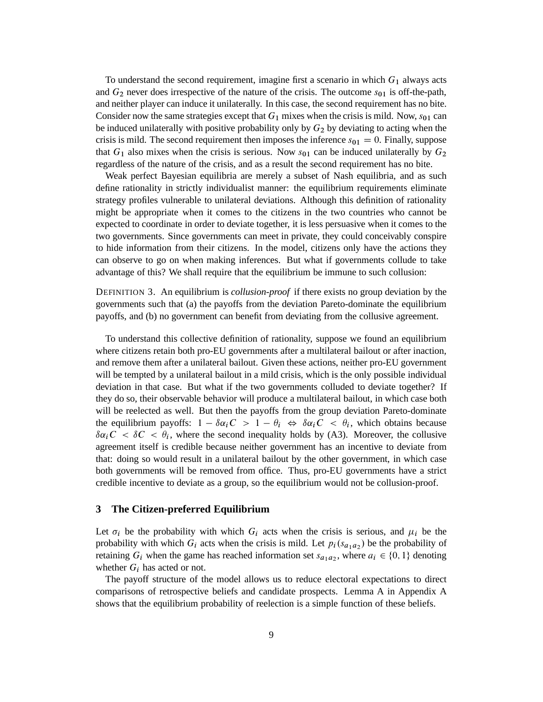To understand the second requirement, imagine first a scenario in which  $G_1$  always acts and  $G_2$  never does irrespective of the nature of the crisis. The outcome  $s_{01}$  is off-the-path, and neither player can induce it unilaterally. In this case, the second requirement has no bite. Consider now the same strategies except that  $G_1$  mixes when the crisis is mild. Now,  $s_{01}$  can be induced unilaterally with positive probability only by  $G<sub>2</sub>$  by deviating to acting when the crisis is mild. The second requirement then imposes the inference  $s_{01} = 0$ . Finally, suppose that  $G_1$  also mixes when the crisis is serious. Now  $s_{01}$  can be induced unilaterally by  $G_2$ regardless of the nature of the crisis, and as a result the second requirement has no bite.

Weak perfect Bayesian equilibria are merely a subset of Nash equilibria, and as such define rationality in strictly individualist manner: the equilibrium requirements eliminate strategy profiles vulnerable to unilateral deviations. Although this definition of rationality might be appropriate when it comes to the citizens in the two countries who cannot be expected to coordinate in order to deviate together, it is less persuasive when it comes to the two governments. Since governments can meet in private, they could conceivably conspire to hide information from their citizens. In the model, citizens only have the actions they can observe to go on when making inferences. But what if governments collude to take advantage of this? We shall require that the equilibrium be immune to such collusion:

DEFINITION 3. An equilibrium is *collusion-proof* if there exists no group deviation by the governments such that (a) the payoffs from the deviation Pareto-dominate the equilibrium payoffs, and (b) no government can benefit from deviating from the collusive agreement.

To understand this collective definition of rationality, suppose we found an equilibrium where citizens retain both pro-EU governments after a multilateral bailout or after inaction, and remove them after a unilateral bailout. Given these actions, neither pro-EU government will be tempted by a unilateral bailout in a mild crisis, which is the only possible individual deviation in that case. But what if the two governments colluded to deviate together? If they do so, their observable behavior will produce a multilateral bailout, in which case both will be reelected as well. But then the payoffs from the group deviation Pareto-dominate the equilibrium payoffs:  $1 - \delta \alpha_i C > 1 - \theta_i \Leftrightarrow \delta \alpha_i C < \theta_i$ , which obtains because  $\delta \alpha_i C < \delta C < \theta_i$ , where the second inequality holds by (A3). Moreover, the collusive agreement itself is credible because neither government has an incentive to deviate from that: doing so would result in a unilateral bailout by the other government, in which case both governments will be removed from office. Thus, pro-EU governments have a strict credible incentive to deviate as a group, so the equilibrium would not be collusion-proof.

## **3 The Citizen-preferred Equilibrium**

Let  $\sigma_i$  be the probability with which  $G_i$  acts when the crisis is serious, and  $\mu_i$  be the probability with which  $G_i$  acts when the crisis is mild. Let  $p_i(s_{a_1a_2})$  be the probability of retaining  $G_i$  when the game has reached information set  $s_{a_1a_2}$ , where  $a_i \in \{0, 1\}$  denoting whether  $G_i$  has acted or not.

The payoff structure of the model allows us to reduce electoral expectations to direct comparisons of retrospective beliefs and candidate prospects. Lemma A in Appendix A shows that the equilibrium probability of reelection is a simple function of these beliefs.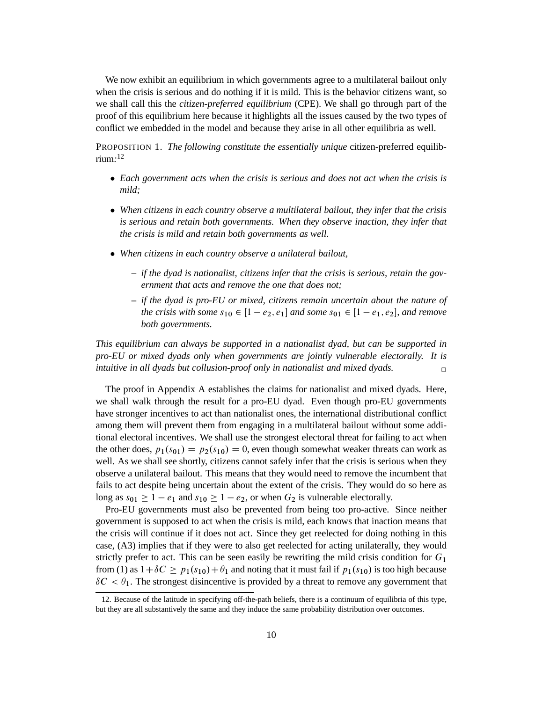We now exhibit an equilibrium in which governments agree to a multilateral bailout only when the crisis is serious and do nothing if it is mild. This is the behavior citizens want, so we shall call this the *citizen-preferred equilibrium* (CPE). We shall go through part of the proof of this equilibrium here because it highlights all the issues caused by the two types of conflict we embedded in the model and because they arise in all other equilibria as well.

PROPOSITION 1. *The following constitute the essentially unique* citizen-preferred equilibrium*:* 12

- *Each government acts when the crisis is serious and does not act when the crisis is mild;*
- *When citizens in each country observe a multilateral bailout, they infer that the crisis is serious and retain both governments. When they observe inaction, they infer that the crisis is mild and retain both governments as well.*
- *When citizens in each country observe a unilateral bailout,*
	- **–** *if the dyad is nationalist, citizens infer that the crisis is serious, retain the government that acts and remove the one that does not;*
	- **–** *if the dyad is pro-EU or mixed, citizens remain uncertain about the nature of the crisis with some*  $s_{10} \in [1 - e_2, e_1]$  *and some*  $s_{01} \in [1 - e_1, e_2]$ *, and remove both governments.*

*This equilibrium can always be supported in a nationalist dyad, but can be supported in pro-EU or mixed dyads only when governments are jointly vulnerable electorally. It is intuitive in all dyads but collusion-proof only in nationalist and mixed dyads.* ✷

The proof in Appendix A establishes the claims for nationalist and mixed dyads. Here, we shall walk through the result for a pro-EU dyad. Even though pro-EU governments have stronger incentives to act than nationalist ones, the international distributional conflict among them will prevent them from engaging in a multilateral bailout without some additional electoral incentives. We shall use the strongest electoral threat for failing to act when the other does,  $p_1(s_{01}) = p_2(s_{10}) = 0$ , even though somewhat weaker threats can work as well. As we shall see shortly, citizens cannot safely infer that the crisis is serious when they observe a unilateral bailout. This means that they would need to remove the incumbent that fails to act despite being uncertain about the extent of the crisis. They would do so here as long as  $s_{01} \ge 1 - e_1$  and  $s_{10} \ge 1 - e_2$ , or when  $G_2$  is vulnerable electorally.

Pro-EU governments must also be prevented from being too pro-active. Since neither government is supposed to act when the crisis is mild, each knows that inaction means that the crisis will continue if it does not act. Since they get reelected for doing nothing in this case, (A3) implies that if they were to also get reelected for acting unilaterally, they would strictly prefer to act. This can be seen easily be rewriting the mild crisis condition for  $G_1$ from (1) as  $1+\delta C \geq p_1(s_{10})+\theta_1$  and noting that it must fail if  $p_1(s_{10})$  is too high because  $\delta C < \theta_1$ . The strongest disincentive is provided by a threat to remove any government that

<sup>12.</sup> Because of the latitude in specifying off-the-path beliefs, there is a continuum of equilibria of this type, but they are all substantively the same and they induce the same probability distribution over outcomes.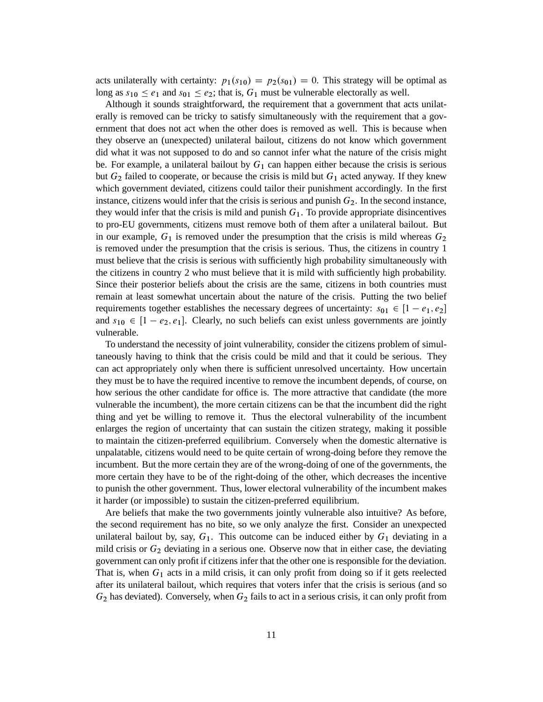acts unilaterally with certainty:  $p_1(s_{10}) = p_2(s_{01}) = 0$ . This strategy will be optimal as long as  $s_{10} \le e_1$  and  $s_{01} \le e_2$ ; that is,  $G_1$  must be vulnerable electorally as well.

Although it sounds straightforward, the requirement that a government that acts unilaterally is removed can be tricky to satisfy simultaneously with the requirement that a government that does not act when the other does is removed as well. This is because when they observe an (unexpected) unilateral bailout, citizens do not know which government did what it was not supposed to do and so cannot infer what the nature of the crisis might be. For example, a unilateral bailout by  $G_1$  can happen either because the crisis is serious but  $G_2$  failed to cooperate, or because the crisis is mild but  $G_1$  acted anyway. If they knew which government deviated, citizens could tailor their punishment accordingly. In the first instance, citizens would infer that the crisis is serious and punish  $G_2$ . In the second instance, they would infer that the crisis is mild and punish  $G_1$ . To provide appropriate disincentives to pro-EU governments, citizens must remove both of them after a unilateral bailout. But in our example,  $G_1$  is removed under the presumption that the crisis is mild whereas  $G_2$ is removed under the presumption that the crisis is serious. Thus, the citizens in country 1 must believe that the crisis is serious with sufficiently high probability simultaneously with the citizens in country 2 who must believe that it is mild with sufficiently high probability. Since their posterior beliefs about the crisis are the same, citizens in both countries must remain at least somewhat uncertain about the nature of the crisis. Putting the two belief requirements together establishes the necessary degrees of uncertainty:  $s_{01} \in [1 - e_1, e_2]$ and  $s_{10} \in [1 - e_2, e_1]$ . Clearly, no such beliefs can exist unless governments are jointly vulnerable.

To understand the necessity of joint vulnerability, consider the citizens problem of simultaneously having to think that the crisis could be mild and that it could be serious. They can act appropriately only when there is sufficient unresolved uncertainty. How uncertain they must be to have the required incentive to remove the incumbent depends, of course, on how serious the other candidate for office is. The more attractive that candidate (the more vulnerable the incumbent), the more certain citizens can be that the incumbent did the right thing and yet be willing to remove it. Thus the electoral vulnerability of the incumbent enlarges the region of uncertainty that can sustain the citizen strategy, making it possible to maintain the citizen-preferred equilibrium. Conversely when the domestic alternative is unpalatable, citizens would need to be quite certain of wrong-doing before they remove the incumbent. But the more certain they are of the wrong-doing of one of the governments, the more certain they have to be of the right-doing of the other, which decreases the incentive to punish the other government. Thus, lower electoral vulnerability of the incumbent makes it harder (or impossible) to sustain the citizen-preferred equilibrium.

Are beliefs that make the two governments jointly vulnerable also intuitive? As before, the second requirement has no bite, so we only analyze the first. Consider an unexpected unilateral bailout by, say,  $G_1$ . This outcome can be induced either by  $G_1$  deviating in a mild crisis or  $G_2$  deviating in a serious one. Observe now that in either case, the deviating government can only profit if citizens infer that the other one is responsible for the deviation. That is, when  $G_1$  acts in a mild crisis, it can only profit from doing so if it gets reelected after its unilateral bailout, which requires that voters infer that the crisis is serious (and so  $G_2$  has deviated). Conversely, when  $G_2$  fails to act in a serious crisis, it can only profit from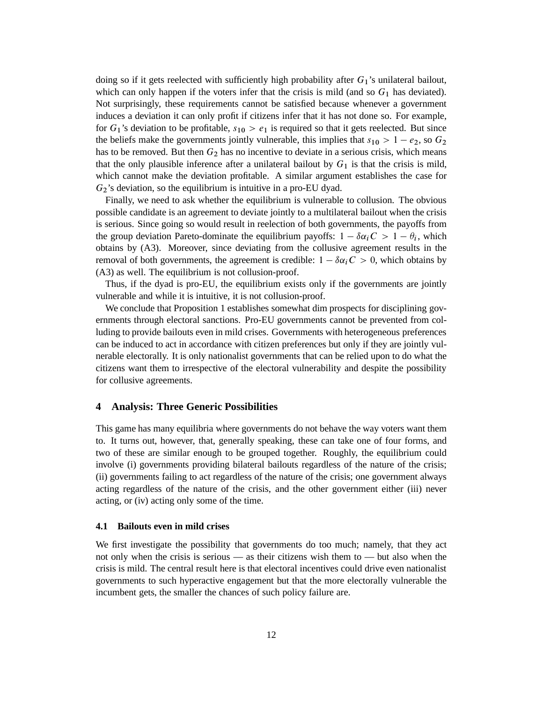doing so if it gets reelected with sufficiently high probability after  $G_1$ 's unilateral bailout, which can only happen if the voters infer that the crisis is mild (and so  $G_1$  has deviated). Not surprisingly, these requirements cannot be satisfied because whenever a government induces a deviation it can only profit if citizens infer that it has not done so. For example, for  $G_1$ 's deviation to be profitable,  $s_{10} > e_1$  is required so that it gets reelected. But since the beliefs make the governments jointly vulnerable, this implies that  $s_{10} > 1 - e_2$ , so  $G_2$ has to be removed. But then  $G_2$  has no incentive to deviate in a serious crisis, which means that the only plausible inference after a unilateral bailout by  $G_1$  is that the crisis is mild, which cannot make the deviation profitable. A similar argument establishes the case for  $G_2$ 's deviation, so the equilibrium is intuitive in a pro-EU dyad.

Finally, we need to ask whether the equilibrium is vulnerable to collusion. The obvious possible candidate is an agreement to deviate jointly to a multilateral bailout when the crisis is serious. Since going so would result in reelection of both governments, the payoffs from the group deviation Pareto-dominate the equilibrium payoffs:  $1 - \delta \alpha_i C > 1 - \theta_i$ , which obtains by (A3). Moreover, since deviating from the collusive agreement results in the removal of both governments, the agreement is credible:  $1 - \delta \alpha_i C > 0$ , which obtains by (A3) as well. The equilibrium is not collusion-proof.

Thus, if the dyad is pro-EU, the equilibrium exists only if the governments are jointly vulnerable and while it is intuitive, it is not collusion-proof.

We conclude that Proposition 1 establishes somewhat dim prospects for disciplining governments through electoral sanctions. Pro-EU governments cannot be prevented from colluding to provide bailouts even in mild crises. Governments with heterogeneous preferences can be induced to act in accordance with citizen preferences but only if they are jointly vulnerable electorally. It is only nationalist governments that can be relied upon to do what the citizens want them to irrespective of the electoral vulnerability and despite the possibility for collusive agreements.

## **4 Analysis: Three Generic Possibilities**

This game has many equilibria where governments do not behave the way voters want them to. It turns out, however, that, generally speaking, these can take one of four forms, and two of these are similar enough to be grouped together. Roughly, the equilibrium could involve (i) governments providing bilateral bailouts regardless of the nature of the crisis; (ii) governments failing to act regardless of the nature of the crisis; one government always acting regardless of the nature of the crisis, and the other government either (iii) never acting, or (iv) acting only some of the time.

#### **4.1 Bailouts even in mild crises**

We first investigate the possibility that governments do too much; namely, that they act not only when the crisis is serious — as their citizens wish them to — but also when the crisis is mild. The central result here is that electoral incentives could drive even nationalist governments to such hyperactive engagement but that the more electorally vulnerable the incumbent gets, the smaller the chances of such policy failure are.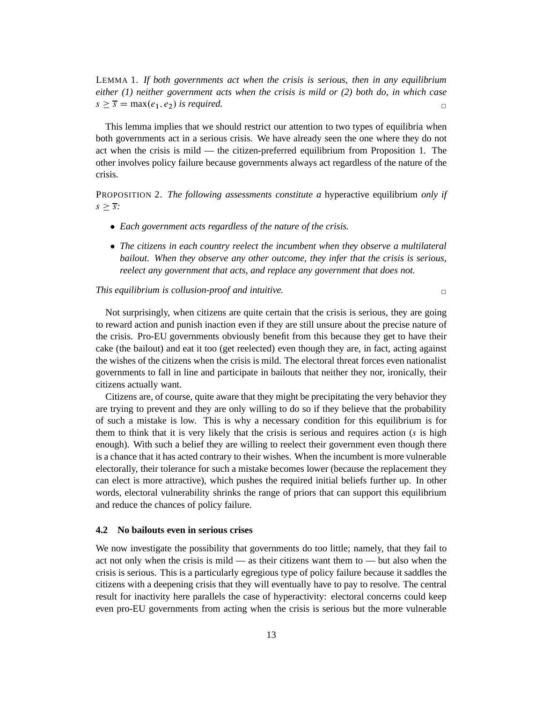LEMMA 1. *If both governments act when the crisis is serious, then in any equilibrium either (1) neither government acts when the crisis is mild or (2) both do, in which case*  $s > \overline{s} = \max(e_1, e_2)$  *is required.* 

This lemma implies that we should restrict our attention to two types of equilibria when both governments act in a serious crisis. We have already seen the one where they do not act when the crisis is mild — the citizen-preferred equilibrium from Proposition 1. The other involves policy failure because governments always act regardless of the nature of the crisis.

PROPOSITION 2. *The following assessments constitute a* hyperactive equilibrium *only if*  $s > \overline{s}$ :

- *Each government acts regardless of the nature of the crisis.*
- *The citizens in each country reelect the incumbent when they observe a multilateral bailout. When they observe any other outcome, they infer that the crisis is serious, reelect any government that acts, and replace any government that does not.*

#### *This equilibrium is collusion-proof and intuitive.* $\Box$

Not surprisingly, when citizens are quite certain that the crisis is serious, they are going to reward action and punish inaction even if they are still unsure about the precise nature of the crisis. Pro-EU governments obviously benefit from this because they get to have their cake (the bailout) and eat it too (get reelected) even though they are, in fact, acting against the wishes of the citizens when the crisis is mild. The electoral threat forces even nationalist governments to fall in line and participate in bailouts that neither they nor, ironically, their citizens actually want.

Citizens are, of course, quite aware that they might be precipitating the very behavior they are trying to prevent and they are only willing to do so if they believe that the probability of such a mistake is low. This is why a necessary condition for this equilibrium is for them to think that it is very likely that the crisis is serious and requires action  $(s$  is high enough). With such a belief they are willing to reelect their government even though there is a chance that it has acted contrary to their wishes. When the incumbent is more vulnerable electorally, their tolerance for such a mistake becomes lower (because the replacement they can elect is more attractive), which pushes the required initial beliefs further up. In other words, electoral vulnerability shrinks the range of priors that can support this equilibrium and reduce the chances of policy failure.

## **4.2 No bailouts even in serious crises**

We now investigate the possibility that governments do too little; namely, that they fail to act not only when the crisis is mild — as their citizens want them to — but also when the crisis is serious. This is a particularly egregious type of policy failure because it saddles the citizens with a deepening crisis that they will eventually have to pay to resolve. The central result for inactivity here parallels the case of hyperactivity: electoral concerns could keep even pro-EU governments from acting when the crisis is serious but the more vulnerable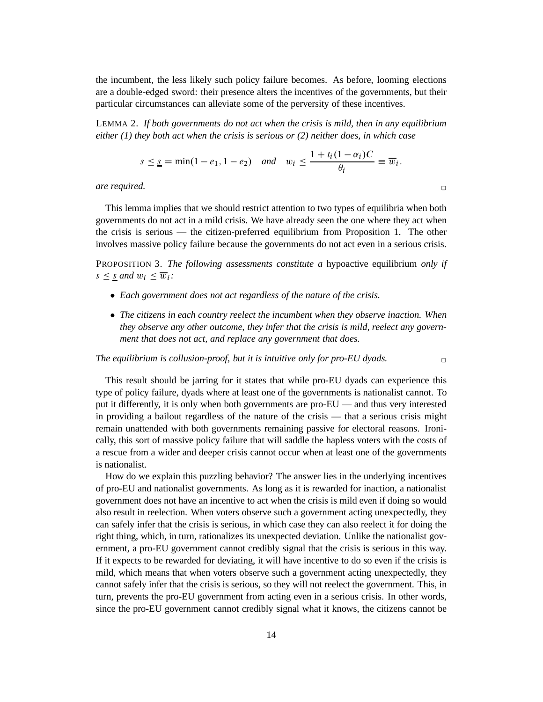the incumbent, the less likely such policy failure becomes. As before, looming elections are a double-edged sword: their presence alters the incentives of the governments, but their particular circumstances can alleviate some of the perversity of these incentives.

LEMMA 2. *If both governments do not act when the crisis is mild, then in any equilibrium either (1) they both act when the crisis is serious or (2) neither does, in which case*

$$
s \leq \underline{s} = \min(1 - e_1, 1 - e_2)
$$
 and  $w_i \leq \frac{1 + t_i(1 - \alpha_i)C}{\theta_i} \equiv \overline{w}_i$ .

*are required.*  $\Box$ 

This lemma implies that we should restrict attention to two types of equilibria when both governments do not act in a mild crisis. We have already seen the one where they act when the crisis is serious — the citizen-preferred equilibrium from Proposition 1. The other involves massive policy failure because the governments do not act even in a serious crisis.

PROPOSITION 3. *The following assessments constitute a* hypoactive equilibrium *only if*  $s \leq s$  *and*  $w_i \leq \overline{w}_i$ :

- *Each government does not act regardless of the nature of the crisis.*
- *The citizens in each country reelect the incumbent when they observe inaction. When they observe any other outcome, they infer that the crisis is mild, reelect any government that does not act, and replace any government that does.*

*The equilibrium is collusion-proof, but it is intuitive only for pro-EU dyads.* ✷

This result should be jarring for it states that while pro-EU dyads can experience this type of policy failure, dyads where at least one of the governments is nationalist cannot. To put it differently, it is only when both governments are pro-EU — and thus very interested in providing a bailout regardless of the nature of the crisis — that a serious crisis might remain unattended with both governments remaining passive for electoral reasons. Ironically, this sort of massive policy failure that will saddle the hapless voters with the costs of a rescue from a wider and deeper crisis cannot occur when at least one of the governments is nationalist.

How do we explain this puzzling behavior? The answer lies in the underlying incentives of pro-EU and nationalist governments. As long as it is rewarded for inaction, a nationalist government does not have an incentive to act when the crisis is mild even if doing so would also result in reelection. When voters observe such a government acting unexpectedly, they can safely infer that the crisis is serious, in which case they can also reelect it for doing the right thing, which, in turn, rationalizes its unexpected deviation. Unlike the nationalist government, a pro-EU government cannot credibly signal that the crisis is serious in this way. If it expects to be rewarded for deviating, it will have incentive to do so even if the crisis is mild, which means that when voters observe such a government acting unexpectedly, they cannot safely infer that the crisis is serious, so they will not reelect the government. This, in turn, prevents the pro-EU government from acting even in a serious crisis. In other words, since the pro-EU government cannot credibly signal what it knows, the citizens cannot be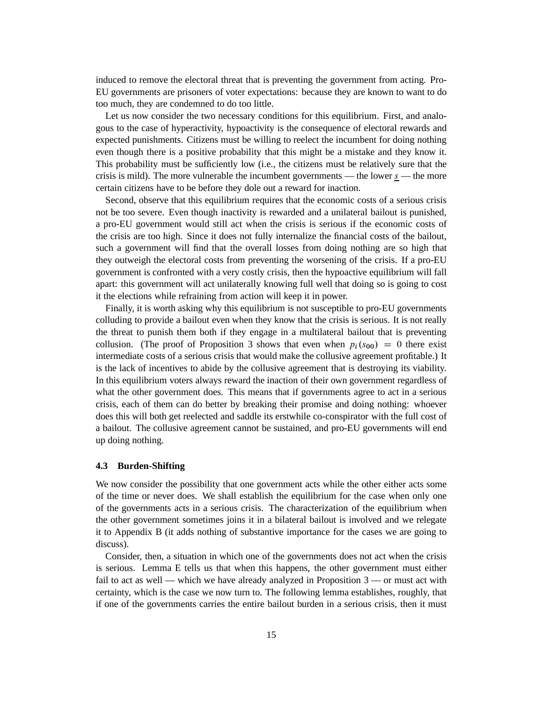induced to remove the electoral threat that is preventing the government from acting. Pro-EU governments are prisoners of voter expectations: because they are known to want to do too much, they are condemned to do too little.

Let us now consider the two necessary conditions for this equilibrium. First, and analogous to the case of hyperactivity, hypoactivity is the consequence of electoral rewards and expected punishments. Citizens must be willing to reelect the incumbent for doing nothing even though there is a positive probability that this might be a mistake and they know it. This probability must be sufficiently low (i.e., the citizens must be relatively sure that the crisis is mild). The more vulnerable the incumbent governments — the lower  $s$  — the more certain citizens have to be before they dole out a reward for inaction.

Second, observe that this equilibrium requires that the economic costs of a serious crisis not be too severe. Even though inactivity is rewarded and a unilateral bailout is punished, a pro-EU government would still act when the crisis is serious if the economic costs of the crisis are too high. Since it does not fully internalize the financial costs of the bailout, such a government will find that the overall losses from doing nothing are so high that they outweigh the electoral costs from preventing the worsening of the crisis. If a pro-EU government is confronted with a very costly crisis, then the hypoactive equilibrium will fall apart: this government will act unilaterally knowing full well that doing so is going to cost it the elections while refraining from action will keep it in power.

Finally, it is worth asking why this equilibrium is not susceptible to pro-EU governments colluding to provide a bailout even when they know that the crisis is serious. It is not really the threat to punish them both if they engage in a multilateral bailout that is preventing collusion. (The proof of Proposition 3 shows that even when  $p_i(s_{00}) = 0$  there exist intermediate costs of a serious crisis that would make the collusive agreement profitable.) It is the lack of incentives to abide by the collusive agreement that is destroying its viability. In this equilibrium voters always reward the inaction of their own government regardless of what the other government does. This means that if governments agree to act in a serious crisis, each of them can do better by breaking their promise and doing nothing: whoever does this will both get reelected and saddle its erstwhile co-conspirator with the full cost of a bailout. The collusive agreement cannot be sustained, and pro-EU governments will end up doing nothing.

#### **4.3 Burden-Shifting**

We now consider the possibility that one government acts while the other either acts some of the time or never does. We shall establish the equilibrium for the case when only one of the governments acts in a serious crisis. The characterization of the equilibrium when the other government sometimes joins it in a bilateral bailout is involved and we relegate it to Appendix B (it adds nothing of substantive importance for the cases we are going to discuss).

Consider, then, a situation in which one of the governments does not act when the crisis is serious. Lemma E tells us that when this happens, the other government must either fail to act as well — which we have already analyzed in Proposition 3 — or must act with certainty, which is the case we now turn to. The following lemma establishes, roughly, that if one of the governments carries the entire bailout burden in a serious crisis, then it must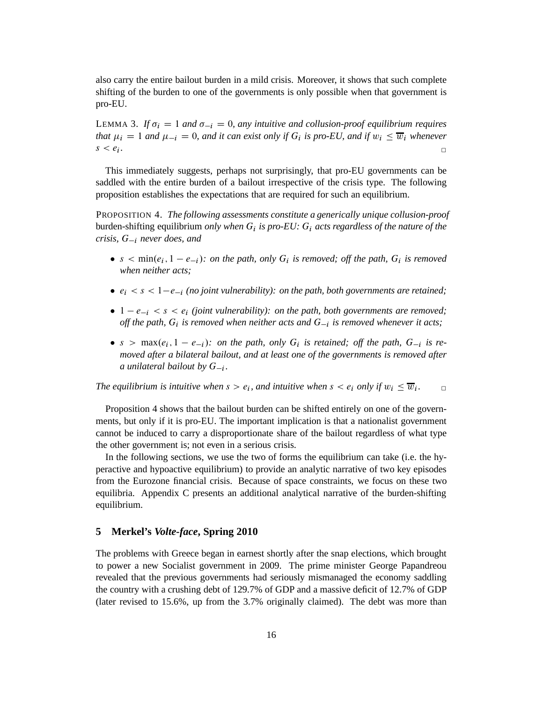also carry the entire bailout burden in a mild crisis. Moreover, it shows that such complete shifting of the burden to one of the governments is only possible when that government is pro-EU.

LEMMA 3. If  $\sigma_i = 1$  and  $\sigma_{-i} = 0$ , any intuitive and collusion-proof equilibrium requires *that*  $\mu_i = 1$  *and*  $\mu_{-i} = 0$ , *and it can exist only if*  $G_i$  *is pro-EU*, *and if*  $w_i \leq \overline{w}_i$  *whenever*  $s < e_i$ . *.* ✷

This immediately suggests, perhaps not surprisingly, that pro-EU governments can be saddled with the entire burden of a bailout irrespective of the crisis type. The following proposition establishes the expectations that are required for such an equilibrium.

PROPOSITION 4. *The following assessments constitute a generically unique collusion-proof* burden-shifting equilibrium *only when* G<sup>i</sup> *is pro-EU:* G<sup>i</sup> *acts regardless of the nature of the crisis,*  $G_{-i}$  *never does, and* 

- $s < min(e_i, 1 e_{-i})$ : on the path, only  $G_i$  is removed; off the path,  $G_i$  is removed *when neither acts;*
- $e_i < s < 1-e_{-i}$  (no joint vulnerability): on the path, both governments are retained;
- $\bullet$  1  $-e_{i} < s < e_{i}$  *(joint vulnerability): on the path, both governments are removed;* off the path,  $G_i$  is removed when neither acts and  $G_{-i}$  is removed whenever it acts;
- $s > \max(e_i, 1 e_{-i})$ : on the path, only  $G_i$  is retained; off the path,  $G_{-i}$  is re*moved after a bilateral bailout, and at least one of the governments is removed after a* unilateral bailout by  $G_{-i}$ .

The equilibrium is intuitive when  $s > e_i$ , and intuitive when  $s < e_i$  only if  $w_i \leq \overline{w}_i$ .<br> $\Box$ 

Proposition 4 shows that the bailout burden can be shifted entirely on one of the governments, but only if it is pro-EU. The important implication is that a nationalist government cannot be induced to carry a disproportionate share of the bailout regardless of what type the other government is; not even in a serious crisis.

In the following sections, we use the two of forms the equilibrium can take (i.e. the hyperactive and hypoactive equilibrium) to provide an analytic narrative of two key episodes from the Eurozone financial crisis. Because of space constraints, we focus on these two equilibria. Appendix C presents an additional analytical narrative of the burden-shifting equilibrium.

# **5 Merkel's** *Volte-face***, Spring 2010**

The problems with Greece began in earnest shortly after the snap elections, which brought to power a new Socialist government in 2009. The prime minister George Papandreou revealed that the previous governments had seriously mismanaged the economy saddling the country with a crushing debt of 129.7% of GDP and a massive deficit of 12.7% of GDP (later revised to 15.6%, up from the 3.7% originally claimed). The debt was more than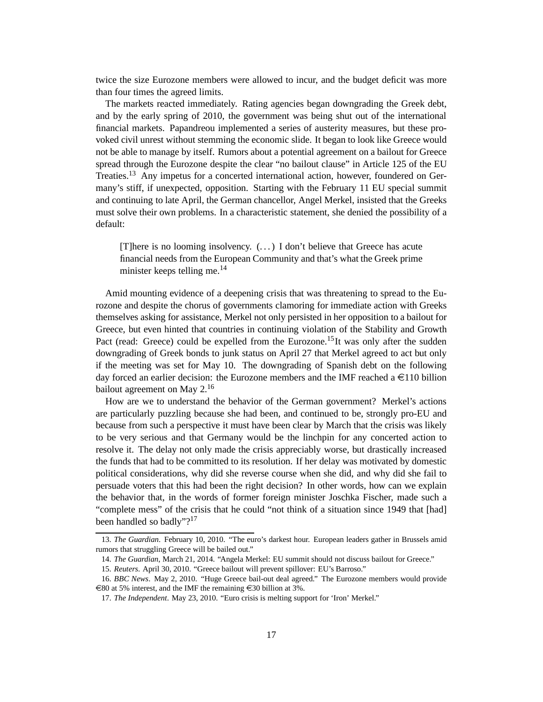twice the size Eurozone members were allowed to incur, and the budget deficit was more than four times the agreed limits.

The markets reacted immediately. Rating agencies began downgrading the Greek debt, and by the early spring of 2010, the government was being shut out of the international financial markets. Papandreou implemented a series of austerity measures, but these provoked civil unrest without stemming the economic slide. It began to look like Greece would not be able to manage by itself. Rumors about a potential agreement on a bailout for Greece spread through the Eurozone despite the clear "no bailout clause" in Article 125 of the EU Treaties.<sup>13</sup> Any impetus for a concerted international action, however, foundered on Germany's stiff, if unexpected, opposition. Starting with the February 11 EU special summit and continuing to late April, the German chancellor, Angel Merkel, insisted that the Greeks must solve their own problems. In a characteristic statement, she denied the possibility of a default:

[T]here is no looming insolvency. (. . . ) I don't believe that Greece has acute financial needs from the European Community and that's what the Greek prime minister keeps telling me. $^{14}$ 

Amid mounting evidence of a deepening crisis that was threatening to spread to the Eurozone and despite the chorus of governments clamoring for immediate action with Greeks themselves asking for assistance, Merkel not only persisted in her opposition to a bailout for Greece, but even hinted that countries in continuing violation of the Stability and Growth Pact (read: Greece) could be expelled from the Eurozone.<sup>15</sup>It was only after the sudden downgrading of Greek bonds to junk status on April 27 that Merkel agreed to act but only if the meeting was set for May 10. The downgrading of Spanish debt on the following day forced an earlier decision: the Eurozone members and the IMF reached a  $\epsilon$ 110 billion bailout agreement on May 2.<sup>16</sup>

How are we to understand the behavior of the German government? Merkel's actions are particularly puzzling because she had been, and continued to be, strongly pro-EU and because from such a perspective it must have been clear by March that the crisis was likely to be very serious and that Germany would be the linchpin for any concerted action to resolve it. The delay not only made the crisis appreciably worse, but drastically increased the funds that had to be committed to its resolution. If her delay was motivated by domestic political considerations, why did she reverse course when she did, and why did she fail to persuade voters that this had been the right decision? In other words, how can we explain the behavior that, in the words of former foreign minister Joschka Fischer, made such a "complete mess" of the crisis that he could "not think of a situation since 1949 that [had] been handled so badly"?<sup>17</sup>

<sup>13.</sup> *The Guardian*. February 10, 2010. "The euro's darkest hour. European leaders gather in Brussels amid rumors that struggling Greece will be bailed out."

<sup>14.</sup> *The Guardian*, March 21, 2014. "Angela Merkel: EU summit should not discuss bailout for Greece."

<sup>15.</sup> *Reuters*. April 30, 2010. "Greece bailout will prevent spillover: EU's Barroso."

<sup>16.</sup> *BBC News*. May 2, 2010. "Huge Greece bail-out deal agreed." The Eurozone members would provide  $\epsilon$ 80 at 5% interest, and the IMF the remaining  $\epsilon$ 30 billion at 3%.

<sup>17.</sup> *The Independent*. May 23, 2010. "Euro crisis is melting support for 'Iron' Merkel."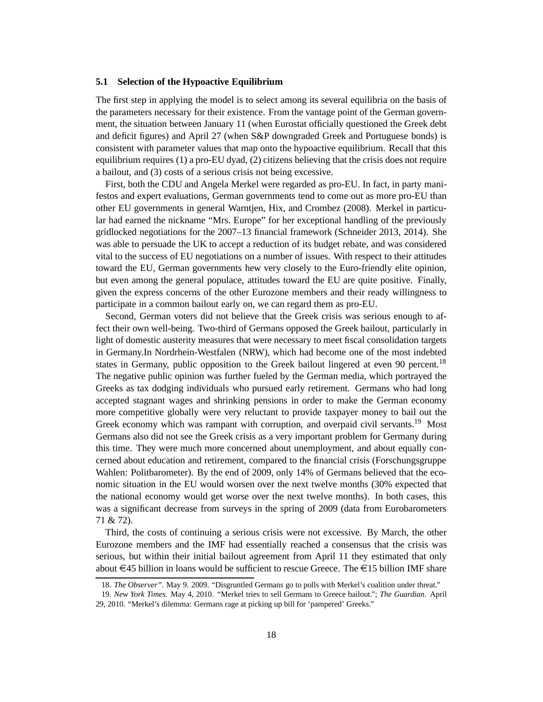## **5.1 Selection of the Hypoactive Equilibrium**

The first step in applying the model is to select among its several equilibria on the basis of the parameters necessary for their existence. From the vantage point of the German government, the situation between January 11 (when Eurostat officially questioned the Greek debt and deficit figures) and April 27 (when S&P downgraded Greek and Portuguese bonds) is consistent with parameter values that map onto the hypoactive equilibrium. Recall that this equilibrium requires (1) a pro-EU dyad, (2) citizens believing that the crisis does not require a bailout, and (3) costs of a serious crisis not being excessive.

First, both the CDU and Angela Merkel were regarded as pro-EU. In fact, in party manifestos and expert evaluations, German governments tend to come out as more pro-EU than other EU governments in general Warntjen, Hix, and Crombez (2008). Merkel in particular had earned the nickname "Mrs. Europe" for her exceptional handling of the previously gridlocked negotiations for the 2007–13 financial framework (Schneider 2013, 2014). She was able to persuade the UK to accept a reduction of its budget rebate, and was considered vital to the success of EU negotiations on a number of issues. With respect to their attitudes toward the EU, German governments hew very closely to the Euro-friendly elite opinion, but even among the general populace, attitudes toward the EU are quite positive. Finally, given the express concerns of the other Eurozone members and their ready willingness to participate in a common bailout early on, we can regard them as pro-EU.

Second, German voters did not believe that the Greek crisis was serious enough to affect their own well-being. Two-third of Germans opposed the Greek bailout, particularly in light of domestic austerity measures that were necessary to meet fiscal consolidation targets in Germany.In Nordrhein-Westfalen (NRW), which had become one of the most indebted states in Germany, public opposition to the Greek bailout lingered at even 90 percent.<sup>18</sup> The negative public opinion was further fueled by the German media, which portrayed the Greeks as tax dodging individuals who pursued early retirement. Germans who had long accepted stagnant wages and shrinking pensions in order to make the German economy more competitive globally were very reluctant to provide taxpayer money to bail out the Greek economy which was rampant with corruption, and overpaid civil servants.<sup>19</sup> Most Germans also did not see the Greek crisis as a very important problem for Germany during this time. They were much more concerned about unemployment, and about equally concerned about education and retirement, compared to the financial crisis (Forschungsgruppe Wahlen: Politbarometer). By the end of 2009, only 14% of Germans believed that the economic situation in the EU would worsen over the next twelve months (30% expected that the national economy would get worse over the next twelve months). In both cases, this was a significant decrease from surveys in the spring of 2009 (data from Eurobarometers 71 & 72).

Third, the costs of continuing a serious crisis were not excessive. By March, the other Eurozone members and the IMF had essentially reached a consensus that the crisis was serious, but within their initial bailout agreement from April 11 they estimated that only about  $\in$ 45 billion in loans would be sufficient to rescue Greece. The  $\in$ 15 billion IMF share

<sup>18.</sup> *The Observer".* May 9. 2009. "Disgruntled Germans go to polls with Merkel's coalition under threat."

<sup>19.</sup> *New York Times*. May 4, 2010. "Merkel tries to sell Germans to Greece bailout."; *The Guardian*. April 29, 2010. "Merkel's dilemma: Germans rage at picking up bill for 'pampered' Greeks."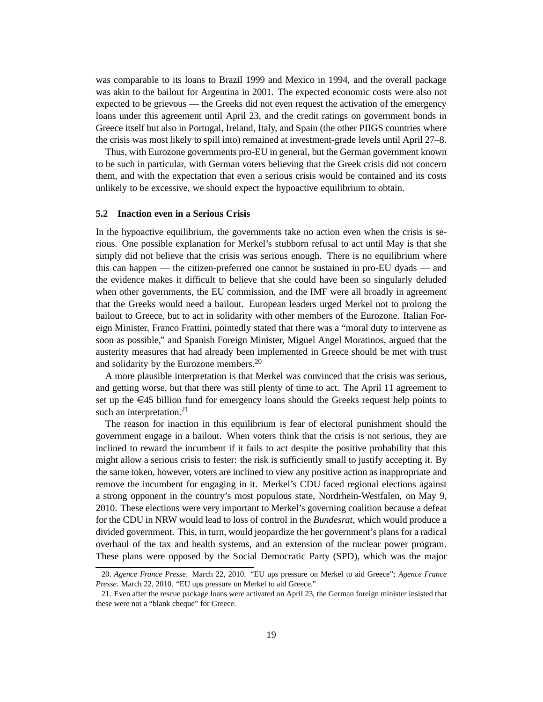was comparable to its loans to Brazil 1999 and Mexico in 1994, and the overall package was akin to the bailout for Argentina in 2001. The expected economic costs were also not expected to be grievous — the Greeks did not even request the activation of the emergency loans under this agreement until April 23, and the credit ratings on government bonds in Greece itself but also in Portugal, Ireland, Italy, and Spain (the other PIIGS countries where the crisis was most likely to spill into) remained at investment-grade levels until April 27–8.

Thus, with Eurozone governments pro-EU in general, but the German government known to be such in particular, with German voters believing that the Greek crisis did not concern them, and with the expectation that even a serious crisis would be contained and its costs unlikely to be excessive, we should expect the hypoactive equilibrium to obtain.

## **5.2 Inaction even in a Serious Crisis**

In the hypoactive equilibrium, the governments take no action even when the crisis is serious. One possible explanation for Merkel's stubborn refusal to act until May is that she simply did not believe that the crisis was serious enough. There is no equilibrium where this can happen — the citizen-preferred one cannot be sustained in pro-EU dyads — and the evidence makes it difficult to believe that she could have been so singularly deluded when other governments, the EU commission, and the IMF were all broadly in agreement that the Greeks would need a bailout. European leaders urged Merkel not to prolong the bailout to Greece, but to act in solidarity with other members of the Eurozone. Italian Foreign Minister, Franco Frattini, pointedly stated that there was a "moral duty to intervene as soon as possible," and Spanish Foreign Minister, Miguel Angel Moratinos, argued that the austerity measures that had already been implemented in Greece should be met with trust and solidarity by the Eurozone members.<sup>20</sup>

A more plausible interpretation is that Merkel was convinced that the crisis was serious, and getting worse, but that there was still plenty of time to act. The April 11 agreement to set up the  $\epsilon$ 45 billion fund for emergency loans should the Greeks request help points to such an interpretation.<sup>21</sup>

The reason for inaction in this equilibrium is fear of electoral punishment should the government engage in a bailout. When voters think that the crisis is not serious, they are inclined to reward the incumbent if it fails to act despite the positive probability that this might allow a serious crisis to fester: the risk is sufficiently small to justify accepting it. By the same token, however, voters are inclined to view any positive action as inappropriate and remove the incumbent for engaging in it. Merkel's CDU faced regional elections against a strong opponent in the country's most populous state, Nordrhein-Westfalen, on May 9, 2010. These elections were very important to Merkel's governing coalition because a defeat for the CDU in NRW would lead to loss of control in the *Bundesrat*, which would produce a divided government. This, in turn, would jeopardize the her government's plans for a radical overhaul of the tax and health systems, and an extension of the nuclear power program. These plans were opposed by the Social Democratic Party (SPD), which was the major

<sup>20.</sup> *Agence France Presse*. March 22, 2010. "EU ups pressure on Merkel to aid Greece"; *Agence France Presse*. March 22, 2010. "EU ups pressure on Merkel to aid Greece."

<sup>21.</sup> Even after the rescue package loans were activated on April 23, the German foreign minister insisted that these were not a "blank cheque" for Greece.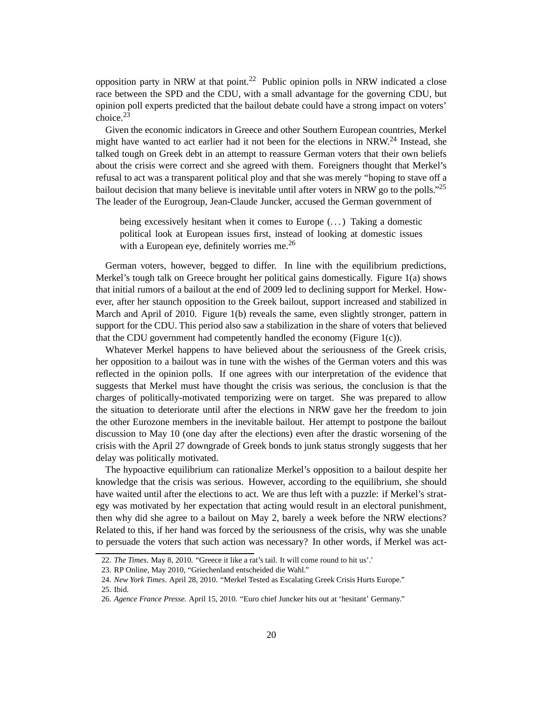opposition party in NRW at that point.<sup>22</sup> Public opinion polls in NRW indicated a close race between the SPD and the CDU, with a small advantage for the governing CDU, but opinion poll experts predicted that the bailout debate could have a strong impact on voters' choice.<sup>23</sup>

Given the economic indicators in Greece and other Southern European countries, Merkel might have wanted to act earlier had it not been for the elections in NRW.<sup>24</sup> Instead, she talked tough on Greek debt in an attempt to reassure German voters that their own beliefs about the crisis were correct and she agreed with them. Foreigners thought that Merkel's refusal to act was a transparent political ploy and that she was merely "hoping to stave off a bailout decision that many believe is inevitable until after voters in NRW go to the polls."<sup>25</sup> The leader of the Eurogroup, Jean-Claude Juncker, accused the German government of

being excessively hesitant when it comes to Europe  $(\ldots)$  Taking a domestic political look at European issues first, instead of looking at domestic issues with a European eye, definitely worries me.<sup>26</sup>

German voters, however, begged to differ. In line with the equilibrium predictions, Merkel's tough talk on Greece brought her political gains domestically. Figure 1(a) shows that initial rumors of a bailout at the end of 2009 led to declining support for Merkel. However, after her staunch opposition to the Greek bailout, support increased and stabilized in March and April of 2010. Figure 1(b) reveals the same, even slightly stronger, pattern in support for the CDU. This period also saw a stabilization in the share of voters that believed that the CDU government had competently handled the economy (Figure 1(c)).

Whatever Merkel happens to have believed about the seriousness of the Greek crisis, her opposition to a bailout was in tune with the wishes of the German voters and this was reflected in the opinion polls. If one agrees with our interpretation of the evidence that suggests that Merkel must have thought the crisis was serious, the conclusion is that the charges of politically-motivated temporizing were on target. She was prepared to allow the situation to deteriorate until after the elections in NRW gave her the freedom to join the other Eurozone members in the inevitable bailout. Her attempt to postpone the bailout discussion to May 10 (one day after the elections) even after the drastic worsening of the crisis with the April 27 downgrade of Greek bonds to junk status strongly suggests that her delay was politically motivated.

The hypoactive equilibrium can rationalize Merkel's opposition to a bailout despite her knowledge that the crisis was serious. However, according to the equilibrium, she should have waited until after the elections to act. We are thus left with a puzzle: if Merkel's strategy was motivated by her expectation that acting would result in an electoral punishment, then why did she agree to a bailout on May 2, barely a week before the NRW elections? Related to this, if her hand was forced by the seriousness of the crisis, why was she unable to persuade the voters that such action was necessary? In other words, if Merkel was act-

<sup>22.</sup> *The Times*. May 8, 2010. "Greece it like a rat's tail. It will come round to hit us'.'

<sup>23.</sup> RP Online, May 2010, "Griechenland entscheided die Wahl."

<sup>24.</sup> *New York Times*. April 28, 2010. "Merkel Tested as Escalating Greek Crisis Hurts Europe."

<sup>25.</sup> Ibid.

<sup>26.</sup> *Agence France Presse.* April 15, 2010. "Euro chief Juncker hits out at 'hesitant' Germany."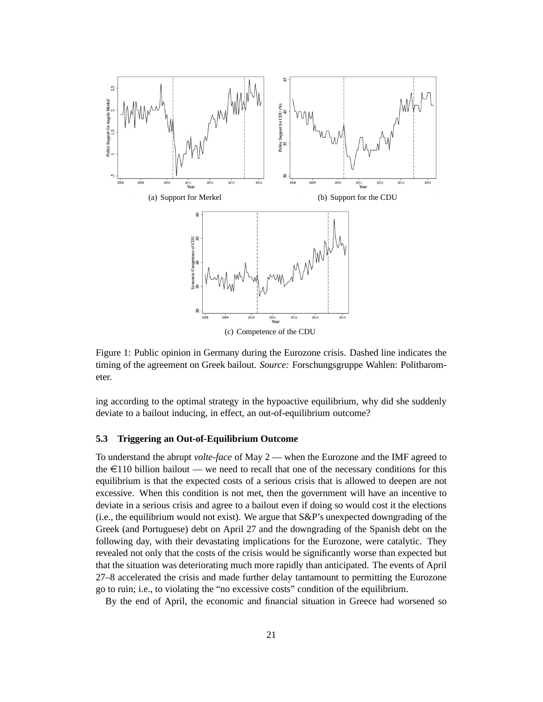

Figure 1: Public opinion in Germany during the Eurozone crisis. Dashed line indicates the timing of the agreement on Greek bailout. *Source:* Forschungsgruppe Wahlen: Politbarometer.

ing according to the optimal strategy in the hypoactive equilibrium, why did she suddenly deviate to a bailout inducing, in effect, an out-of-equilibrium outcome?

## **5.3 Triggering an Out-of-Equilibrium Outcome**

To understand the abrupt *volte-face* of May 2 — when the Eurozone and the IMF agreed to the  $\epsilon$ 110 billion bailout — we need to recall that one of the necessary conditions for this equilibrium is that the expected costs of a serious crisis that is allowed to deepen are not excessive. When this condition is not met, then the government will have an incentive to deviate in a serious crisis and agree to a bailout even if doing so would cost it the elections (i.e., the equilibrium would not exist). We argue that S&P's unexpected downgrading of the Greek (and Portuguese) debt on April 27 and the downgrading of the Spanish debt on the following day, with their devastating implications for the Eurozone, were catalytic. They revealed not only that the costs of the crisis would be significantly worse than expected but that the situation was deteriorating much more rapidly than anticipated. The events of April 27–8 accelerated the crisis and made further delay tantamount to permitting the Eurozone go to ruin; i.e., to violating the "no excessive costs" condition of the equilibrium.

By the end of April, the economic and financial situation in Greece had worsened so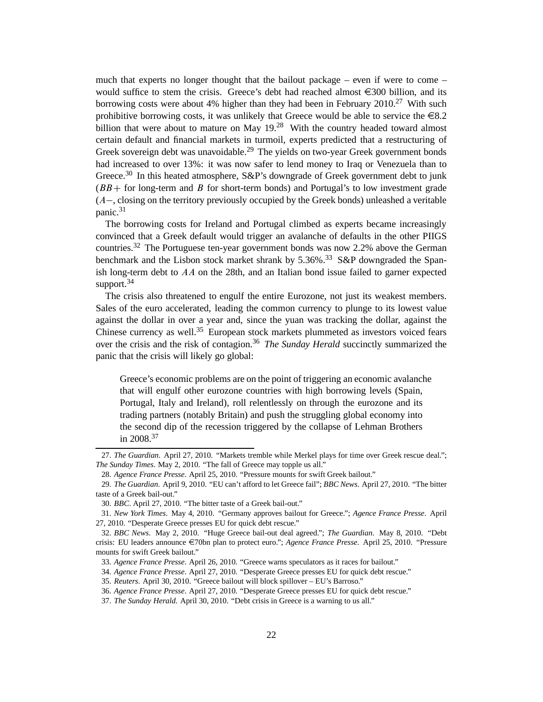much that experts no longer thought that the bailout package – even if were to come – would suffice to stem the crisis. Greece's debt had reached almost  $\epsilon$ 300 billion, and its borrowing costs were about 4% higher than they had been in February 2010.<sup>27</sup> With such prohibitive borrowing costs, it was unlikely that Greece would be able to service the  $\epsilon$ 8.2 billion that were about to mature on May  $19<sup>28</sup>$  With the country headed toward almost certain default and financial markets in turmoil, experts predicted that a restructuring of Greek sovereign debt was unavoidable.<sup>29</sup> The yields on two-year Greek government bonds had increased to over 13%: it was now safer to lend money to Iraq or Venezuela than to Greece.<sup>30</sup> In this heated atmosphere, S&P's downgrade of Greek government debt to junk  $(BB +$  for long-term and B for short-term bonds) and Portugal's to low investment grade  $(A-$ , closing on the territory previously occupied by the Greek bonds) unleashed a veritable panic.<sup>31</sup>

The borrowing costs for Ireland and Portugal climbed as experts became increasingly convinced that a Greek default would trigger an avalanche of defaults in the other PIIGS countries.<sup>32</sup> The Portuguese ten-year government bonds was now 2.2% above the German benchmark and the Lisbon stock market shrank by  $5.36\%$ .<sup>33</sup> S&P downgraded the Spanish long-term debt to  $AA$  on the 28th, and an Italian bond issue failed to garner expected support. $34$ 

The crisis also threatened to engulf the entire Eurozone, not just its weakest members. Sales of the euro accelerated, leading the common currency to plunge to its lowest value against the dollar in over a year and, since the yuan was tracking the dollar, against the Chinese currency as well.<sup>35</sup> European stock markets plummeted as investors voiced fears over the crisis and the risk of contagion.<sup>36</sup> *The Sunday Herald* succinctly summarized the panic that the crisis will likely go global:

Greece's economic problems are on the point of triggering an economic avalanche that will engulf other eurozone countries with high borrowing levels (Spain, Portugal, Italy and Ireland), roll relentlessly on through the eurozone and its trading partners (notably Britain) and push the struggling global economy into the second dip of the recession triggered by the collapse of Lehman Brothers in 2008.<sup>37</sup>

<sup>27.</sup> *The Guardian*. April 27, 2010. "Markets tremble while Merkel plays for time over Greek rescue deal."; *The Sunday Times*. May 2, 2010. "The fall of Greece may topple us all."

<sup>28.</sup> *Agence France Presse*. April 25, 2010. "Pressure mounts for swift Greek bailout."

<sup>29.</sup> *The Guardian*. April 9, 2010. "EU can't afford to let Greece fail"; *BBC News*. April 27, 2010. "The bitter taste of a Greek bail-out."

<sup>30.</sup> *BBC*. April 27, 2010. "The bitter taste of a Greek bail-out."

<sup>31.</sup> *New York Times*. May 4, 2010. "Germany approves bailout for Greece."; *Agence France Presse*. April 27, 2010. "Desperate Greece presses EU for quick debt rescue."

<sup>32.</sup> *BBC News*. May 2, 2010. "Huge Greece bail-out deal agreed."; *The Guardian*. May 8, 2010. "Debt crisis: EU leaders announce e70bn plan to protect euro."; *Agence France Presse*. April 25, 2010. "Pressure mounts for swift Greek bailout."

<sup>33.</sup> *Agence France Presse*. April 26, 2010. "Greece warns speculators as it races for bailout."

<sup>34.</sup> *Agence France Presse*. April 27, 2010. "Desperate Greece presses EU for quick debt rescue."

<sup>35.</sup> *Reuters*. April 30, 2010. "Greece bailout will block spillover – EU's Barroso."

<sup>36.</sup> *Agence France Presse*. April 27, 2010. "Desperate Greece presses EU for quick debt rescue."

<sup>37.</sup> *The Sunday Herald*. April 30, 2010. "Debt crisis in Greece is a warning to us all."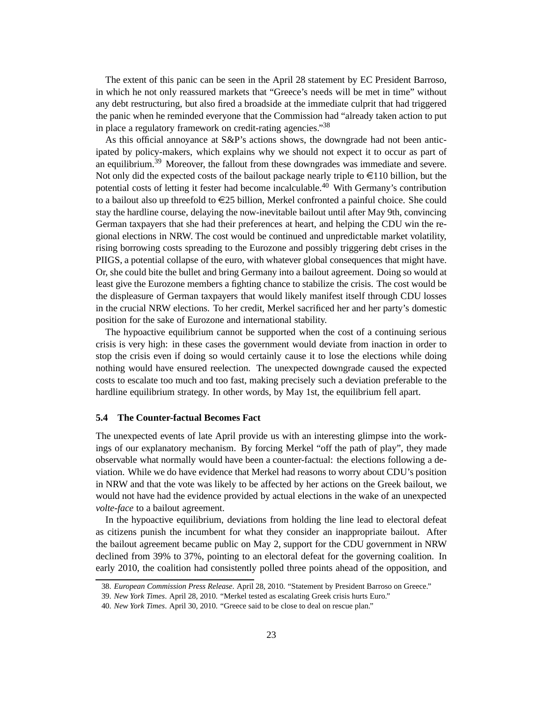The extent of this panic can be seen in the April 28 statement by EC President Barroso, in which he not only reassured markets that "Greece's needs will be met in time" without any debt restructuring, but also fired a broadside at the immediate culprit that had triggered the panic when he reminded everyone that the Commission had "already taken action to put in place a regulatory framework on credit-rating agencies."38

As this official annoyance at S&P's actions shows, the downgrade had not been anticipated by policy-makers, which explains why we should not expect it to occur as part of an equilibrium.<sup>39</sup> Moreover, the fallout from these downgrades was immediate and severe. Not only did the expected costs of the bailout package nearly triple to  $\in$ 110 billion, but the potential costs of letting it fester had become incalculable.<sup>40</sup> With Germany's contribution to a bailout also up threefold to  $E$ 25 billion, Merkel confronted a painful choice. She could stay the hardline course, delaying the now-inevitable bailout until after May 9th, convincing German taxpayers that she had their preferences at heart, and helping the CDU win the regional elections in NRW. The cost would be continued and unpredictable market volatility, rising borrowing costs spreading to the Eurozone and possibly triggering debt crises in the PIIGS, a potential collapse of the euro, with whatever global consequences that might have. Or, she could bite the bullet and bring Germany into a bailout agreement. Doing so would at least give the Eurozone members a fighting chance to stabilize the crisis. The cost would be the displeasure of German taxpayers that would likely manifest itself through CDU losses in the crucial NRW elections. To her credit, Merkel sacrificed her and her party's domestic position for the sake of Eurozone and international stability.

The hypoactive equilibrium cannot be supported when the cost of a continuing serious crisis is very high: in these cases the government would deviate from inaction in order to stop the crisis even if doing so would certainly cause it to lose the elections while doing nothing would have ensured reelection. The unexpected downgrade caused the expected costs to escalate too much and too fast, making precisely such a deviation preferable to the hardline equilibrium strategy. In other words, by May 1st, the equilibrium fell apart.

#### **5.4 The Counter-factual Becomes Fact**

The unexpected events of late April provide us with an interesting glimpse into the workings of our explanatory mechanism. By forcing Merkel "off the path of play", they made observable what normally would have been a counter-factual: the elections following a deviation. While we do have evidence that Merkel had reasons to worry about CDU's position in NRW and that the vote was likely to be affected by her actions on the Greek bailout, we would not have had the evidence provided by actual elections in the wake of an unexpected *volte-face* to a bailout agreement.

In the hypoactive equilibrium, deviations from holding the line lead to electoral defeat as citizens punish the incumbent for what they consider an inappropriate bailout. After the bailout agreement became public on May 2, support for the CDU government in NRW declined from 39% to 37%, pointing to an electoral defeat for the governing coalition. In early 2010, the coalition had consistently polled three points ahead of the opposition, and

<sup>38.</sup> *European Commission Press Release*. April 28, 2010. "Statement by President Barroso on Greece."

<sup>39.</sup> *New York Times*. April 28, 2010. "Merkel tested as escalating Greek crisis hurts Euro."

<sup>40.</sup> *New York Times*. April 30, 2010. "Greece said to be close to deal on rescue plan."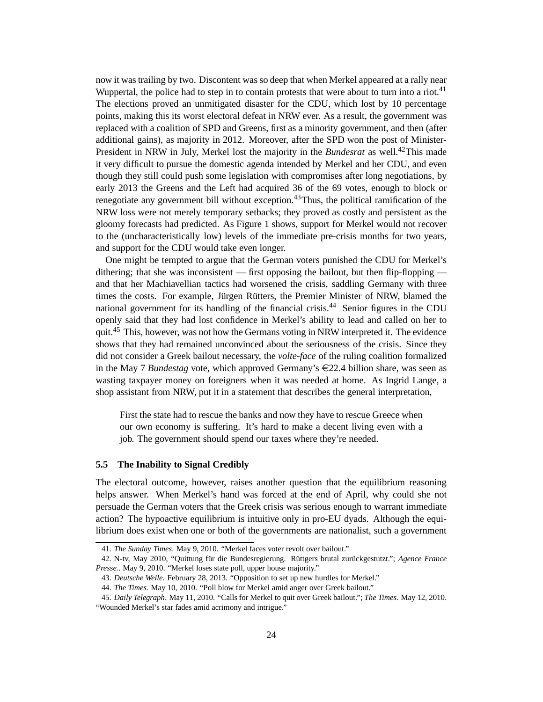now it was trailing by two. Discontent was so deep that when Merkel appeared at a rally near Wuppertal, the police had to step in to contain protests that were about to turn into a riot.<sup>41</sup> The elections proved an unmitigated disaster for the CDU, which lost by 10 percentage points, making this its worst electoral defeat in NRW ever. As a result, the government was replaced with a coalition of SPD and Greens, first as a minority government, and then (after additional gains), as majority in 2012. Moreover, after the SPD won the post of Minister-President in NRW in July, Merkel lost the majority in the *Bundesrat* as well.<sup>42</sup>This made it very difficult to pursue the domestic agenda intended by Merkel and her CDU, and even though they still could push some legislation with compromises after long negotiations, by early 2013 the Greens and the Left had acquired 36 of the 69 votes, enough to block or renegotiate any government bill without exception.<sup>43</sup>Thus, the political ramification of the NRW loss were not merely temporary setbacks; they proved as costly and persistent as the gloomy forecasts had predicted. As Figure 1 shows, support for Merkel would not recover to the (uncharacteristically low) levels of the immediate pre-crisis months for two years, and support for the CDU would take even longer.

One might be tempted to argue that the German voters punished the CDU for Merkel's dithering; that she was inconsistent — first opposing the bailout, but then flip-flopping and that her Machiavellian tactics had worsened the crisis, saddling Germany with three times the costs. For example, Jürgen Rütters, the Premier Minister of NRW, blamed the national government for its handling of the financial crisis.<sup>44</sup> Senior figures in the CDU openly said that they had lost confidence in Merkel's ability to lead and called on her to quit.<sup>45</sup> This, however, was not how the Germans voting in NRW interpreted it. The evidence shows that they had remained unconvinced about the seriousness of the crisis. Since they did not consider a Greek bailout necessary, the *volte-face* of the ruling coalition formalized in the May 7 *Bundestag* vote, which approved Germany's  $\in 22.4$  billion share, was seen as wasting taxpayer money on foreigners when it was needed at home. As Ingrid Lange, a shop assistant from NRW, put it in a statement that describes the general interpretation,

First the state had to rescue the banks and now they have to rescue Greece when our own economy is suffering. It's hard to make a decent living even with a job. The government should spend our taxes where they're needed.

## **5.5 The Inability to Signal Credibly**

The electoral outcome, however, raises another question that the equilibrium reasoning helps answer. When Merkel's hand was forced at the end of April, why could she not persuade the German voters that the Greek crisis was serious enough to warrant immediate action? The hypoactive equilibrium is intuitive only in pro-EU dyads. Although the equilibrium does exist when one or both of the governments are nationalist, such a government

<sup>41.</sup> *The Sunday Times*. May 9, 2010. "Merkel faces voter revolt over bailout."

<sup>42.</sup> N-tv, May 2010, "Quittung für die Bundesregierung. Rüttgers brutal zurückgestutzt."; *Agence France Presse.*. May 9, 2010. "Merkel loses state poll, upper house majority."

<sup>43.</sup> *Deutsche Welle*. February 28, 2013. "Opposition to set up new hurdles for Merkel."

<sup>44.</sup> *The Times.* May 10, 2010. "Poll blow for Merkel amid anger over Greek bailout."

<sup>45.</sup> *Daily Telegraph*. May 11, 2010. "Calls for Merkel to quit over Greek bailout."; *The Times*. May 12, 2010. "Wounded Merkel's star fades amid acrimony and intrigue."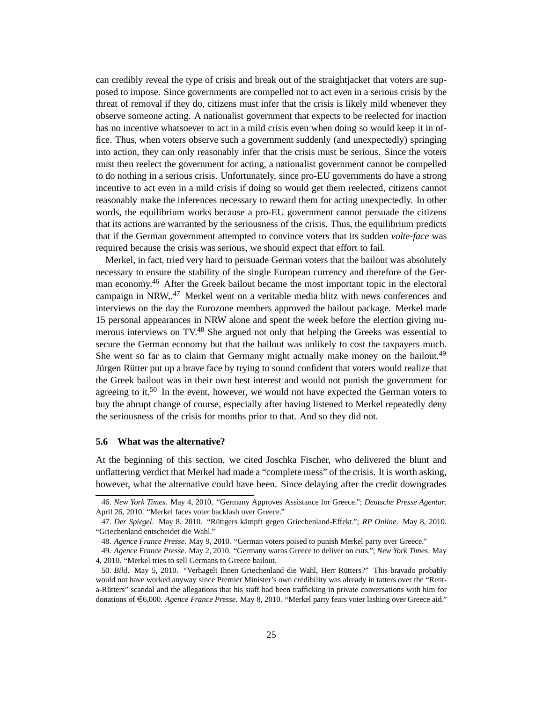can credibly reveal the type of crisis and break out of the straightjacket that voters are supposed to impose. Since governments are compelled not to act even in a serious crisis by the threat of removal if they do, citizens must infer that the crisis is likely mild whenever they observe someone acting. A nationalist government that expects to be reelected for inaction has no incentive whatsoever to act in a mild crisis even when doing so would keep it in office. Thus, when voters observe such a government suddenly (and unexpectedly) springing into action, they can only reasonably infer that the crisis must be serious. Since the voters must then reelect the government for acting, a nationalist government cannot be compelled to do nothing in a serious crisis. Unfortunately, since pro-EU governments do have a strong incentive to act even in a mild crisis if doing so would get them reelected, citizens cannot reasonably make the inferences necessary to reward them for acting unexpectedly. In other words, the equilibrium works because a pro-EU government cannot persuade the citizens that its actions are warranted by the seriousness of the crisis. Thus, the equilibrium predicts that if the German government attempted to convince voters that its sudden *volte-face* was required because the crisis was serious, we should expect that effort to fail.

Merkel, in fact, tried very hard to persuade German voters that the bailout was absolutely necessary to ensure the stability of the single European currency and therefore of the German economy.<sup>46</sup> After the Greek bailout became the most important topic in the electoral campaign in NRW,.<sup>47</sup> Merkel went on a veritable media blitz with news conferences and interviews on the day the Eurozone members approved the bailout package. Merkel made 15 personal appearances in NRW alone and spent the week before the election giving numerous interviews on TV.<sup>48</sup> She argued not only that helping the Greeks was essential to secure the German economy but that the bailout was unlikely to cost the taxpayers much. She went so far as to claim that Germany might actually make money on the bailout.<sup>49</sup> Jürgen Rütter put up a brave face by trying to sound confident that voters would realize that the Greek bailout was in their own best interest and would not punish the government for agreeing to it.<sup>50</sup> In the event, however, we would not have expected the German voters to buy the abrupt change of course, especially after having listened to Merkel repeatedly deny the seriousness of the crisis for months prior to that. And so they did not.

## **5.6 What was the alternative?**

At the beginning of this section, we cited Joschka Fischer, who delivered the blunt and unflattering verdict that Merkel had made a "complete mess" of the crisis. It is worth asking, however, what the alternative could have been. Since delaying after the credit downgrades

<sup>46.</sup> *New York Times*. May 4, 2010. "Germany Approves Assistance for Greece."; *Deutsche Presse Agentur*. April 26, 2010. "Merkel faces voter backlash over Greece."

<sup>47.</sup> *Der Spiegel*. May 8, 2010. "Rüttgers kämpft gegen Griechenland-Effekt."; *RP Online*. May 8, 2010. "Griechenland entscheidet die Wahl."

<sup>48.</sup> *Agence France Presse*. May 9, 2010. "German voters poised to punish Merkel party over Greece."

<sup>49.</sup> *Agence France Presse*. May 2, 2010. "Germany warns Greece to deliver on cuts."; *New York Times*. May 4, 2010. "Merkel tries to sell Germans to Greece bailout.

<sup>50.</sup> *Bild*. May 5, 2010. "Verhagelt Ihnen Griechenland die Wahl, Herr Rütters?" This bravado probably would not have worked anyway since Premier Minister's own credibility was already in tatters over the "Renta-Rütters" scandal and the allegations that his staff had been trafficking in private conversations with him for donations of €6,000. *Agence France Presse*. May 8, 2010. "Merkel party fears voter lashing over Greece aid."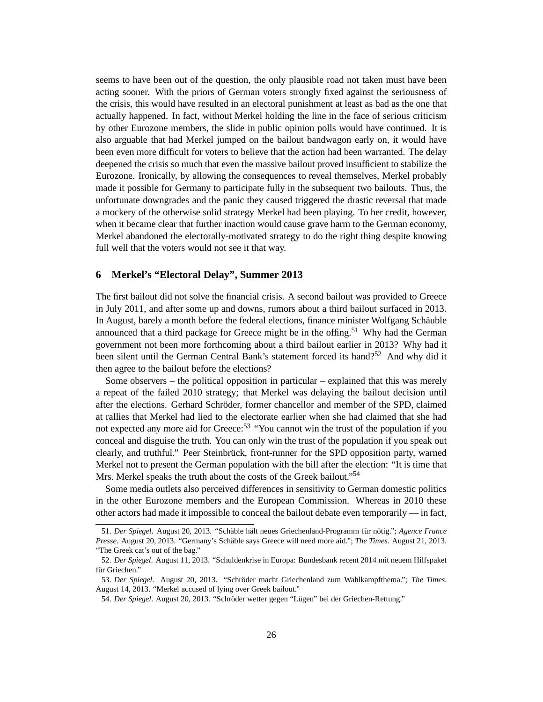seems to have been out of the question, the only plausible road not taken must have been acting sooner. With the priors of German voters strongly fixed against the seriousness of the crisis, this would have resulted in an electoral punishment at least as bad as the one that actually happened. In fact, without Merkel holding the line in the face of serious criticism by other Eurozone members, the slide in public opinion polls would have continued. It is also arguable that had Merkel jumped on the bailout bandwagon early on, it would have been even more difficult for voters to believe that the action had been warranted. The delay deepened the crisis so much that even the massive bailout proved insufficient to stabilize the Eurozone. Ironically, by allowing the consequences to reveal themselves, Merkel probably made it possible for Germany to participate fully in the subsequent two bailouts. Thus, the unfortunate downgrades and the panic they caused triggered the drastic reversal that made a mockery of the otherwise solid strategy Merkel had been playing. To her credit, however, when it became clear that further inaction would cause grave harm to the German economy, Merkel abandoned the electorally-motivated strategy to do the right thing despite knowing full well that the voters would not see it that way.

# **6 Merkel's "Electoral Delay", Summer 2013**

The first bailout did not solve the financial crisis. A second bailout was provided to Greece in July 2011, and after some up and downs, rumors about a third bailout surfaced in 2013. In August, barely a month before the federal elections, finance minister Wolfgang Schäuble announced that a third package for Greece might be in the offing.<sup>51</sup> Why had the German government not been more forthcoming about a third bailout earlier in 2013? Why had it been silent until the German Central Bank's statement forced its hand?<sup>52</sup> And why did it then agree to the bailout before the elections?

Some observers – the political opposition in particular – explained that this was merely a repeat of the failed 2010 strategy; that Merkel was delaying the bailout decision until after the elections. Gerhard Schröder, former chancellor and member of the SPD, claimed at rallies that Merkel had lied to the electorate earlier when she had claimed that she had not expected any more aid for Greece:<sup>53</sup> "You cannot win the trust of the population if you conceal and disguise the truth. You can only win the trust of the population if you speak out clearly, and truthful." Peer Steinbrück, front-runner for the SPD opposition party, warned Merkel not to present the German population with the bill after the election: "It is time that Mrs. Merkel speaks the truth about the costs of the Greek bailout."<sup>54</sup>

Some media outlets also perceived differences in sensitivity to German domestic politics in the other Eurozone members and the European Commission. Whereas in 2010 these other actors had made it impossible to conceal the bailout debate even temporarily — in fact,

<sup>51.</sup> *Der Spiegel*. August 20, 2013. "Schäble hält neues Griechenland-Programm für nötig."; *Agence France Presse*. August 20, 2013. "Germany's Schäble says Greece will need more aid."; *The Times*. August 21, 2013. "The Greek cat's out of the bag."

<sup>52.</sup> *Der Spiegel*. August 11, 2013. "Schuldenkrise in Europa: Bundesbank recent 2014 mit neuem Hilfspaket für Griechen."

<sup>53.</sup> *Der Spiegel*. August 20, 2013. "Schröder macht Griechenland zum Wahlkampfthema."; *The Times*. August 14, 2013. "Merkel accused of lying over Greek bailout."

<sup>54.</sup> *Der Spiegel*. August 20, 2013. "Schröder wetter gegen "Lügen" bei der Griechen-Rettung."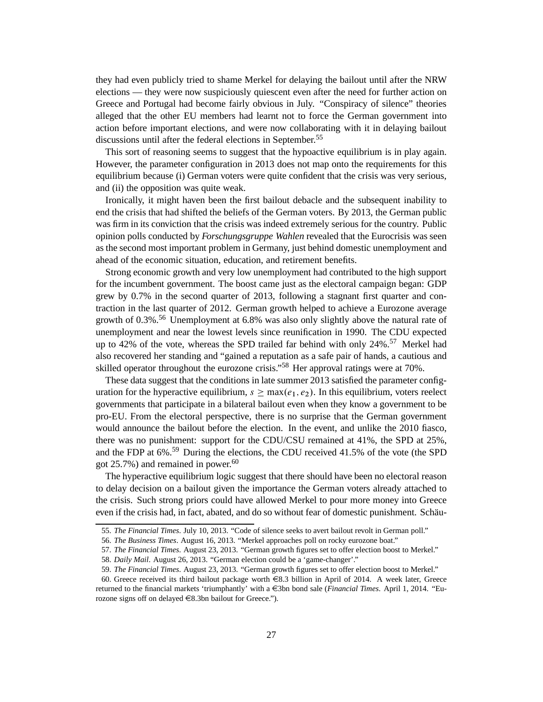they had even publicly tried to shame Merkel for delaying the bailout until after the NRW elections — they were now suspiciously quiescent even after the need for further action on Greece and Portugal had become fairly obvious in July. "Conspiracy of silence" theories alleged that the other EU members had learnt not to force the German government into action before important elections, and were now collaborating with it in delaying bailout discussions until after the federal elections in September.<sup>55</sup>

This sort of reasoning seems to suggest that the hypoactive equilibrium is in play again. However, the parameter configuration in 2013 does not map onto the requirements for this equilibrium because (i) German voters were quite confident that the crisis was very serious, and (ii) the opposition was quite weak.

Ironically, it might haven been the first bailout debacle and the subsequent inability to end the crisis that had shifted the beliefs of the German voters. By 2013, the German public was firm in its conviction that the crisis was indeed extremely serious for the country. Public opinion polls conducted by *Forschungsgruppe Wahlen* revealed that the Eurocrisis was seen as the second most important problem in Germany, just behind domestic unemployment and ahead of the economic situation, education, and retirement benefits.

Strong economic growth and very low unemployment had contributed to the high support for the incumbent government. The boost came just as the electoral campaign began: GDP grew by 0.7% in the second quarter of 2013, following a stagnant first quarter and contraction in the last quarter of 2012. German growth helped to achieve a Eurozone average growth of  $0.3\%$ .<sup>56</sup> Unemployment at 6.8% was also only slightly above the natural rate of unemployment and near the lowest levels since reunification in 1990. The CDU expected up to 42% of the vote, whereas the SPD trailed far behind with only 24%.<sup>57</sup> Merkel had also recovered her standing and "gained a reputation as a safe pair of hands, a cautious and skilled operator throughout the eurozone crisis."<sup>58</sup> Her approval ratings were at 70%.

These data suggest that the conditions in late summer 2013 satisfied the parameter configuration for the hyperactive equilibrium,  $s \geq \max(e_1, e_2)$ . In this equilibrium, voters reelect governments that participate in a bilateral bailout even when they know a government to be pro-EU. From the electoral perspective, there is no surprise that the German government would announce the bailout before the election. In the event, and unlike the 2010 fiasco, there was no punishment: support for the CDU/CSU remained at 41%, the SPD at 25%, and the FDP at 6%.<sup>59</sup> During the elections, the CDU received 41.5% of the vote (the SPD got  $25.7\%$ ) and remained in power.<sup>60</sup>

The hyperactive equilibrium logic suggest that there should have been no electoral reason to delay decision on a bailout given the importance the German voters already attached to the crisis. Such strong priors could have allowed Merkel to pour more money into Greece even if the crisis had, in fact, abated, and do so without fear of domestic punishment. Schäu-

<sup>55.</sup> *The Financial Times*. July 10, 2013. "Code of silence seeks to avert bailout revolt in German poll."

<sup>56.</sup> *The Business Times*. August 16, 2013. "Merkel approaches poll on rocky eurozone boat."

<sup>57.</sup> *The Financial Times*. August 23, 2013. "German growth figures set to offer election boost to Merkel."

<sup>58.</sup> *Daily Mail*. August 26, 2013. "German election could be a 'game-changer'."

<sup>59.</sup> *The Financial Times*. August 23, 2013. "German growth figures set to offer election boost to Merkel."

<sup>60.</sup> Greece received its third bailout package worth  $\in$ 8.3 billion in April of 2014. A week later, Greece returned to the financial markets 'triumphantly' with a €3bn bond sale (*Financial Times*. April 1, 2014. "Eurozone signs off on delayed  $\in$ 8.3bn bailout for Greece.").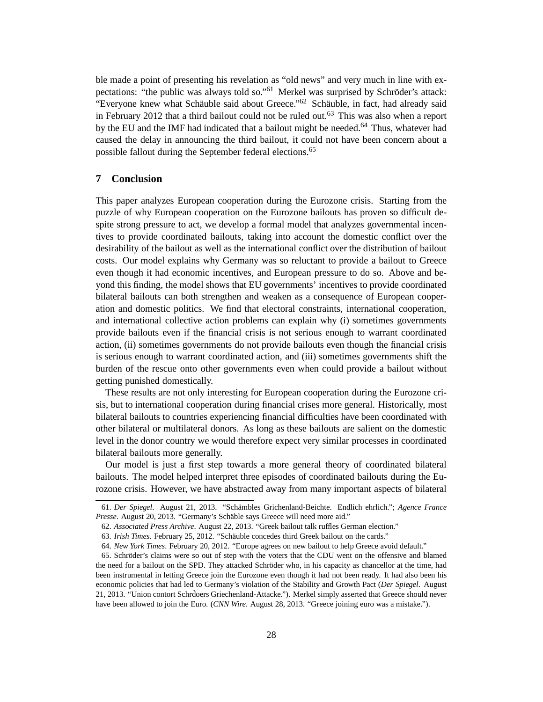ble made a point of presenting his revelation as "old news" and very much in line with expectations: "the public was always told so."<sup>61</sup> Merkel was surprised by Schröder's attack: "Everyone knew what Schäuble said about Greece."<sup>62</sup> Schäuble, in fact, had already said in February 2012 that a third bailout could not be ruled out.<sup>63</sup> This was also when a report by the EU and the IMF had indicated that a bailout might be needed.<sup>64</sup> Thus, whatever had caused the delay in announcing the third bailout, it could not have been concern about a possible fallout during the September federal elections.<sup>65</sup>

# **7 Conclusion**

This paper analyzes European cooperation during the Eurozone crisis. Starting from the puzzle of why European cooperation on the Eurozone bailouts has proven so difficult despite strong pressure to act, we develop a formal model that analyzes governmental incentives to provide coordinated bailouts, taking into account the domestic conflict over the desirability of the bailout as well as the international conflict over the distribution of bailout costs. Our model explains why Germany was so reluctant to provide a bailout to Greece even though it had economic incentives, and European pressure to do so. Above and beyond this finding, the model shows that EU governments' incentives to provide coordinated bilateral bailouts can both strengthen and weaken as a consequence of European cooperation and domestic politics. We find that electoral constraints, international cooperation, and international collective action problems can explain why (i) sometimes governments provide bailouts even if the financial crisis is not serious enough to warrant coordinated action, (ii) sometimes governments do not provide bailouts even though the financial crisis is serious enough to warrant coordinated action, and (iii) sometimes governments shift the burden of the rescue onto other governments even when could provide a bailout without getting punished domestically.

These results are not only interesting for European cooperation during the Eurozone crisis, but to international cooperation during financial crises more general. Historically, most bilateral bailouts to countries experiencing financial difficulties have been coordinated with other bilateral or multilateral donors. As long as these bailouts are salient on the domestic level in the donor country we would therefore expect very similar processes in coordinated bilateral bailouts more generally.

Our model is just a first step towards a more general theory of coordinated bilateral bailouts. The model helped interpret three episodes of coordinated bailouts during the Eurozone crisis. However, we have abstracted away from many important aspects of bilateral

<sup>61.</sup> *Der Spiegel*. August 21, 2013. "Schämbles Grichenland-Beichte. Endlich ehrlich."; *Agence France Presse*. August 20, 2013. "Germany's Schäble says Greece will need more aid."

<sup>62.</sup> *Associated Press Archive*. August 22, 2013. "Greek bailout talk ruffles German election."

<sup>63.</sup> *Irish Times*. February 25, 2012. "Schäuble concedes third Greek bailout on the cards."

<sup>64.</sup> *New York Times*. February 20, 2012. "Europe agrees on new bailout to help Greece avoid default."

<sup>65.</sup> Schröder's claims were so out of step with the voters that the CDU went on the offensive and blamed the need for a bailout on the SPD. They attacked Schröder who, in his capacity as chancellor at the time, had been instrumental in letting Greece join the Eurozone even though it had not been ready. It had also been his economic policies that had led to Germany's violation of the Stability and Growth Pact (*Der Spiegel*. August 21, 2013. "Union contort Schrdoers Griechenland-Attacke."). Merkel simply asserted that Greece should never have been allowed to join the Euro. (*CNN Wire*. August 28, 2013. "Greece joining euro was a mistake.").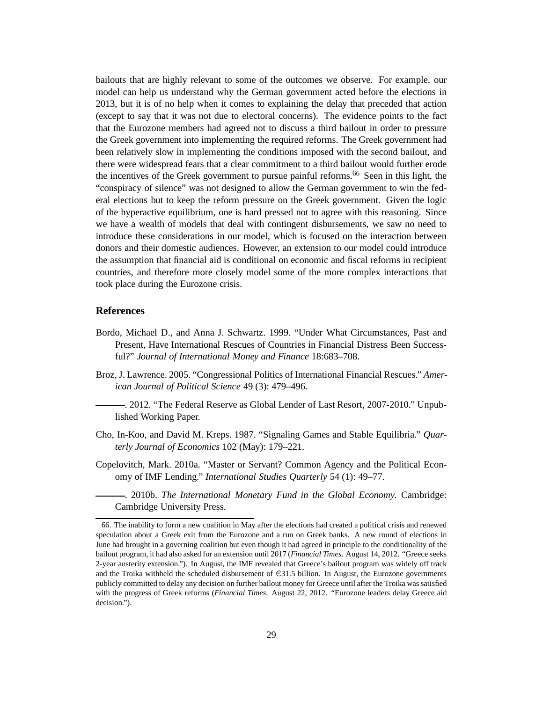bailouts that are highly relevant to some of the outcomes we observe. For example, our model can help us understand why the German government acted before the elections in 2013, but it is of no help when it comes to explaining the delay that preceded that action (except to say that it was not due to electoral concerns). The evidence points to the fact that the Eurozone members had agreed not to discuss a third bailout in order to pressure the Greek government into implementing the required reforms. The Greek government had been relatively slow in implementing the conditions imposed with the second bailout, and there were widespread fears that a clear commitment to a third bailout would further erode the incentives of the Greek government to pursue painful reforms.<sup>66</sup> Seen in this light, the "conspiracy of silence" was not designed to allow the German government to win the federal elections but to keep the reform pressure on the Greek government. Given the logic of the hyperactive equilibrium, one is hard pressed not to agree with this reasoning. Since we have a wealth of models that deal with contingent disbursements, we saw no need to introduce these considerations in our model, which is focused on the interaction between donors and their domestic audiences. However, an extension to our model could introduce the assumption that financial aid is conditional on economic and fiscal reforms in recipient countries, and therefore more closely model some of the more complex interactions that took place during the Eurozone crisis.

## **References**

- Bordo, Michael D., and Anna J. Schwartz. 1999. "Under What Circumstances, Past and Present, Have International Rescues of Countries in Financial Distress Been Successful?" *Journal of International Money and Finance* 18:683–708.
- Broz, J. Lawrence. 2005. "Congressional Politics of International Financial Rescues." *American Journal of Political Science* 49 (3): 479–496.
- . 2012. "The Federal Reserve as Global Lender of Last Resort, 2007-2010." Unpublished Working Paper.
- Cho, In-Koo, and David M. Kreps. 1987. "Signaling Games and Stable Equilibria." *Quarterly Journal of Economics* 102 (May): 179–221.
- Copelovitch, Mark. 2010a. "Master or Servant? Common Agency and the Political Economy of IMF Lending." *International Studies Quarterly* 54 (1): 49–77.

. 2010b. *The International Monetary Fund in the Global Economy.* Cambridge: Cambridge University Press.

<sup>66.</sup> The inability to form a new coalition in May after the elections had created a political crisis and renewed speculation about a Greek exit from the Eurozone and a run on Greek banks. A new round of elections in June had brought in a governing coalition but even though it had agreed in principle to the conditionality of the bailout program, it had also asked for an extension until 2017 (*Financial Times*. August 14, 2012. "Greece seeks 2-year austerity extension."). In August, the IMF revealed that Greece's bailout program was widely off track and the Troika withheld the scheduled disbursement of  $\epsilon$ 31.5 billion. In August, the Eurozone governments publicly committed to delay any decision on further bailout money for Greece until after the Troika was satisfied with the progress of Greek reforms (*Financial Times*. August 22, 2012. "Eurozone leaders delay Greece aid decision.").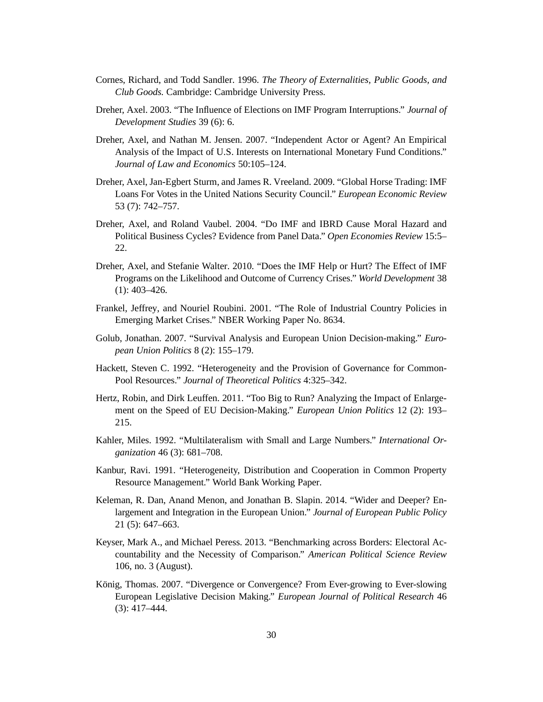- Cornes, Richard, and Todd Sandler. 1996. *The Theory of Externalities, Public Goods, and Club Goods.* Cambridge: Cambridge University Press.
- Dreher, Axel. 2003. "The Influence of Elections on IMF Program Interruptions." *Journal of Development Studies* 39 (6): 6.
- Dreher, Axel, and Nathan M. Jensen. 2007. "Independent Actor or Agent? An Empirical Analysis of the Impact of U.S. Interests on International Monetary Fund Conditions." *Journal of Law and Economics* 50:105–124.
- Dreher, Axel, Jan-Egbert Sturm, and James R. Vreeland. 2009. "Global Horse Trading: IMF Loans For Votes in the United Nations Security Council." *European Economic Review* 53 (7): 742–757.
- Dreher, Axel, and Roland Vaubel. 2004. "Do IMF and IBRD Cause Moral Hazard and Political Business Cycles? Evidence from Panel Data." *Open Economies Review* 15:5– 22.
- Dreher, Axel, and Stefanie Walter. 2010. "Does the IMF Help or Hurt? The Effect of IMF Programs on the Likelihood and Outcome of Currency Crises." *World Development* 38 (1): 403–426.
- Frankel, Jeffrey, and Nouriel Roubini. 2001. "The Role of Industrial Country Policies in Emerging Market Crises." NBER Working Paper No. 8634.
- Golub, Jonathan. 2007. "Survival Analysis and European Union Decision-making." *European Union Politics* 8 (2): 155–179.
- Hackett, Steven C. 1992. "Heterogeneity and the Provision of Governance for Common-Pool Resources." *Journal of Theoretical Politics* 4:325–342.
- Hertz, Robin, and Dirk Leuffen. 2011. "Too Big to Run? Analyzing the Impact of Enlargement on the Speed of EU Decision-Making." *European Union Politics* 12 (2): 193– 215.
- Kahler, Miles. 1992. "Multilateralism with Small and Large Numbers." *International Organization* 46 (3): 681–708.
- Kanbur, Ravi. 1991. "Heterogeneity, Distribution and Cooperation in Common Property Resource Management." World Bank Working Paper.
- Keleman, R. Dan, Anand Menon, and Jonathan B. Slapin. 2014. "Wider and Deeper? Enlargement and Integration in the European Union." *Journal of European Public Policy* 21 (5): 647–663.
- Keyser, Mark A., and Michael Peress. 2013. "Benchmarking across Borders: Electoral Accountability and the Necessity of Comparison." *American Political Science Review* 106, no. 3 (August).
- König, Thomas. 2007. "Divergence or Convergence? From Ever-growing to Ever-slowing European Legislative Decision Making." *European Journal of Political Research* 46 (3): 417–444.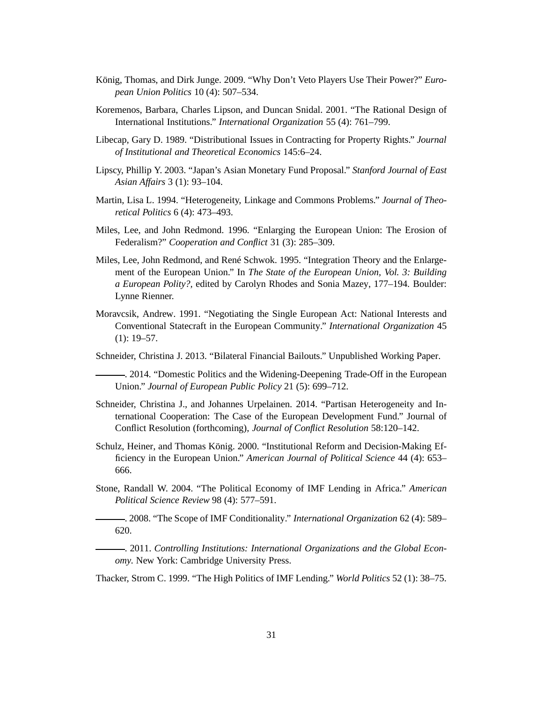- König, Thomas, and Dirk Junge. 2009. "Why Don't Veto Players Use Their Power?" *European Union Politics* 10 (4): 507–534.
- Koremenos, Barbara, Charles Lipson, and Duncan Snidal. 2001. "The Rational Design of International Institutions." *International Organization* 55 (4): 761–799.
- Libecap, Gary D. 1989. "Distributional Issues in Contracting for Property Rights." *Journal of Institutional and Theoretical Economics* 145:6–24.
- Lipscy, Phillip Y. 2003. "Japan's Asian Monetary Fund Proposal." *Stanford Journal of East Asian Affairs* 3 (1): 93–104.
- Martin, Lisa L. 1994. "Heterogeneity, Linkage and Commons Problems." *Journal of Theoretical Politics* 6 (4): 473–493.
- Miles, Lee, and John Redmond. 1996. "Enlarging the European Union: The Erosion of Federalism?" *Cooperation and Conflict* 31 (3): 285–309.
- Miles, Lee, John Redmond, and René Schwok. 1995. "Integration Theory and the Enlargement of the European Union." In *The State of the European Union, Vol. 3: Building a European Polity?,* edited by Carolyn Rhodes and Sonia Mazey, 177–194. Boulder: Lynne Rienner.
- Moravcsik, Andrew. 1991. "Negotiating the Single European Act: National Interests and Conventional Statecraft in the European Community." *International Organization* 45  $(1): 19-57.$
- Schneider, Christina J. 2013. "Bilateral Financial Bailouts." Unpublished Working Paper.

. 2014. "Domestic Politics and the Widening-Deepening Trade-Off in the European Union." *Journal of European Public Policy* 21 (5): 699–712.

- Schneider, Christina J., and Johannes Urpelainen. 2014. "Partisan Heterogeneity and International Cooperation: The Case of the European Development Fund." Journal of Conflict Resolution (forthcoming), *Journal of Conflict Resolution* 58:120–142.
- Schulz, Heiner, and Thomas König. 2000. "Institutional Reform and Decision-Making Efficiency in the European Union." *American Journal of Political Science* 44 (4): 653– 666.
- Stone, Randall W. 2004. "The Political Economy of IMF Lending in Africa." *American Political Science Review* 98 (4): 577–591.
- . 2008. "The Scope of IMF Conditionality." *International Organization* 62 (4): 589– 620.

. 2011. *Controlling Institutions: International Organizations and the Global Economy.* New York: Cambridge University Press.

Thacker, Strom C. 1999. "The High Politics of IMF Lending." *World Politics* 52 (1): 38–75.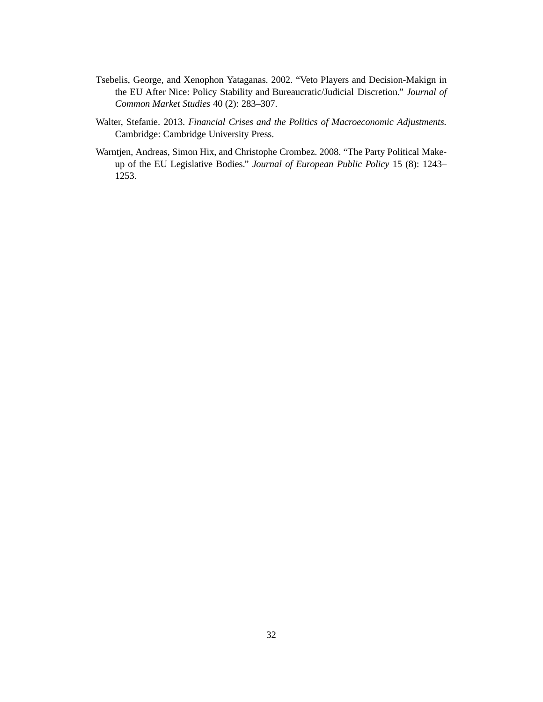- Tsebelis, George, and Xenophon Yataganas. 2002. "Veto Players and Decision-Makign in the EU After Nice: Policy Stability and Bureaucratic/Judicial Discretion." *Journal of Common Market Studies* 40 (2): 283–307.
- Walter, Stefanie. 2013. *Financial Crises and the Politics of Macroeconomic Adjustments.* Cambridge: Cambridge University Press.
- Warntjen, Andreas, Simon Hix, and Christophe Crombez. 2008. "The Party Political Makeup of the EU Legislative Bodies." *Journal of European Public Policy* 15 (8): 1243– 1253.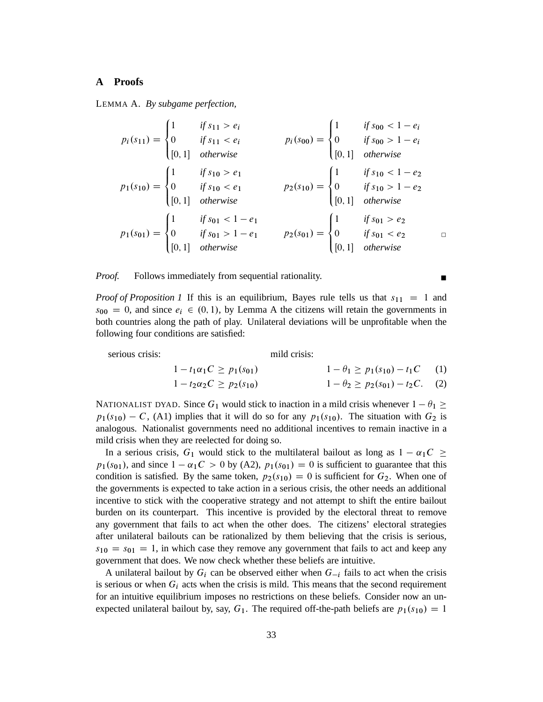#### **A Proofs**

LEMMA A. *By subgame perfection,*

$$
p_i(s_{11}) = \begin{cases} 1 & \text{if } s_{11} > e_i \\ 0 & \text{if } s_{11} < e_i \\ [0,1] & \text{otherwise} \end{cases} \qquad p_i(s_{00}) = \begin{cases} 1 & \text{if } s_{00} < 1 - e_i \\ 0 & \text{if } s_{00} > 1 - e_i \\ [0,1] & \text{otherwise} \end{cases}
$$
\n
$$
p_1(s_{10}) = \begin{cases} 1 & \text{if } s_{10} > e_1 \\ 0 & \text{if } s_{10} < e_1 \\ [0,1] & \text{otherwise} \end{cases} \qquad p_2(s_{10}) = \begin{cases} 1 & \text{if } s_{10} < 1 - e_2 \\ 0 & \text{if } s_{10} > 1 - e_2 \\ [0,1] & \text{otherwise} \end{cases}
$$
\n
$$
p_1(s_{01}) = \begin{cases} 1 & \text{if } s_{01} < 1 - e_1 \\ 0 & \text{if } s_{01} > 1 - e_1 \\ [0,1] & \text{otherwise} \end{cases} \qquad p_2(s_{01}) = \begin{cases} 1 & \text{if } s_{01} > e_2 \\ 0 & \text{if } s_{01} < e_2 \\ [0,1] & \text{otherwise} \end{cases} \qquad \Box
$$

*Proof.* Follows immediately from sequential rationality.

*Proof of Proposition 1* If this is an equilibrium, Bayes rule tells us that  $s_{11} = 1$  and  $s_{00} = 0$ , and since  $e_i \in (0, 1)$ , by Lemma A the citizens will retain the governments in both countries along the path of play. Unilateral deviations will be unprofitable when the following four conditions are satisfied:

serious crisis: mild crisis:

$$
1 - t_1 \alpha_1 C \ge p_1(s_{01}) \qquad \qquad 1 - \theta_1 \ge p_1(s_{10}) - t_1 C \qquad (1)
$$

$$
1 - t_2 \alpha_2 C \ge p_2(s_{10}) \qquad \qquad 1 - \theta_2 \ge p_2(s_{01}) - t_2 C. \quad (2)
$$

NATIONALIST DYAD. Since  $G_1$  would stick to inaction in a mild crisis whenever  $1 - \theta_1 \ge$  $p_1(s_{10}) - C$ , (A1) implies that it will do so for any  $p_1(s_{10})$ . The situation with  $G_2$  is analogous. Nationalist governments need no additional incentives to remain inactive in a mild crisis when they are reelected for doing so.

In a serious crisis,  $G_1$  would stick to the multilateral bailout as long as  $1 - \alpha_1 C \ge$  $p_1(s_{01})$ , and since  $1 - \alpha_1 C > 0$  by (A2),  $p_1(s_{01}) = 0$  is sufficient to guarantee that this condition is satisfied. By the same token,  $p_2(s_{10}) = 0$  is sufficient for  $G_2$ . When one of the governments is expected to take action in a serious crisis, the other needs an additional incentive to stick with the cooperative strategy and not attempt to shift the entire bailout burden on its counterpart. This incentive is provided by the electoral threat to remove any government that fails to act when the other does. The citizens' electoral strategies after unilateral bailouts can be rationalized by them believing that the crisis is serious,  $s_{10} = s_{01} = 1$ , in which case they remove any government that fails to act and keep any government that does. We now check whether these beliefs are intuitive.

A unilateral bailout by  $G_i$  can be observed either when  $G_{-i}$  fails to act when the crisis is serious or when  $G_i$  acts when the crisis is mild. This means that the second requirement for an intuitive equilibrium imposes no restrictions on these beliefs. Consider now an unexpected unilateral bailout by, say,  $G_1$ . The required off-the-path beliefs are  $p_1(s_{10}) = 1$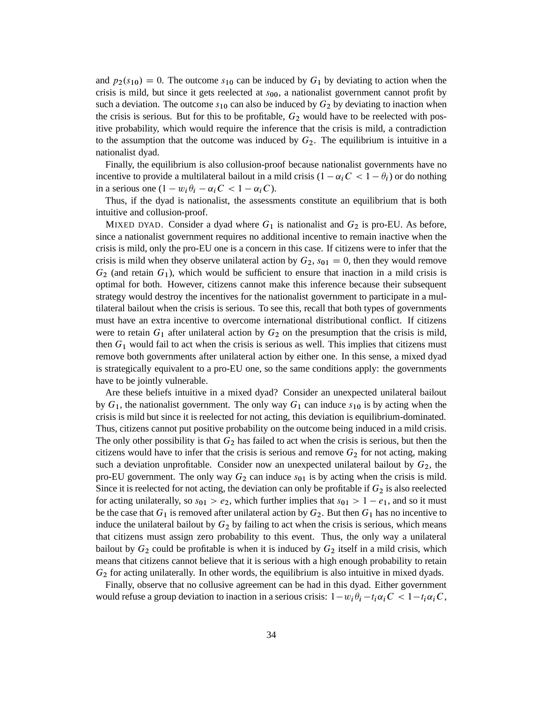and  $p_2(s_{10}) = 0$ . The outcome  $s_{10}$  can be induced by  $G_1$  by deviating to action when the crisis is mild, but since it gets reelected at  $s_{00}$ , a nationalist government cannot profit by such a deviation. The outcome  $s_{10}$  can also be induced by  $G_2$  by deviating to inaction when the crisis is serious. But for this to be profitable,  $G_2$  would have to be reelected with positive probability, which would require the inference that the crisis is mild, a contradiction to the assumption that the outcome was induced by  $G_2$ . The equilibrium is intuitive in a nationalist dyad.

Finally, the equilibrium is also collusion-proof because nationalist governments have no incentive to provide a multilateral bailout in a mild crisis  $(1 - \alpha_i C < 1 - \theta_i)$  or do nothing in a serious one  $(1 - w_i \theta_i - \alpha_i C < 1 - \alpha_i C)$ .

Thus, if the dyad is nationalist, the assessments constitute an equilibrium that is both intuitive and collusion-proof.

MIXED DYAD. Consider a dyad where  $G_1$  is nationalist and  $G_2$  is pro-EU. As before, since a nationalist government requires no additional incentive to remain inactive when the crisis is mild, only the pro-EU one is a concern in this case. If citizens were to infer that the crisis is mild when they observe unilateral action by  $G_2$ ,  $s_{01} = 0$ , then they would remove  $G_2$  (and retain  $G_1$ ), which would be sufficient to ensure that inaction in a mild crisis is optimal for both. However, citizens cannot make this inference because their subsequent strategy would destroy the incentives for the nationalist government to participate in a multilateral bailout when the crisis is serious. To see this, recall that both types of governments must have an extra incentive to overcome international distributional conflict. If citizens were to retain  $G_1$  after unilateral action by  $G_2$  on the presumption that the crisis is mild, then  $G_1$  would fail to act when the crisis is serious as well. This implies that citizens must remove both governments after unilateral action by either one. In this sense, a mixed dyad is strategically equivalent to a pro-EU one, so the same conditions apply: the governments have to be jointly vulnerable.

Are these beliefs intuitive in a mixed dyad? Consider an unexpected unilateral bailout by  $G_1$ , the nationalist government. The only way  $G_1$  can induce  $s_{10}$  is by acting when the crisis is mild but since it is reelected for not acting, this deviation is equilibrium-dominated. Thus, citizens cannot put positive probability on the outcome being induced in a mild crisis. The only other possibility is that  $G_2$  has failed to act when the crisis is serious, but then the citizens would have to infer that the crisis is serious and remove  $G_2$  for not acting, making such a deviation unprofitable. Consider now an unexpected unilateral bailout by  $G_2$ , the pro-EU government. The only way  $G_2$  can induce  $s_{01}$  is by acting when the crisis is mild. Since it is reelected for not acting, the deviation can only be profitable if  $G_2$  is also reelected for acting unilaterally, so  $s_{01} > e_2$ , which further implies that  $s_{01} > 1 - e_1$ , and so it must be the case that  $G_1$  is removed after unilateral action by  $G_2$ . But then  $G_1$  has no incentive to induce the unilateral bailout by  $G_2$  by failing to act when the crisis is serious, which means that citizens must assign zero probability to this event. Thus, the only way a unilateral bailout by  $G_2$  could be profitable is when it is induced by  $G_2$  itself in a mild crisis, which means that citizens cannot believe that it is serious with a high enough probability to retain  $G_2$  for acting unilaterally. In other words, the equilibrium is also intuitive in mixed dyads.

Finally, observe that no collusive agreement can be had in this dyad. Either government would refuse a group deviation to inaction in a serious crisis:  $1-w_i\theta_i-t_i\alpha_iC < 1-t_i\alpha_iC$ ,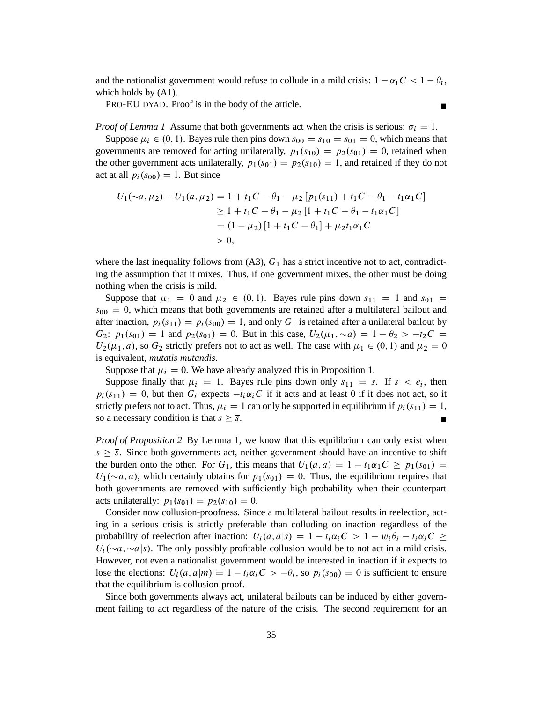and the nationalist government would refuse to collude in a mild crisis:  $1 - \alpha_i C < 1 - \theta_i$ , which holds by (A1).

PRO-EU DYAD. Proof is in the body of the article.

*Proof of Lemma 1* Assume that both governments act when the crisis is serious:  $\sigma_i = 1$ .

Suppose  $\mu_i \in (0, 1)$ . Bayes rule then pins down  $s_{00} = s_{10} = s_{01} = 0$ , which means that governments are removed for acting unilaterally,  $p_1(s_{10}) = p_2(s_{01}) = 0$ , retained when the other government acts unilaterally,  $p_1(s_{01}) = p_2(s_{10}) = 1$ , and retained if they do not act at all  $p_i(s_{00}) = 1$ . But since

$$
U_1(\sim a, \mu_2) - U_1(a, \mu_2) = 1 + t_1C - \theta_1 - \mu_2 [p_1(s_{11}) + t_1C - \theta_1 - t_1\alpha_1C]
$$
  
\n
$$
\geq 1 + t_1C - \theta_1 - \mu_2 [1 + t_1C - \theta_1 - t_1\alpha_1C]
$$
  
\n
$$
= (1 - \mu_2) [1 + t_1C - \theta_1] + \mu_2t_1\alpha_1C
$$
  
\n
$$
> 0,
$$

where the last inequality follows from  $(A3)$ ,  $G_1$  has a strict incentive not to act, contradicting the assumption that it mixes. Thus, if one government mixes, the other must be doing nothing when the crisis is mild.

Suppose that  $\mu_1 = 0$  and  $\mu_2 \in (0, 1)$ . Bayes rule pins down  $s_{11} = 1$  and  $s_{01} =$  $s_{00} = 0$ , which means that both governments are retained after a multilateral bailout and after inaction,  $p_i(s_{11}) = p_i(s_{00}) = 1$ , and only  $G_1$  is retained after a unilateral bailout by  $G_2$ :  $p_1(s_{01}) = 1$  and  $p_2(s_{01}) = 0$ . But in this case,  $U_2(\mu_1, \sim a) = 1 - \theta_2 > -t_2C =$  $U_2(\mu_1, a)$ , so  $G_2$  strictly prefers not to act as well. The case with  $\mu_1 \in (0, 1)$  and  $\mu_2 = 0$ is equivalent, *mutatis mutandis*.

Suppose that  $\mu_i = 0$ . We have already analyzed this in Proposition 1.

Suppose finally that  $\mu_i = 1$ . Bayes rule pins down only  $s_{11} = s$ . If  $s < e_i$ , then  $p_i(s_{11}) = 0$ , but then  $G_i$  expects  $-t_i\alpha_iC$  if it acts and at least 0 if it does not act, so it strictly prefers not to act. Thus,  $\mu_i = 1$  can only be supported in equilibrium if  $p_i(s_{11}) = 1$ , so a necessary condition is that  $s \geq \overline{s}$ .

*Proof of Proposition 2* By Lemma 1, we know that this equilibrium can only exist when  $s \geq \overline{s}$ . Since both governments act, neither government should have an incentive to shift the burden onto the other. For  $G_1$ , this means that  $U_1(a,a) = 1 - t_1\alpha_1C \geq p_1(s_{01}) =$  $U_1(\sim a,a)$ , which certainly obtains for  $p_1(s_{01}) = 0$ . Thus, the equilibrium requires that both governments are removed with sufficiently high probability when their counterpart acts unilaterally:  $p_1(s_{01}) = p_2(s_{10}) = 0$ .

Consider now collusion-proofness. Since a multilateral bailout results in reelection, acting in a serious crisis is strictly preferable than colluding on inaction regardless of the probability of reelection after inaction:  $U_i(a, a|s) = 1 - t_i \alpha_i C > 1 - w_i \theta_i - t_i \alpha_i C \geq 1$  $U_i(\sim a, \sim a|s)$ . The only possibly profitable collusion would be to not act in a mild crisis. However, not even a nationalist government would be interested in inaction if it expects to lose the elections:  $U_i(a, a|m) = 1 - t_i\alpha_i C > -\theta_i$ , so  $p_i(s_{00}) = 0$  is sufficient to ensure that the equilibrium is collusion-proof.

Since both governments always act, unilateral bailouts can be induced by either government failing to act regardless of the nature of the crisis. The second requirement for an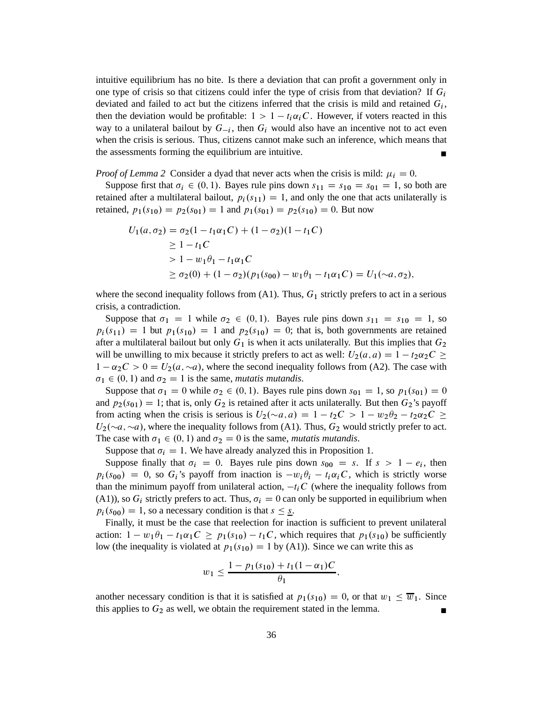intuitive equilibrium has no bite. Is there a deviation that can profit a government only in one type of crisis so that citizens could infer the type of crisis from that deviation? If  $G_i$ deviated and failed to act but the citizens inferred that the crisis is mild and retained  $G_i$ , then the deviation would be profitable:  $1 > 1 - t_i \alpha_i C$ . However, if voters reacted in this way to a unilateral bailout by  $G_{-i}$ , then  $G_i$  would also have an incentive not to act even when the crisis is serious. Thus, citizens cannot make such an inference, which means that the assessments forming the equilibrium are intuitive.

*Proof of Lemma 2* Consider a dyad that never acts when the crisis is mild:  $\mu_i = 0$ .

Suppose first that  $\sigma_i \in (0, 1)$ . Bayes rule pins down  $s_{11} = s_{10} = s_{01} = 1$ , so both are retained after a multilateral bailout,  $p_i(s_{11}) = 1$ , and only the one that acts unilaterally is retained,  $p_1(s_{10}) = p_2(s_{01}) = 1$  and  $p_1(s_{01}) = p_2(s_{10}) = 0$ . But now

$$
U_1(a, \sigma_2) = \sigma_2(1 - t_1\alpha_1C) + (1 - \sigma_2)(1 - t_1C)
$$
  
\n
$$
\geq 1 - t_1C
$$
  
\n
$$
> 1 - w_1\theta_1 - t_1\alpha_1C
$$
  
\n
$$
\geq \sigma_2(0) + (1 - \sigma_2)(p_1(s_{00}) - w_1\theta_1 - t_1\alpha_1C) = U_1(\sim a, \sigma_2),
$$

where the second inequality follows from  $(A1)$ . Thus,  $G_1$  strictly prefers to act in a serious crisis, a contradiction.

Suppose that  $\sigma_1 = 1$  while  $\sigma_2 \in (0, 1)$ . Bayes rule pins down  $s_{11} = s_{10} = 1$ , so  $p_i(s_{11}) = 1$  but  $p_1(s_{10}) = 1$  and  $p_2(s_{10}) = 0$ ; that is, both governments are retained after a multilateral bailout but only  $G_1$  is when it acts unilaterally. But this implies that  $G_2$ will be unwilling to mix because it strictly prefers to act as well:  $U_2(a, a) = 1 - t_2 \alpha_2 C \geq$  $1 - \alpha_2 C > 0 = U_2(a, \sim a)$ , where the second inequality follows from (A2). The case with  $\sigma_1 \in (0, 1)$  and  $\sigma_2 = 1$  is the same, *mutatis mutandis*.

Suppose that  $\sigma_1 = 0$  while  $\sigma_2 \in (0, 1)$ . Bayes rule pins down  $s_{01} = 1$ , so  $p_1(s_{01}) = 0$ and  $p_2(s_{01}) = 1$ ; that is, only  $G_2$  is retained after it acts unilaterally. But then  $G_2$ 's payoff from acting when the crisis is serious is  $U_2(\sim a, a) = 1 - t_2C > 1 - w_2\theta_2 - t_2\alpha_2C \geq$  $U_2(\sim a, \sim a)$ , where the inequality follows from (A1). Thus,  $G_2$  would strictly prefer to act. The case with  $\sigma_1 \in (0, 1)$  and  $\sigma_2 = 0$  is the same, *mutatis mutandis*.

Suppose that  $\sigma_i = 1$ . We have already analyzed this in Proposition 1.

Suppose finally that  $\sigma_i = 0$ . Bayes rule pins down  $s_{00} = s$ . If  $s > 1 - e_i$ , then  $p_i(s_{00}) = 0$ , so  $G_i$ 's payoff from inaction is  $-w_i \theta_i - t_i \alpha_i C$ , which is strictly worse than the minimum payoff from unilateral action,  $-t_iC$  (where the inequality follows from (A1)), so  $G_i$  strictly prefers to act. Thus,  $\sigma_i = 0$  can only be supported in equilibrium when  $p_i(s_{00}) = 1$ , so a necessary condition is that  $s \leq s$ .

Finally, it must be the case that reelection for inaction is sufficient to prevent unilateral action:  $1 - w_1 \theta_1 - t_1 \alpha_1 C \geq p_1(s_{10}) - t_1 C$ , which requires that  $p_1(s_{10})$  be sufficiently low (the inequality is violated at  $p_1(s_{10}) = 1$  by (A1)). Since we can write this as

$$
w_1 \le \frac{1 - p_1(s_{10}) + t_1(1 - \alpha_1)C}{\theta_1}
$$

;

another necessary condition is that it is satisfied at  $p_1(s_{10}) = 0$ , or that  $w_1 \le \overline{w}_1$ . Since this applies to  $G_2$  as well, we obtain the requirement stated in the lemma.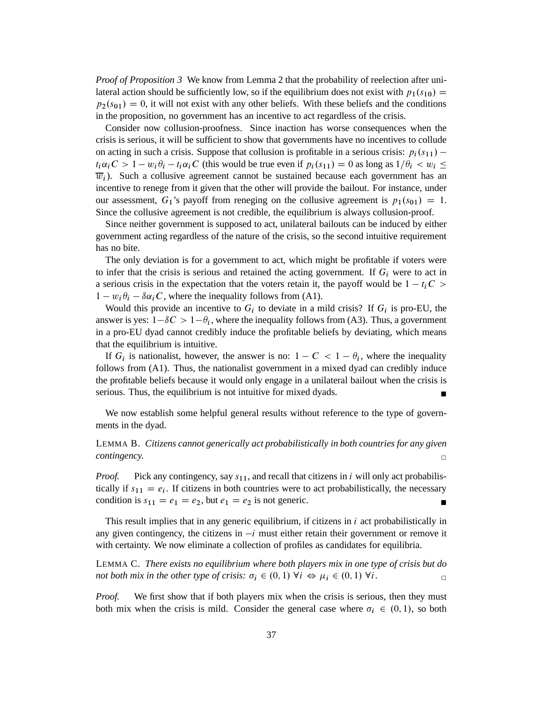*Proof of Proposition 3* We know from Lemma 2 that the probability of reelection after unilateral action should be sufficiently low, so if the equilibrium does not exist with  $p_1(s_{10}) =$  $p_2(s_{01}) = 0$ , it will not exist with any other beliefs. With these beliefs and the conditions in the proposition, no government has an incentive to act regardless of the crisis.

Consider now collusion-proofness. Since inaction has worse consequences when the crisis is serious, it will be sufficient to show that governments have no incentives to collude on acting in such a crisis. Suppose that collusion is profitable in a serious crisis:  $p_i(s_{11})$  –  $t_i\alpha_i C > 1 - w_i\theta_i - t_i\alpha_i C$  (this would be true even if  $p_i(s_{11}) = 0$  as long as  $1/\theta_i < w_i \le$  $\overline{w_i}$ ). Such a collusive agreement cannot be sustained because each government has an incentive to renege from it given that the other will provide the bailout. For instance, under our assessment,  $G_1$ 's payoff from reneging on the collusive agreement is  $p_1(s_{01}) = 1$ . Since the collusive agreement is not credible, the equilibrium is always collusion-proof.

Since neither government is supposed to act, unilateral bailouts can be induced by either government acting regardless of the nature of the crisis, so the second intuitive requirement has no bite.

The only deviation is for a government to act, which might be profitable if voters were to infer that the crisis is serious and retained the acting government. If  $G_i$  were to act in a serious crisis in the expectation that the voters retain it, the payoff would be  $1 - t_iC$  $1 - w_i \theta_i - \delta \alpha_i C$ , where the inequality follows from (A1).

Would this provide an incentive to  $G_i$  to deviate in a mild crisis? If  $G_i$  is pro-EU, the answer is yes:  $1-\delta C > 1-\theta_i$ , where the inequality follows from (A3). Thus, a government in a pro-EU dyad cannot credibly induce the profitable beliefs by deviating, which means that the equilibrium is intuitive.

If  $G_i$  is nationalist, however, the answer is no:  $1 - C < 1 - \theta_i$ , where the inequality follows from (A1). Thus, the nationalist government in a mixed dyad can credibly induce the profitable beliefs because it would only engage in a unilateral bailout when the crisis is serious. Thus, the equilibrium is not intuitive for mixed dyads.

We now establish some helpful general results without reference to the type of governments in the dyad.

LEMMA B. *Citizens cannot generically act probabilistically in both countries for any given contingency.* □

*Proof.* Pick any contingency, say  $s_{11}$ , and recall that citizens in i will only act probabilistically if  $s_{11} = e_i$ . If citizens in both countries were to act probabilistically, the necessary condition is  $s_{11} = e_1 = e_2$ , but  $e_1 = e_2$  is not generic.

This result implies that in any generic equilibrium, if citizens in  $i$  act probabilistically in any given contingency, the citizens in  $-i$  must either retain their government or remove it with certainty. We now eliminate a collection of profiles as candidates for equilibria.

LEMMA C. *There exists no equilibrium where both players mix in one type of crisis but do not both mix in the other type of crisis:*  $\sigma_i \in (0,1) \ \forall i \Leftrightarrow \mu_i \in (0,1) \ \forall i$ .

*Proof.* We first show that if both players mix when the crisis is serious, then they must both mix when the crisis is mild. Consider the general case where  $\sigma_i \in (0,1)$ , so both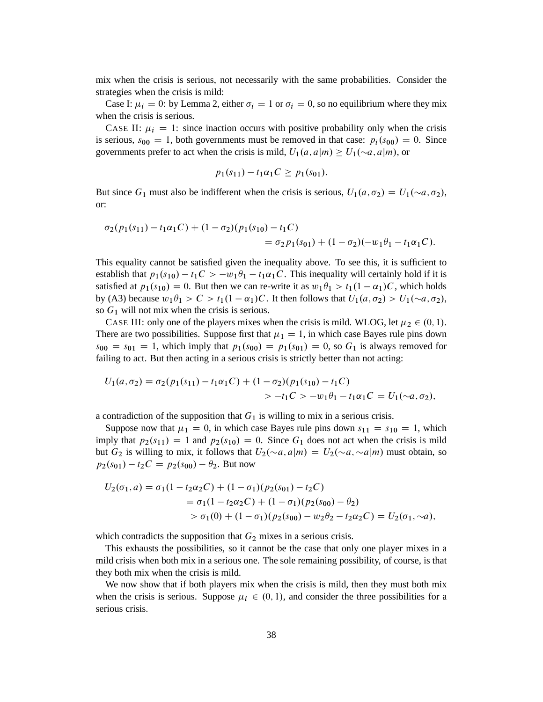mix when the crisis is serious, not necessarily with the same probabilities. Consider the strategies when the crisis is mild:

Case I:  $\mu_i = 0$ : by Lemma 2, either  $\sigma_i = 1$  or  $\sigma_i = 0$ , so no equilibrium where they mix when the crisis is serious.

CASE II:  $\mu_i = 1$ : since inaction occurs with positive probability only when the crisis is serious,  $s_{00} = 1$ , both governments must be removed in that case:  $p_i(s_{00}) = 0$ . Since governments prefer to act when the crisis is mild,  $U_1(a, a|m) \ge U_1(\sim a, a|m)$ , or

$$
p_1(s_{11}) - t_1 \alpha_1 C \geq p_1(s_{01}).
$$

But since  $G_1$  must also be indifferent when the crisis is serious,  $U_1(a, \sigma_2) = U_1(\sim a, \sigma_2)$ , or:

$$
\sigma_2(p_1(s_{11}) - t_1\alpha_1C) + (1 - \sigma_2)(p_1(s_{10}) - t_1C)
$$
  
= 
$$
\sigma_2 p_1(s_{01}) + (1 - \sigma_2)(-w_1\theta_1 - t_1\alpha_1C).
$$

This equality cannot be satisfied given the inequality above. To see this, it is sufficient to establish that  $p_1(s_{10}) - t_1C > -w_1\theta_1 - t_1\alpha_1C$ . This inequality will certainly hold if it is satisfied at  $p_1(s_{10}) = 0$ . But then we can re-write it as  $w_1 \theta_1 > t_1(1 - \alpha_1)C$ , which holds by (A3) because  $w_1 \theta_1 > C > t_1(1 - \alpha_1)C$ . It then follows that  $U_1(a, \sigma_2) > U_1(\sim a, \sigma_2)$ , so  $G_1$  will not mix when the crisis is serious.

CASE III: only one of the players mixes when the crisis is mild. WLOG, let  $\mu_2 \in (0, 1)$ . There are two possibilities. Suppose first that  $\mu_1 = 1$ , in which case Bayes rule pins down  $s_{00} = s_{01} = 1$ , which imply that  $p_1(s_{00}) = p_1(s_{01}) = 0$ , so  $G_1$  is always removed for failing to act. But then acting in a serious crisis is strictly better than not acting:

$$
U_1(a, \sigma_2) = \sigma_2(p_1(s_{11}) - t_1\alpha_1C) + (1 - \sigma_2)(p_1(s_{10}) - t_1C)
$$
  
> 
$$
-t_1C > -w_1\theta_1 - t_1\alpha_1C = U_1(\sim a, \sigma_2),
$$

a contradiction of the supposition that  $G_1$  is willing to mix in a serious crisis.

Suppose now that  $\mu_1 = 0$ , in which case Bayes rule pins down  $s_{11} = s_{10} = 1$ , which imply that  $p_2(s_{11}) = 1$  and  $p_2(s_{10}) = 0$ . Since  $G_1$  does not act when the crisis is mild but  $G_2$  is willing to mix, it follows that  $U_2(\sim a, a|m) = U_2(\sim a, \sim a|m)$  must obtain, so  $p_2(s_{01}) - t_2C = p_2(s_{00}) - \theta_2$ . But now

$$
U_2(\sigma_1, a) = \sigma_1 (1 - t_2 \alpha_2 C) + (1 - \sigma_1)(p_2(s_{01}) - t_2 C)
$$
  
=  $\sigma_1 (1 - t_2 \alpha_2 C) + (1 - \sigma_1)(p_2(s_{00}) - \theta_2)$   
>  $\sigma_1 (0) + (1 - \sigma_1)(p_2(s_{00}) - w_2 \theta_2 - t_2 \alpha_2 C) = U_2(\sigma_1, \sim a),$ 

which contradicts the supposition that  $G_2$  mixes in a serious crisis.

This exhausts the possibilities, so it cannot be the case that only one player mixes in a mild crisis when both mix in a serious one. The sole remaining possibility, of course, is that they both mix when the crisis is mild.

We now show that if both players mix when the crisis is mild, then they must both mix when the crisis is serious. Suppose  $\mu_i \in (0, 1)$ , and consider the three possibilities for a serious crisis.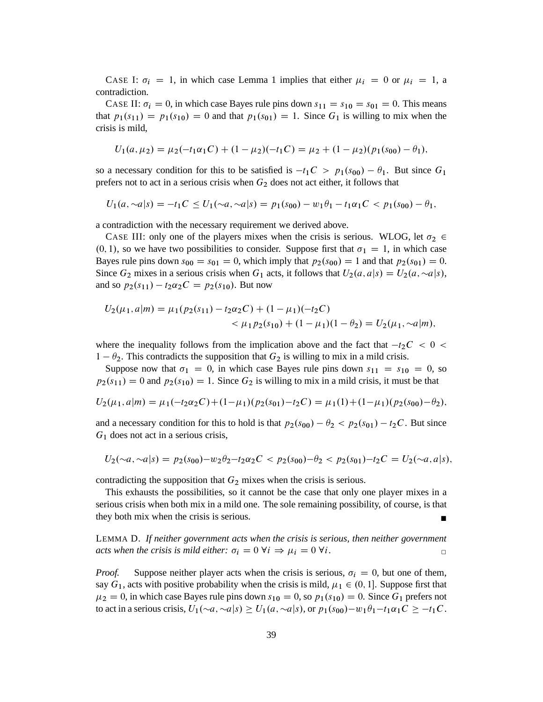CASE I:  $\sigma_i = 1$ , in which case Lemma 1 implies that either  $\mu_i = 0$  or  $\mu_i = 1$ , a contradiction.

CASE II:  $\sigma_i = 0$ , in which case Bayes rule pins down  $s_{11} = s_{10} = s_{01} = 0$ . This means that  $p_1(s_{11}) = p_1(s_{10}) = 0$  and that  $p_1(s_{01}) = 1$ . Since  $G_1$  is willing to mix when the crisis is mild,

$$
U_1(a,\mu_2)=\mu_2(-t_1\alpha_1C)+(1-\mu_2)(-t_1C)=\mu_2+(1-\mu_2)(p_1(s_{00})-\theta_1),
$$

so a necessary condition for this to be satisfied is  $-t_1C > p_1(s_{00}) - \theta_1$ . But since  $G_1$ prefers not to act in a serious crisis when  $G_2$  does not act either, it follows that

 $U_1(a, \sim a|s) = -t_1C \leq U_1(\sim a, \sim a|s) = p_1(s_{00}) - w_1\theta_1 - t_1\alpha_1C \leq p_1(s_{00}) - \theta_1,$ 

a contradiction with the necessary requirement we derived above.

CASE III: only one of the players mixes when the crisis is serious. WLOG, let  $\sigma_2 \in$  $(0, 1)$ , so we have two possibilities to consider. Suppose first that  $\sigma_1 = 1$ , in which case Bayes rule pins down  $s_{00} = s_{01} = 0$ , which imply that  $p_2(s_{00}) = 1$  and that  $p_2(s_{01}) = 0$ . Since  $G_2$  mixes in a serious crisis when  $G_1$  acts, it follows that  $U_2(a, a|s) = U_2(a, \sim a|s)$ , and so  $p_2(s_{11}) - t_2 \alpha_2 C = p_2(s_{10})$ . But now

$$
U_2(\mu_1, a|m) = \mu_1(p_2(s_{11}) - t_2\alpha_2 C) + (1 - \mu_1)(-t_2 C)
$$
  

$$
< \mu_1 p_2(s_{10}) + (1 - \mu_1)(1 - \theta_2) = U_2(\mu_1, \sim a|m),
$$

where the inequality follows from the implication above and the fact that  $-t_2C < 0 <$  $1 - \theta_2$ . This contradicts the supposition that  $G_2$  is willing to mix in a mild crisis.

Suppose now that  $\sigma_1 = 0$ , in which case Bayes rule pins down  $s_{11} = s_{10} = 0$ , so  $p_2(s_{11}) = 0$  and  $p_2(s_{10}) = 1$ . Since  $G_2$  is willing to mix in a mild crisis, it must be that

$$
U_2(\mu_1, a|m) = \mu_1(-t_2\alpha_2C) + (1-\mu_1)(p_2(s_{01}) - t_2C) = \mu_1(1) + (1-\mu_1)(p_2(s_{00}) - \theta_2),
$$

and a necessary condition for this to hold is that  $p_2(s_{00}) - \theta_2 < p_2(s_{01}) - t_2C$ . But since  $G_1$  does not act in a serious crisis,

$$
U_2(\sim a, \sim a \mid s) = p_2(s_{00}) - w_2 \theta_2 - t_2 \alpha_2 C < p_2(s_{00}) - \theta_2 < p_2(s_{01}) - t_2 C = U_2(\sim a, a \mid s),
$$

contradicting the supposition that  $G_2$  mixes when the crisis is serious.

This exhausts the possibilities, so it cannot be the case that only one player mixes in a serious crisis when both mix in a mild one. The sole remaining possibility, of course, is that they both mix when the crisis is serious.

LEMMA D. *If neither government acts when the crisis is serious, then neither government acts when the crisis is mild either:*  $\sigma_i = 0 \,\forall i \Rightarrow \mu_i = 0 \,\forall i$ .

*Proof.* Suppose neither player acts when the crisis is serious,  $\sigma_i = 0$ , but one of them, say  $G_1$ , acts with positive probability when the crisis is mild,  $\mu_1 \in (0, 1]$ . Suppose first that  $\mu_2 = 0$ , in which case Bayes rule pins down  $s_{10} = 0$ , so  $p_1(s_{10}) = 0$ . Since  $G_1$  prefers not to act in a serious crisis,  $U_1(\sim a, \sim a|s) \geq U_1(a, \sim a|s)$ , or  $p_1(s_{00})-w_1\theta_1-t_1\alpha_1C \geq -t_1C$ .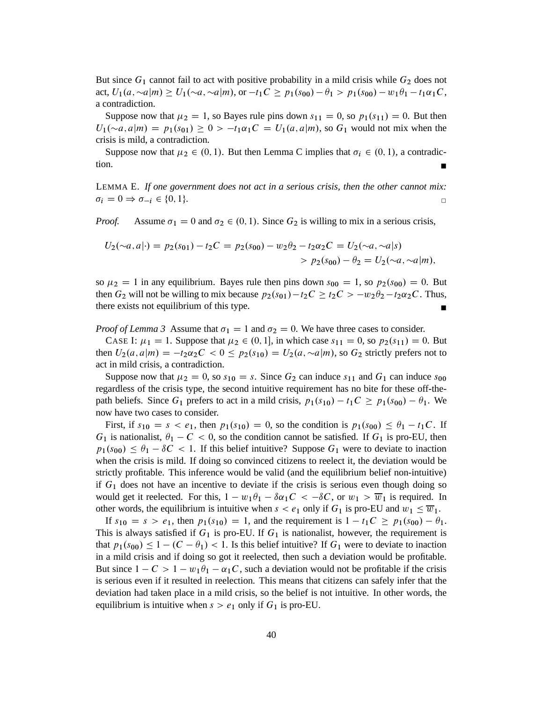But since  $G_1$  cannot fail to act with positive probability in a mild crisis while  $G_2$  does not act,  $U_1(a, \sim a|m) \ge U_1(\sim a, \sim a|m)$ , or  $-t_1C \ge p_1(s_{00}) - \theta_1 > p_1(s_{00}) - w_1\theta_1 - t_1\alpha_1C$ , a contradiction.

Suppose now that  $\mu_2 = 1$ , so Bayes rule pins down  $s_{11} = 0$ , so  $p_1(s_{11}) = 0$ . But then  $U_1(\sim a, a|m) = p_1(s_{01}) \geq 0 > -t_1\alpha_1C = U_1(a, a|m)$ , so  $G_1$  would not mix when the crisis is mild, a contradiction.

Suppose now that  $\mu_2 \in (0, 1)$ . But then Lemma C implies that  $\sigma_i \in (0, 1)$ , a contradiction.

LEMMA E. *If one government does not act in a serious crisis, then the other cannot mix:*  $\sigma_i = 0 \Rightarrow \sigma_{-i} \in \{0, 1\}.$ 

*Proof.* Assume  $\sigma_1 = 0$  and  $\sigma_2 \in (0, 1)$ . Since  $G_2$  is willing to mix in a serious crisis,

$$
U_2(\sim a, a| \cdot) = p_2(s_{01}) - t_2C = p_2(s_{00}) - w_2\theta_2 - t_2\alpha_2C = U_2(\sim a, \sim a|s)
$$
  
> 
$$
p_2(s_{00}) - \theta_2 = U_2(\sim a, \sim a|m),
$$

so  $\mu_2 = 1$  in any equilibrium. Bayes rule then pins down  $s_{00} = 1$ , so  $p_2(s_{00}) = 0$ . But then  $G_2$  will not be willing to mix because  $p_2(s_{01})-t_2C \ge t_2C > -w_2\theta_2-t_2\alpha_2C$ . Thus, there exists not equilibrium of this type.

*Proof of Lemma 3* Assume that  $\sigma_1 = 1$  and  $\sigma_2 = 0$ . We have three cases to consider.

CASE I:  $\mu_1 = 1$ . Suppose that  $\mu_2 \in (0, 1]$ , in which case  $s_{11} = 0$ , so  $p_2(s_{11}) = 0$ . But then  $U_2(a,a|m) = -t_2\alpha_2C < 0 \leq p_2(s_{10}) = U_2(a,\sim a|m)$ , so  $G_2$  strictly prefers not to act in mild crisis, a contradiction.

Suppose now that  $\mu_2 = 0$ , so  $s_{10} = s$ . Since  $G_2$  can induce  $s_{11}$  and  $G_1$  can induce  $s_{00}$ regardless of the crisis type, the second intuitive requirement has no bite for these off-thepath beliefs. Since  $G_1$  prefers to act in a mild crisis,  $p_1(s_{10}) - t_1C \geq p_1(s_{00}) - \theta_1$ . We now have two cases to consider.

First, if  $s_{10} = s < e_1$ , then  $p_1(s_{10}) = 0$ , so the condition is  $p_1(s_{00}) \le \theta_1 - t_1C$ . If  $G_1$  is nationalist,  $\theta_1 - C < 0$ , so the condition cannot be satisfied. If  $G_1$  is pro-EU, then  $p_1(s_{00}) \leq \theta_1 - \delta C < 1$ . If this belief intuitive? Suppose  $G_1$  were to deviate to inaction when the crisis is mild. If doing so convinced citizens to reelect it, the deviation would be strictly profitable. This inference would be valid (and the equilibrium belief non-intuitive) if  $G_1$  does not have an incentive to deviate if the crisis is serious even though doing so would get it reelected. For this,  $1 - w_1\theta_1 - \delta\alpha_1C < -\delta C$ , or  $w_1 > \overline{w}_1$  is required. In other words, the equilibrium is intuitive when  $s < e_1$  only if  $G_1$  is pro-EU and  $w_1 \le \overline{w}_1$ .

If  $s_{10} = s > e_1$ , then  $p_1(s_{10}) = 1$ , and the requirement is  $1 - t_1C \ge p_1(s_{00}) - \theta_1$ . This is always satisfied if  $G_1$  is pro-EU. If  $G_1$  is nationalist, however, the requirement is that  $p_1(s_{00}) \leq 1 - (C - \theta_1) < 1$ . Is this belief intuitive? If  $G_1$  were to deviate to inaction in a mild crisis and if doing so got it reelected, then such a deviation would be profitable. But since  $1 - C > 1 - w_1 \theta_1 - \alpha_1 C$ , such a deviation would not be profitable if the crisis is serious even if it resulted in reelection. This means that citizens can safely infer that the deviation had taken place in a mild crisis, so the belief is not intuitive. In other words, the equilibrium is intuitive when  $s > e_1$  only if  $G_1$  is pro-EU.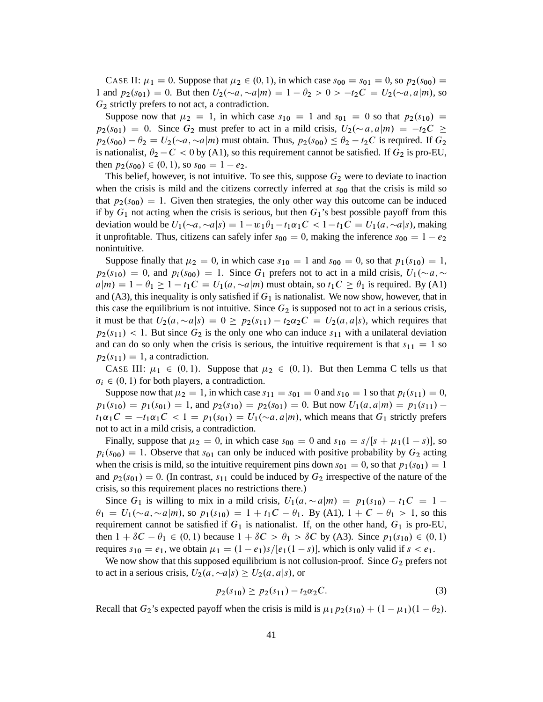CASE II:  $\mu_1 = 0$ . Suppose that  $\mu_2 \in (0, 1)$ , in which case  $s_{00} = s_{01} = 0$ , so  $p_2(s_{00}) =$ 1 and  $p_2(s_{01}) = 0$ . But then  $U_2(\sim a, \sim a|m) = 1 - \theta_2 > 0 > -t_2C = U_2(\sim a, a|m)$ , so  $G<sub>2</sub>$  strictly prefers to not act, a contradiction.

Suppose now that  $\mu_2 = 1$ , in which case  $s_{10} = 1$  and  $s_{01} = 0$  so that  $p_2(s_{10}) =$  $p_2(s_{01}) = 0$ . Since  $G_2$  must prefer to act in a mild crisis,  $U_2(\sim a, a|m) = -t_2C \geq$  $p_2(s_{00}) - \theta_2 = U_2(\sim a, \sim a|m)$  must obtain. Thus,  $p_2(s_{00}) \leq \theta_2 - t_2C$  is required. If  $G_2$ is nationalist,  $\theta_2 - C < 0$  by (A1), so this requirement cannot be satisfied. If  $G_2$  is pro-EU, then  $p_2(s_{00}) \in (0, 1)$ , so  $s_{00} = 1 - e_2$ .

This belief, however, is not intuitive. To see this, suppose  $G_2$  were to deviate to inaction when the crisis is mild and the citizens correctly inferred at  $s_{00}$  that the crisis is mild so that  $p_2(s_{00}) = 1$ . Given then strategies, the only other way this outcome can be induced if by  $G_1$  not acting when the crisis is serious, but then  $G_1$ 's best possible payoff from this deviation would be  $U_1(\sim a, \sim a|s) = 1 - w_1\theta_1 - t_1\alpha_1C < 1 - t_1C = U_1(a, \sim a|s)$ , making it unprofitable. Thus, citizens can safely infer  $s_{00} = 0$ , making the inference  $s_{00} = 1 - e_2$ nonintuitive.

Suppose finally that  $\mu_2 = 0$ , in which case  $s_{10} = 1$  and  $s_{00} = 0$ , so that  $p_1(s_{10}) = 1$ ,  $p_2(s_{10}) = 0$ , and  $p_i(s_{00}) = 1$ . Since  $G_1$  prefers not to act in a mild crisis,  $U_1(\sim a, \sim$  $a|m$  = 1 -  $\theta_1 \ge 1 - t_1C = U_1(a, \sim a|m)$  must obtain, so  $t_1C \ge \theta_1$  is required. By (A1) and (A3), this inequality is only satisfied if  $G_1$  is nationalist. We now show, however, that in this case the equilibrium is not intuitive. Since  $G_2$  is supposed not to act in a serious crisis, it must be that  $U_2(a, \sim a|s) = 0 \ge p_2(s_{11}) - t_2\alpha_2C = U_2(a, a|s)$ , which requires that  $p_2(s_{11})$  < 1. But since  $G_2$  is the only one who can induce  $s_{11}$  with a unilateral deviation and can do so only when the crisis is serious, the intuitive requirement is that  $s_{11} = 1$  so  $p_2(s_{11}) = 1$ , a contradiction.

CASE III:  $\mu_1 \in (0,1)$ . Suppose that  $\mu_2 \in (0,1)$ . But then Lemma C tells us that  $\sigma_i \in (0, 1)$  for both players, a contradiction.

Suppose now that  $\mu_2 = 1$ , in which case  $s_{11} = s_{01} = 0$  and  $s_{10} = 1$  so that  $p_i(s_{11}) = 0$ ,  $p_1(s_{10}) = p_1(s_{01}) = 1$ , and  $p_2(s_{10}) = p_2(s_{01}) = 0$ . But now  $U_1(a, a|m) = p_1(s_{11})$  $t_1\alpha_1C = -t_1\alpha_1C < 1 = p_1(s_{01}) = U_1(\sim a,a|m)$ , which means that  $G_1$  strictly prefers not to act in a mild crisis, a contradiction.

Finally, suppose that  $\mu_2 = 0$ , in which case  $s_{00} = 0$  and  $s_{10} = s/[s + \mu_1(1 - s)]$ , so  $p_i(s_{00}) = 1$ . Observe that s<sub>01</sub> can only be induced with positive probability by  $G_2$  acting when the crisis is mild, so the intuitive requirement pins down  $s_{01} = 0$ , so that  $p_1(s_{01}) = 1$ and  $p_2(s_{01}) = 0$ . (In contrast,  $s_{11}$  could be induced by  $G_2$  irrespective of the nature of the crisis, so this requirement places no restrictions there.)

Since  $G_1$  is willing to mix in a mild crisis,  $U_1(a, \sim a|m) = p_1(s_{10}) - t_1C = 1$  $\theta_1 = U_1(\sim a, \sim a|m)$ , so  $p_1(s_{10}) = 1 + t_1C - \theta_1$ . By (A1),  $1 + C - \theta_1 > 1$ , so this requirement cannot be satisfied if  $G_1$  is nationalist. If, on the other hand,  $G_1$  is pro-EU, then  $1 + \delta C - \theta_1 \in (0, 1)$  because  $1 + \delta C > \theta_1 > \delta C$  by (A3). Since  $p_1(s_{10}) \in (0, 1)$ requires  $s_{10} = e_1$ , we obtain  $\mu_1 = (1 - e_1)s/[e_1(1 - s)]$ , which is only valid if  $s < e_1$ .

We now show that this supposed equilibrium is not collusion-proof. Since  $G_2$  prefers not to act in a serious crisis,  $U_2(a, \sim a|s) \geq U_2(a, a|s)$ , or

$$
p_2(s_{10}) \ge p_2(s_{11}) - t_2 \alpha_2 C. \tag{3}
$$

Recall that  $G_2$ 's expected payoff when the crisis is mild is  $\mu_1 p_2(s_{10}) + (1 - \mu_1)(1 - \theta_2)$ .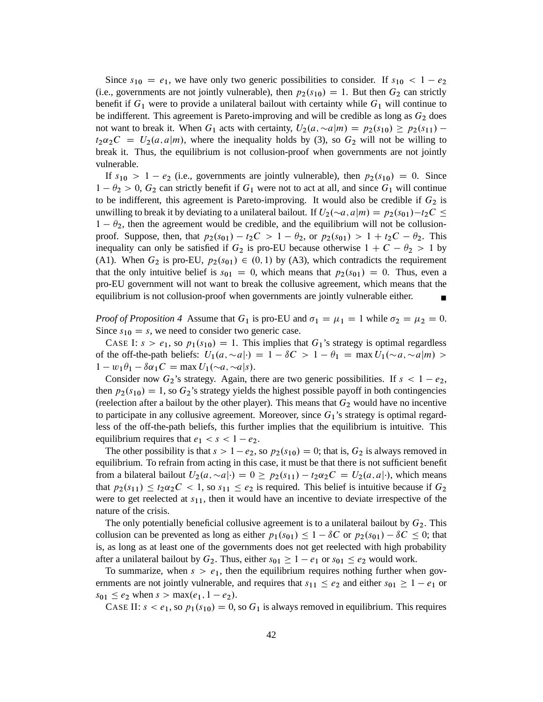Since  $s_{10} = e_1$ , we have only two generic possibilities to consider. If  $s_{10} < 1 - e_2$ (i.e., governments are not jointly vulnerable), then  $p_2(s_{10}) = 1$ . But then  $G_2$  can strictly benefit if  $G_1$  were to provide a unilateral bailout with certainty while  $G_1$  will continue to be indifferent. This agreement is Pareto-improving and will be credible as long as  $G_2$  does not want to break it. When  $G_1$  acts with certainty,  $U_2(a, \sim a|m) = p_2(s_{10}) \ge p_2(s_{11}) - p_1(s_{12})$  $t_2\alpha_2C = U_2(a,a|m)$ , where the inequality holds by (3), so  $G_2$  will not be willing to break it. Thus, the equilibrium is not collusion-proof when governments are not jointly vulnerable.

If  $s_{10} > 1 - e_2$  (i.e., governments are jointly vulnerable), then  $p_2(s_{10}) = 0$ . Since  $1 - \theta_2 > 0$ ,  $G_2$  can strictly benefit if  $G_1$  were not to act at all, and since  $G_1$  will continue to be indifferent, this agreement is Pareto-improving. It would also be credible if  $G_2$  is unwilling to break it by deviating to a unilateral bailout. If  $U_2(\sim a, a|m) = p_2(s_{01})-t_2C \leq$  $1 - \theta_2$ , then the agreement would be credible, and the equilibrium will not be collusionproof. Suppose, then, that  $p_2(s_{01}) - t_2C > 1 - \theta_2$ , or  $p_2(s_{01}) > 1 + t_2C - \theta_2$ . This inequality can only be satisfied if  $G_2$  is pro-EU because otherwise  $1 + C - \theta_2 > 1$  by (A1). When  $G_2$  is pro-EU,  $p_2(s_{01}) \in (0, 1)$  by (A3), which contradicts the requirement that the only intuitive belief is  $s_{01} = 0$ , which means that  $p_2(s_{01}) = 0$ . Thus, even a pro-EU government will not want to break the collusive agreement, which means that the equilibrium is not collusion-proof when governments are jointly vulnerable either.

*Proof of Proposition 4* Assume that  $G_1$  is pro-EU and  $\sigma_1 = \mu_1 = 1$  while  $\sigma_2 = \mu_2 = 0$ . Since  $s_{10} = s$ , we need to consider two generic case.

CASE I:  $s > e_1$ , so  $p_1(s_{10}) = 1$ . This implies that  $G_1$ 's strategy is optimal regardless of the off-the-path beliefs:  $U_1(a, \sim a | \cdot) = 1 - \delta C > 1 - \theta_1 = \max U_1(\sim a, \sim a | m) >$  $1 - w_1 \theta_1 - \delta \alpha_1 C = \max U_1(\sim a, \sim a|s).$ 

Consider now  $G_2$ 's strategy. Again, there are two generic possibilities. If  $s < 1 - e_2$ , then  $p_2(s_{10}) = 1$ , so  $G_2$ 's strategy yields the highest possible payoff in both contingencies (reelection after a bailout by the other player). This means that  $G_2$  would have no incentive to participate in any collusive agreement. Moreover, since  $G_1$ 's strategy is optimal regardless of the off-the-path beliefs, this further implies that the equilibrium is intuitive. This equilibrium requires that  $e_1 < s < 1 - e_2$ .

The other possibility is that  $s > 1 - e_2$ , so  $p_2(s_{10}) = 0$ ; that is,  $G_2$  is always removed in equilibrium. To refrain from acting in this case, it must be that there is not sufficient benefit from a bilateral bailout  $U_2(a, \sim a)$ .  $0 \ge p_2(s_{11}) - t_2\alpha_2C = U_2(a, a)$ . which means that  $p_2(s_{11}) \le t_2 \alpha_2 C < 1$ , so  $s_{11} \le e_2$  is required. This belief is intuitive because if  $G_2$ were to get reelected at  $s_{11}$ , then it would have an incentive to deviate irrespective of the nature of the crisis.

The only potentially beneficial collusive agreement is to a unilateral bailout by  $G_2$ . This collusion can be prevented as long as either  $p_1(s_{01}) \leq 1 - \delta C$  or  $p_2(s_{01}) - \delta C \leq 0$ ; that is, as long as at least one of the governments does not get reelected with high probability after a unilateral bailout by  $G_2$ . Thus, either  $s_{01} \geq 1 - e_1$  or  $s_{01} \leq e_2$  would work.

To summarize, when  $s > e_1$ , then the equilibrium requires nothing further when governments are not jointly vulnerable, and requires that  $s_{11} \leq e_2$  and either  $s_{01} \geq 1 - e_1$  or  $s_{01} \le e_2$  when  $s > \max(e_1, 1 - e_2)$ .

CASE II:  $s < e_1$ , so  $p_1(s_{10}) = 0$ , so  $G_1$  is always removed in equilibrium. This requires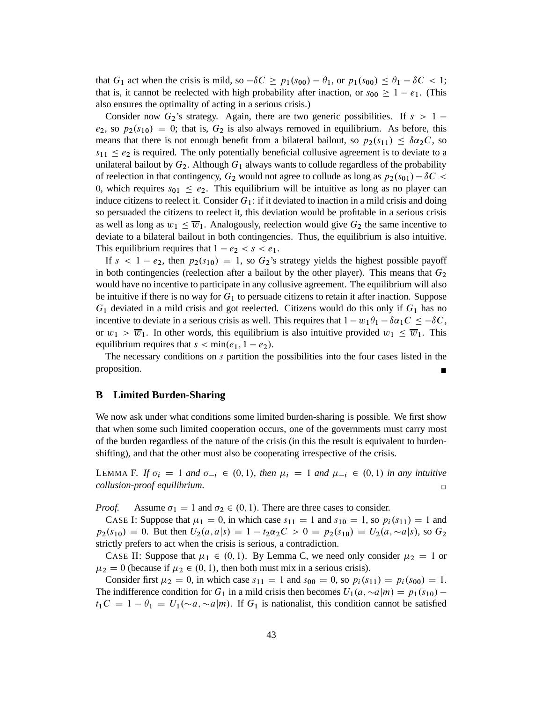that  $G_1$  act when the crisis is mild, so  $-\delta C \ge p_1(s_{00}) - \theta_1$ , or  $p_1(s_{00}) \le \theta_1 - \delta C < 1$ ; that is, it cannot be reelected with high probability after inaction, or  $s_{00} \geq 1 - e_1$ . (This also ensures the optimality of acting in a serious crisis.)

Consider now  $G_2$ 's strategy. Again, there are two generic possibilities. If  $s > 1$  $e_2$ , so  $p_2(s_{10}) = 0$ ; that is,  $G_2$  is also always removed in equilibrium. As before, this means that there is not enough benefit from a bilateral bailout, so  $p_2(s_{11}) \leq \delta \alpha_2 C$ , so  $s_{11} \leq e_2$  is required. The only potentially beneficial collusive agreement is to deviate to a unilateral bailout by  $G_2$ . Although  $G_1$  always wants to collude regardless of the probability of reelection in that contingency,  $G_2$  would not agree to collude as long as  $p_2(s_{01}) - \delta C$ 0, which requires  $s_{01} \le e_2$ . This equilibrium will be intuitive as long as no player can induce citizens to reelect it. Consider  $G_1$ : if it deviated to inaction in a mild crisis and doing so persuaded the citizens to reelect it, this deviation would be profitable in a serious crisis as well as long as  $w_1 \leq \overline{w}_1$ . Analogously, reelection would give  $G_2$  the same incentive to deviate to a bilateral bailout in both contingencies. Thus, the equilibrium is also intuitive. This equilibrium requires that  $1 - e_2 < s < e_1$ .

If  $s < 1 - e_2$ , then  $p_2(s_{10}) = 1$ , so  $G_2$ 's strategy yields the highest possible payoff in both contingencies (reelection after a bailout by the other player). This means that  $G_2$ would have no incentive to participate in any collusive agreement. The equilibrium will also be intuitive if there is no way for  $G_1$  to persuade citizens to retain it after inaction. Suppose  $G_1$  deviated in a mild crisis and got reelected. Citizens would do this only if  $G_1$  has no incentive to deviate in a serious crisis as well. This requires that  $1 - w_1 \theta_1 - \delta \alpha_1 C \leq -\delta C$ , or  $w_1 > \overline{w}_1$ . In other words, this equilibrium is also intuitive provided  $w_1 \leq \overline{w}_1$ . This equilibrium requires that  $s < min(e_1, 1 - e_2)$ .

The necessary conditions on s partition the possibilities into the four cases listed in the proposition.

## **B Limited Burden-Sharing**

We now ask under what conditions some limited burden-sharing is possible. We first show that when some such limited cooperation occurs, one of the governments must carry most of the burden regardless of the nature of the crisis (in this the result is equivalent to burdenshifting), and that the other must also be cooperating irrespective of the crisis.

LEMMA F. If  $\sigma_i = 1$  and  $\sigma_{-i} \in (0,1)$ , then  $\mu_i = 1$  and  $\mu_{-i} \in (0,1)$  in any intuitive *collusion-proof equilibrium.* ✷

*Proof.* Assume  $\sigma_1 = 1$  and  $\sigma_2 \in (0, 1)$ . There are three cases to consider.

CASE I: Suppose that  $\mu_1 = 0$ , in which case  $s_{11} = 1$  and  $s_{10} = 1$ , so  $p_i(s_{11}) = 1$  and  $p_2(s_{10}) = 0$ . But then  $U_2(a,a|s) = 1 - t_2\alpha_2C > 0 = p_2(s_{10}) = U_2(a, \sim a|s)$ , so  $G_2$ strictly prefers to act when the crisis is serious, a contradiction.

CASE II: Suppose that  $\mu_1 \in (0, 1)$ . By Lemma C, we need only consider  $\mu_2 = 1$  or  $\mu_2 = 0$  (because if  $\mu_2 \in (0, 1)$ , then both must mix in a serious crisis).

Consider first  $\mu_2 = 0$ , in which case  $s_{11} = 1$  and  $s_{00} = 0$ , so  $p_i(s_{11}) = p_i(s_{00}) = 1$ . The indifference condition for  $G_1$  in a mild crisis then becomes  $U_1(a, \sim a|m) = p_1(s_{10})$  $t_1C = 1 - \theta_1 = U_1(\sim a, \sim a|m)$ . If  $G_1$  is nationalist, this condition cannot be satisfied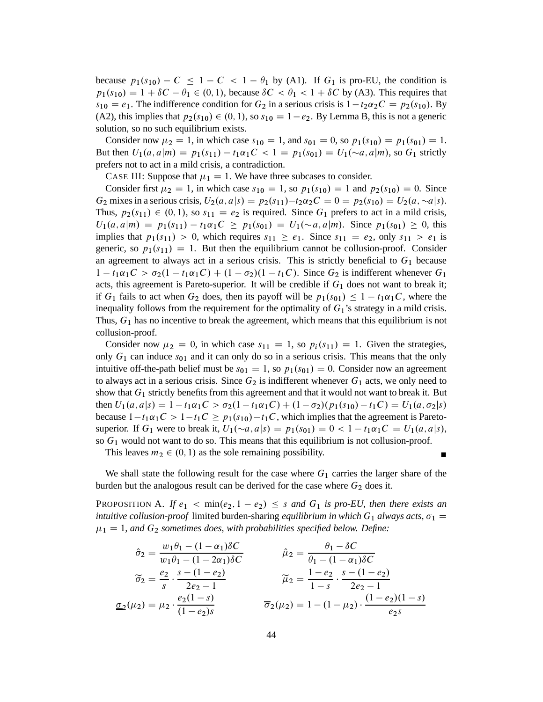because  $p_1(s_{10}) - C \leq 1 - C < 1 - \theta_1$  by (A1). If  $G_1$  is pro-EU, the condition is  $p_1(s_{10}) = 1 + \delta C - \theta_1 \in (0, 1)$ , because  $\delta C < \theta_1 < 1 + \delta C$  by (A3). This requires that  $s_{10} = e_1$ . The indifference condition for  $G_2$  in a serious crisis is  $1 - t_2 \alpha_2 C = p_2(s_{10})$ . By (A2), this implies that  $p_2(s_{10}) \in (0, 1)$ , so  $s_{10} = 1 - e_2$ . By Lemma B, this is not a generic solution, so no such equilibrium exists.

Consider now  $\mu_2 = 1$ , in which case  $s_{10} = 1$ , and  $s_{01} = 0$ , so  $p_1(s_{10}) = p_1(s_{01}) = 1$ . But then  $U_1(a, a|m) = p_1(s_{11}) - t_1\alpha_1C < 1 = p_1(s_{01}) = U_1(\sim a, a|m)$ , so  $G_1$  strictly prefers not to act in a mild crisis, a contradiction.

CASE III: Suppose that  $\mu_1 = 1$ . We have three subcases to consider.

Consider first  $\mu_2 = 1$ , in which case  $s_{10} = 1$ , so  $p_1(s_{10}) = 1$  and  $p_2(s_{10}) = 0$ . Since  $G_2$  mixes in a serious crisis,  $U_2(a, a|s) = p_2(s_{11})-t_2\alpha_2C = 0 = p_2(s_{10}) = U_2(a, \sim a|s)$ . Thus,  $p_2(s_{11}) \in (0, 1)$ , so  $s_{11} = e_2$  is required. Since  $G_1$  prefers to act in a mild crisis,  $U_1(a, a|m) = p_1(s_{11}) - t_1\alpha_1C \geq p_1(s_{01}) = U_1(\sim a, a|m)$ . Since  $p_1(s_{01}) \geq 0$ , this implies that  $p_1(s_{11}) > 0$ , which requires  $s_{11} \ge e_1$ . Since  $s_{11} = e_2$ , only  $s_{11} > e_1$  is generic, so  $p_1(s_{11}) = 1$ . But then the equilibrium cannot be collusion-proof. Consider an agreement to always act in a serious crisis. This is strictly beneficial to  $G_1$  because  $1 - t_1 \alpha_1 C > \sigma_2 (1 - t_1 \alpha_1 C) + (1 - \sigma_2)(1 - t_1 C)$ . Since  $G_2$  is indifferent whenever  $G_1$ acts, this agreement is Pareto-superior. It will be credible if  $G_1$  does not want to break it; if G<sub>1</sub> fails to act when G<sub>2</sub> does, then its payoff will be  $p_1(s_{01}) \leq 1 - t_1 \alpha_1 C$ , where the inequality follows from the requirement for the optimality of  $G_1$ 's strategy in a mild crisis. Thus,  $G_1$  has no incentive to break the agreement, which means that this equilibrium is not collusion-proof.

Consider now  $\mu_2 = 0$ , in which case  $s_{11} = 1$ , so  $p_i(s_{11}) = 1$ . Given the strategies, only  $G_1$  can induce  $s_{01}$  and it can only do so in a serious crisis. This means that the only intuitive off-the-path belief must be  $s_{01} = 1$ , so  $p_1(s_{01}) = 0$ . Consider now an agreement to always act in a serious crisis. Since  $G_2$  is indifferent whenever  $G_1$  acts, we only need to show that  $G_1$  strictly benefits from this agreement and that it would not want to break it. But then  $U_1(a, a|s) = 1 - t_1 \alpha_1 C > \sigma_2(1 - t_1 \alpha_1 C) + (1 - \sigma_2)(p_1(s_{10}) - t_1 C) = U_1(a, \sigma_2|s)$ because  $1-t_1\alpha_1C > 1-t_1C \geq p_1(s_{10})-t_1C$ , which implies that the agreement is Paretosuperior. If  $G_1$  were to break it,  $U_1(\sim a, a|s) = p_1(s_{01}) = 0 < 1 - t_1\alpha_1C = U_1(a, a|s)$ , so  $G_1$  would not want to do so. This means that this equilibrium is not collusion-proof.

This leaves  $m_2 \in (0, 1)$  as the sole remaining possibility.

We shall state the following result for the case where  $G_1$  carries the larger share of the burden but the analogous result can be derived for the case where  $G_2$  does it.

PROPOSITION A. If  $e_1 < \min(e_2, 1 - e_2) \leq s$  and  $G_1$  is pro-EU, then there exists an *intuitive collusion-proof* limited burden-sharing *equilibrium in which*  $G_1$  *always acts,*  $\sigma_1$  =  $\mu_1 = 1$ , and  $G_2$  sometimes does, with probabilities specified below. Define:

$$
\hat{\sigma}_2 = \frac{w_1 \theta_1 - (1 - \alpha_1) \delta C}{w_1 \theta_1 - (1 - 2\alpha_1) \delta C} \qquad \hat{\mu}_2 = \frac{\theta_1 - \delta C}{\theta_1 - (1 - \alpha_1) \delta C}
$$

$$
\widetilde{\sigma}_2 = \frac{e_2}{s} \cdot \frac{s - (1 - e_2)}{2e_2 - 1} \qquad \widetilde{\mu}_2 = \frac{1 - e_2}{1 - s} \cdot \frac{s - (1 - e_2)}{2e_2 - 1}
$$

$$
\underline{\sigma}_2(\mu_2) = \mu_2 \cdot \frac{e_2(1 - s)}{(1 - e_2)s} \qquad \overline{\sigma}_2(\mu_2) = 1 - (1 - \mu_2) \cdot \frac{(1 - e_2)(1 - s)}{e_2 s}
$$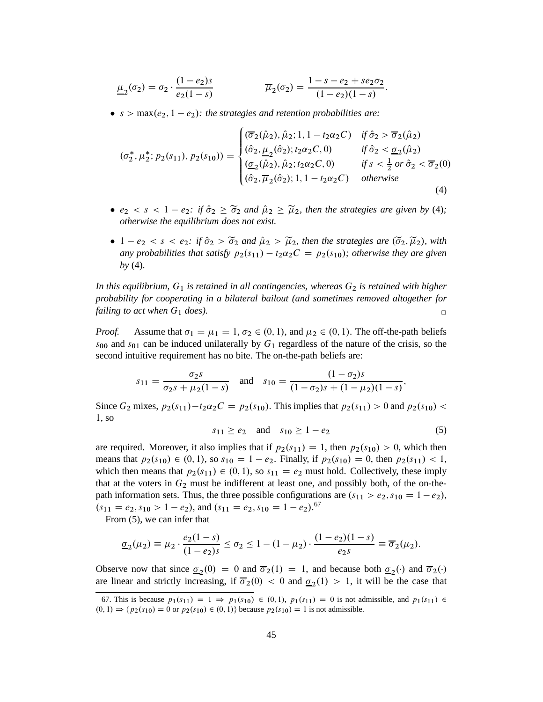$$
\underline{\mu}_2(\sigma_2) = \sigma_2 \cdot \frac{(1 - e_2)s}{e_2(1 - s)} \qquad \qquad \overline{\mu}_2(\sigma_2) = \frac{1 - s - e_2 + s e_2 \sigma_2}{(1 - e_2)(1 - s)}.
$$

•  $s > \max(e_2, 1 - e_2)$ : the strategies and retention probabilities are:

$$
(\sigma_2^*, \mu_2^*; p_2(s_{11}), p_2(s_{10})) = \begin{cases} (\overline{\sigma}_2(\hat{\mu}_2), \hat{\mu}_2; 1, 1 - t_2 \alpha_2 C) & \text{if } \hat{\sigma}_2 > \overline{\sigma}_2(\hat{\mu}_2) \\ (\hat{\sigma}_2, \underline{\mu}_2(\hat{\sigma}_2); t_2 \alpha_2 C, 0) & \text{if } \hat{\sigma}_2 < \underline{\sigma}_2(\hat{\mu}_2) \\ (\underline{\sigma}_2(\hat{\mu}_2), \hat{\mu}_2; t_2 \alpha_2 C, 0) & \text{if } s < \frac{1}{2} \text{ or } \hat{\sigma}_2 < \overline{\sigma}_2(0) \\ (\hat{\sigma}_2, \overline{\mu}_2(\hat{\sigma}_2); 1, 1 - t_2 \alpha_2 C) & \text{otherwise} \end{cases}
$$
(4)

- $e_2 < s < 1 e_2$ : if  $\hat{\sigma}_2 \geq \tilde{\sigma}_2$  and  $\hat{\mu}_2 \geq \tilde{\mu}_2$ , then the strategies are given by (4); *otherwise the equilibrium does not exist.*
- $1 e_2 < s < e_2$ : if  $\hat{\sigma}_2 > \tilde{\sigma}_2$  and  $\hat{\mu}_2 > \tilde{\mu}_2$ , then the strategies are  $(\tilde{\sigma}_2, \tilde{\mu}_2)$ , with *any probabilities that satisfy*  $p_2(s_{11}) - t_2\alpha_2C = p_2(s_{10})$ *; otherwise they are given by* (4)*.*

*In this equilibrium,*  $G_1$  *is retained in all contingencies, whereas*  $G_2$  *is retained with higher probability for cooperating in a bilateral bailout (and sometimes removed altogether for failing to act when*  $G_1$  *does*).

*Proof.* Assume that  $\sigma_1 = \mu_1 = 1$ ,  $\sigma_2 \in (0, 1)$ , and  $\mu_2 \in (0, 1)$ . The off-the-path beliefs  $s_{00}$  and  $s_{01}$  can be induced unilaterally by  $G_1$  regardless of the nature of the crisis, so the second intuitive requirement has no bite. The on-the-path beliefs are:

$$
s_{11} = \frac{\sigma_2 s}{\sigma_2 s + \mu_2 (1 - s)}
$$
 and  $s_{10} = \frac{(1 - \sigma_2)s}{(1 - \sigma_2)s + (1 - \mu_2)(1 - s)}$ ,

Since  $G_2$  mixes,  $p_2(s_{11})-t_2\alpha_2C = p_2(s_{10})$ . This implies that  $p_2(s_{11}) > 0$  and  $p_2(s_{10}) <$ 1, so

$$
s_{11} \ge e_2
$$
 and  $s_{10} \ge 1 - e_2$  (5)

are required. Moreover, it also implies that if  $p_2(s_{11}) = 1$ , then  $p_2(s_{10}) > 0$ , which then means that  $p_2(s_{10}) \in (0, 1)$ , so  $s_{10} = 1 - e_2$ . Finally, if  $p_2(s_{10}) = 0$ , then  $p_2(s_{11}) < 1$ , which then means that  $p_2(s_{11}) \in (0, 1)$ , so  $s_{11} = e_2$  must hold. Collectively, these imply that at the voters in  $G_2$  must be indifferent at least one, and possibly both, of the on-thepath information sets. Thus, the three possible configurations are  $(s_{11} > e_2, s_{10} = 1 - e_2)$ ,  $(s_{11} = e_2, s_{10} > 1 - e_2)$ , and  $(s_{11} = e_2, s_{10} = 1 - e_2)$ .<sup>67</sup>

From (5), we can infer that

$$
\underline{\sigma}_2(\mu_2) \equiv \mu_2 \cdot \frac{e_2(1-s)}{(1-e_2)s} \le \sigma_2 \le 1 - (1-\mu_2) \cdot \frac{(1-e_2)(1-s)}{e_2s} \equiv \overline{\sigma}_2(\mu_2).
$$

Observe now that since  $\sigma_2(0) = 0$  and  $\overline{\sigma}_2(1) = 1$ , and because both  $\sigma_2(\cdot)$  and  $\overline{\sigma}_2(\cdot)$ are linear and strictly increasing, if  $\overline{\sigma}_2(0) < 0$  and  $\underline{\sigma}_2(1) > 1$ , it will be the case that

<sup>67.</sup> This is because  $p_1(s_{11}) = 1 \Rightarrow p_1(s_{10}) \in (0,1), p_1(s_{11}) = 0$  is not admissible, and  $p_1(s_{11}) \in$  $(0, 1) \Rightarrow \{p_2(s_{10}) = 0 \text{ or } p_2(s_{10}) \in (0, 1)\}\$ because  $p_2(s_{10}) = 1$  is not admissible.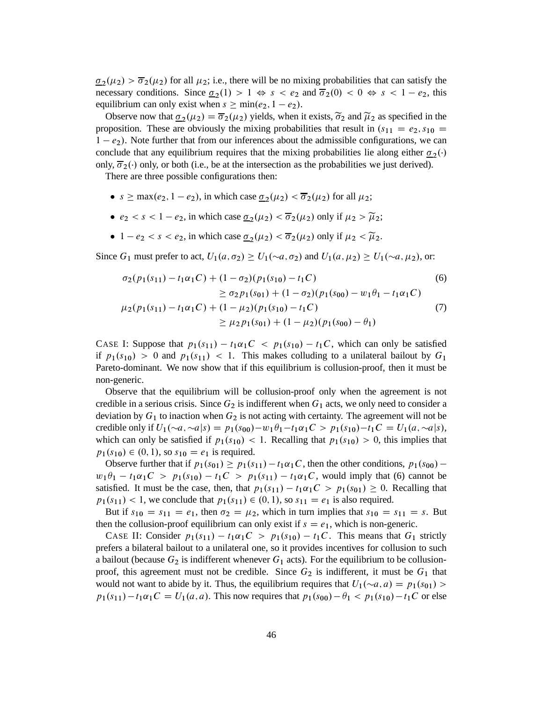$\sigma_2(\mu_2) > \overline{\sigma}_2(\mu_2)$  for all  $\mu_2$ ; i.e., there will be no mixing probabilities that can satisfy the necessary conditions. Since  $\underline{\sigma}_2(1) > 1 \Leftrightarrow s < e_2$  and  $\overline{\sigma}_2(0) < 0 \Leftrightarrow s < 1 - e_2$ , this equilibrium can only exist when  $s \ge \min(e_2, 1 - e_2)$ .

Observe now that  $\underline{\sigma}_2(\mu_2) = \overline{\sigma}_2(\mu_2)$  yields, when it exists,  $\widetilde{\sigma}_2$  and  $\widetilde{\mu}_2$  as specified in the proposition. These are obviously the mixing probabilities that result in  $(s_{11} = e_2, s_{10} =$  $1 - e_2$ ). Note further that from our inferences about the admissible configurations, we can conclude that any equilibrium requires that the mixing probabilities lie along either  $\sigma_2(\cdot)$ only,  $\overline{\sigma}_2(\cdot)$  only, or both (i.e., be at the intersection as the probabilities we just derived).

There are three possible configurations then:

- $s \ge \max(e_2, 1 e_2)$ , in which case  $\underline{\sigma}_2(\mu_2) < \overline{\sigma}_2(\mu_2)$  for all  $\mu_2$ ;
- $e_2 < s < 1 e_2$ , in which case  $\underline{\sigma}_2(\mu_2) < \overline{\sigma}_2(\mu_2)$  only if  $\mu_2 > \widetilde{\mu}_2$ ;
- $1 e_2 < s < e_2$ , in which case  $\underline{\sigma}_2(\mu_2) < \overline{\sigma}_2(\mu_2)$  only if  $\mu_2 < \widetilde{\mu}_2$ .

Since  $G_1$  must prefer to act,  $U_1(a, \sigma_2) \ge U_1(\sim a, \sigma_2)$  and  $U_1(a, \mu_2) \ge U_1(\sim a, \mu_2)$ , or:

$$
\sigma_2(p_1(s_{11}) - t_1\alpha_1C) + (1 - \sigma_2)(p_1(s_{10}) - t_1C)
$$
\n
$$
\geq \sigma_2 p_1(s_{01}) + (1 - \sigma_2)(p_1(s_{00}) - w_1\theta_1 - t_1\alpha_1C)
$$
\n
$$
\mu_2(p_1(s_{11}) - t_1\alpha_1C) + (1 - \mu_2)(p_1(s_{10}) - t_1C)
$$
\n
$$
\geq \mu_2 p_1(s_{01}) + (1 - \mu_2)(p_1(s_{00}) - \theta_1)
$$
\n(7)

CASE I: Suppose that  $p_1(s_{11}) - t_1\alpha_1C < p_1(s_{10}) - t_1C$ , which can only be satisfied if  $p_1(s_{10}) > 0$  and  $p_1(s_{11}) < 1$ . This makes colluding to a unilateral bailout by  $G_1$ Pareto-dominant. We now show that if this equilibrium is collusion-proof, then it must be non-generic.

Observe that the equilibrium will be collusion-proof only when the agreement is not credible in a serious crisis. Since  $G_2$  is indifferent when  $G_1$  acts, we only need to consider a deviation by  $G_1$  to inaction when  $G_2$  is not acting with certainty. The agreement will not be credible only if  $U_1(\sim a, \sim a|s) = p_1(s_{00}) - w_1\theta_1 - t_1\alpha_1C > p_1(s_{10}) - t_1C = U_1(a, \sim a|s),$ which can only be satisfied if  $p_1(s_{10}) < 1$ . Recalling that  $p_1(s_{10}) > 0$ , this implies that  $p_1(s_{10}) \in (0, 1)$ , so  $s_{10} = e_1$  is required.

Observe further that if  $p_1(s_{01}) \geq p_1(s_{11}) - t_1 \alpha_1 C$ , then the other conditions,  $p_1(s_{00})$  $w_1\theta_1 - t_1\alpha_1C > p_1(s_{10}) - t_1C > p_1(s_{11}) - t_1\alpha_1C$ , would imply that (6) cannot be satisfied. It must be the case, then, that  $p_1(s_{11}) - t_1 \alpha_1 C > p_1(s_{01}) \ge 0$ . Recalling that  $p_1(s_{11})$  < 1, we conclude that  $p_1(s_{11}) \in (0, 1)$ , so  $s_{11} = e_1$  is also required.

But if  $s_{10} = s_{11} = e_1$ , then  $\sigma_2 = \mu_2$ , which in turn implies that  $s_{10} = s_{11} = s$ . But then the collusion-proof equilibrium can only exist if  $s = e_1$ , which is non-generic.

CASE II: Consider  $p_1(s_{11}) - t_1\alpha_1C > p_1(s_{10}) - t_1C$ . This means that  $G_1$  strictly prefers a bilateral bailout to a unilateral one, so it provides incentives for collusion to such a bailout (because  $G_2$  is indifferent whenever  $G_1$  acts). For the equilibrium to be collusionproof, this agreement must not be credible. Since  $G_2$  is indifferent, it must be  $G_1$  that would not want to abide by it. Thus, the equilibrium requires that  $U_1(\sim a, a) = p_1(s_{01}) >$  $p_1(s_{11}) - t_1 \alpha_1 C = U_1(a, a)$ . This now requires that  $p_1(s_{00}) - \theta_1 < p_1(s_{10}) - t_1 C$  or else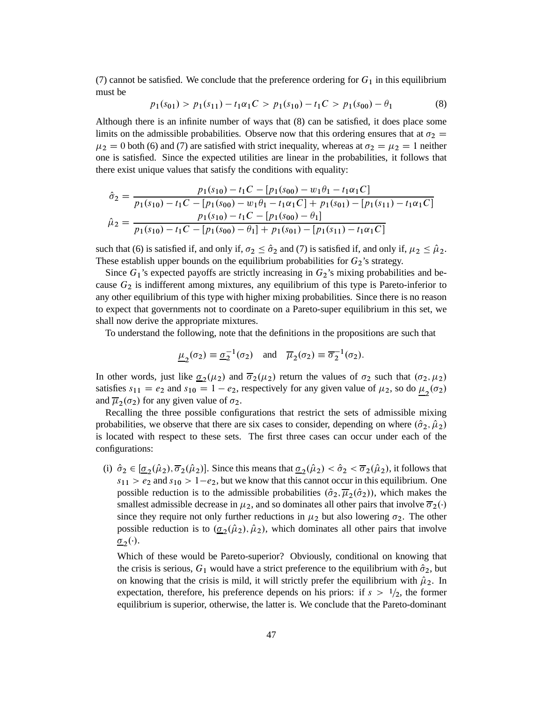(7) cannot be satisfied. We conclude that the preference ordering for  $G_1$  in this equilibrium must be

$$
p_1(s_{01}) > p_1(s_{11}) - t_1 \alpha_1 C > p_1(s_{10}) - t_1 C > p_1(s_{00}) - \theta_1
$$
\n(8)

Although there is an infinite number of ways that (8) can be satisfied, it does place some limits on the admissible probabilities. Observe now that this ordering ensures that at  $\sigma_2$  $\mu_2 = 0$  both (6) and (7) are satisfied with strict inequality, whereas at  $\sigma_2 = \mu_2 = 1$  neither one is satisfied. Since the expected utilities are linear in the probabilities, it follows that there exist unique values that satisfy the conditions with equality:

$$
\hat{\sigma}_2 = \frac{p_1(s_{10}) - t_1 C - [p_1(s_{00}) - w_1 \theta_1 - t_1 \alpha_1 C]}{p_1(s_{10}) - t_1 C - [p_1(s_{00}) - w_1 \theta_1 - t_1 \alpha_1 C] + p_1(s_{01}) - [p_1(s_{11}) - t_1 \alpha_1 C]}
$$

$$
\hat{\mu}_2 = \frac{p_1(s_{10}) - t_1 C - [p_1(s_{00}) - \theta_1]}{p_1(s_{10}) - t_1 C - [p_1(s_{00}) - \theta_1] + p_1(s_{01}) - [p_1(s_{11}) - t_1 \alpha_1 C]}
$$

such that (6) is satisfied if, and only if,  $\sigma_2 \leq \hat{\sigma}_2$  and (7) is satisfied if, and only if,  $\mu_2 \leq \hat{\mu}_2$ . These establish upper bounds on the equilibrium probabilities for  $G_2$ 's strategy.

Since  $G_1$ 's expected payoffs are strictly increasing in  $G_2$ 's mixing probabilities and because  $G_2$  is indifferent among mixtures, any equilibrium of this type is Pareto-inferior to any other equilibrium of this type with higher mixing probabilities. Since there is no reason to expect that governments not to coordinate on a Pareto-super equilibrium in this set, we shall now derive the appropriate mixtures.

To understand the following, note that the definitions in the propositions are such that

$$
\underline{\mu}_2(\sigma_2) \equiv \underline{\sigma}_2^{-1}(\sigma_2) \quad \text{and} \quad \overline{\mu}_2(\sigma_2) \equiv \overline{\sigma}_2^{-1}(\sigma_2).
$$

In other words, just like  $\sigma_2(\mu_2)$  and  $\overline{\sigma}_2(\mu_2)$  return the values of  $\sigma_2$  such that  $(\sigma_2, \mu_2)$ satisfies  $s_{11} = e_2$  and  $s_{10} = 1 - e_2$ , respectively for any given value of  $\mu_2$ , so do  $\underline{\mu}_2(\sigma_2)$ and  $\overline{\mu}_2(\sigma_2)$  for any given value of  $\sigma_2$ .

Recalling the three possible configurations that restrict the sets of admissible mixing probabilities, we observe that there are six cases to consider, depending on where  $(\hat{\sigma}_2, \hat{\mu}_2)$ is located with respect to these sets. The first three cases can occur under each of the configurations:

(i)  $\hat{\sigma}_2 \in [\underline{\sigma}_2(\hat{\mu}_2), \overline{\sigma}_2(\hat{\mu}_2)]$ . Since this means that  $\underline{\sigma}_2(\hat{\mu}_2) < \hat{\sigma}_2 < \overline{\sigma}_2(\hat{\mu}_2)$ , it follows that  $s_{11} > e_2$  and  $s_{10} > 1-e_2$ , but we know that this cannot occur in this equilibrium. One possible reduction is to the admissible probabilities  $(\hat{\sigma}_2, \overline{\mu}_2(\hat{\sigma}_2))$ , which makes the smallest admissible decrease in  $\mu_2$ , and so dominates all other pairs that involve  $\overline{\sigma}_2(\cdot)$ since they require not only further reductions in  $\mu_2$  but also lowering  $\sigma_2$ . The other possible reduction is to  $(\underline{\sigma}_2(\hat{\mu}_2), \hat{\mu}_2)$ , which dominates all other pairs that involve  $\underline{\sigma}_2(\cdot).$ 

Which of these would be Pareto-superior? Obviously, conditional on knowing that the crisis is serious,  $G_1$  would have a strict preference to the equilibrium with  $\hat{\sigma}_2$ , but on knowing that the crisis is mild, it will strictly prefer the equilibrium with  $\hat{\mu}_2$ . In expectation, therefore, his preference depends on his priors: if  $s > \frac{1}{2}$ , the former equilibrium is superior, otherwise, the latter is. We conclude that the Pareto-dominant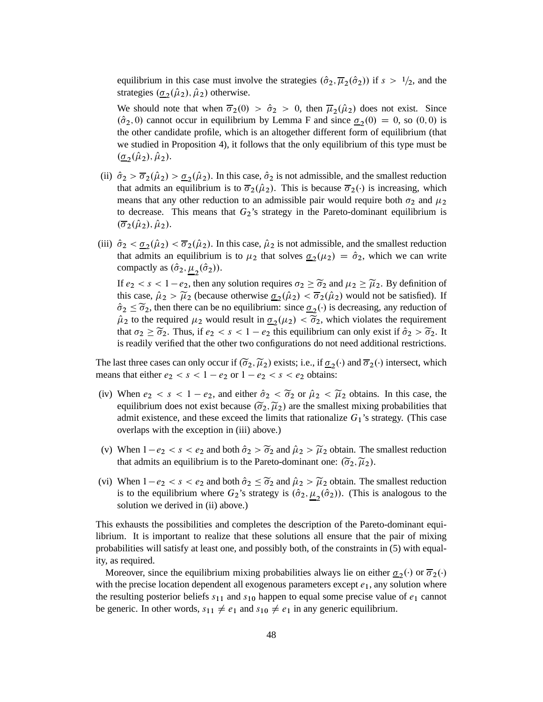equilibrium in this case must involve the strategies  $(\hat{\sigma}_2, \overline{\mu}_2(\hat{\sigma}_2))$  if  $s > 1/2$ , and the strategies  $(\underline{\sigma}_2(\hat{\mu}_2), \hat{\mu}_2)$  otherwise.

We should note that when  $\overline{\sigma}_2(0) > \hat{\sigma}_2 > 0$ , then  $\overline{\mu}_2(\hat{\mu}_2)$  does not exist. Since  $(\hat{\sigma}_2, 0)$  cannot occur in equilibrium by Lemma F and since  $\underline{\sigma}_2(0) = 0$ , so  $(0, 0)$  is the other candidate profile, which is an altogether different form of equilibrium (that we studied in Proposition 4), it follows that the only equilibrium of this type must be  $(\underline{\sigma}_2(\hat{\mu}_2), \hat{\mu}_2).$ 

- (ii)  $\hat{\sigma}_2 > \overline{\sigma}_2(\hat{\mu}_2) > \underline{\sigma}_2(\hat{\mu}_2)$ . In this case,  $\hat{\sigma}_2$  is not admissible, and the smallest reduction that admits an equilibrium is to  $\overline{\sigma}_2(\hat{\mu}_2)$ . This is because  $\overline{\sigma}_2(\cdot)$  is increasing, which means that any other reduction to an admissible pair would require both  $\sigma_2$  and  $\mu_2$ to decrease. This means that  $G_2$ 's strategy in the Pareto-dominant equilibrium is  $(\overline{\sigma}_2(\hat{\mu}_2), \hat{\mu}_2).$
- (iii)  $\hat{\sigma}_2 < \underline{\sigma}_2(\hat{\mu}_2) < \overline{\sigma}_2(\hat{\mu}_2)$ . In this case,  $\hat{\mu}_2$  is not admissible, and the smallest reduction that admits an equilibrium is to  $\mu_2$  that solves  $\underline{\sigma}_2(\mu_2) = \hat{\sigma}_2$ , which we can write compactly as  $(\hat{\sigma}_2, \underline{\mu}_2(\hat{\sigma}_2)).$

If  $e_2 < s < 1-e_2$ , then any solution requires  $\sigma_2 \geq \tilde{\sigma}_2$  and  $\mu_2 \geq \tilde{\mu}_2$ . By definition of this case,  $\hat{\mu}_2 > \tilde{\mu}_2$  (because otherwise  $\underline{\sigma}_2(\hat{\mu}_2) < \overline{\sigma}_2(\hat{\mu}_2)$  would not be satisfied). If  $\hat{\sigma}_2 \leq \tilde{\sigma}_2$ , then there can be no equilibrium: since  $\underline{\sigma}_2(\cdot)$  is decreasing, any reduction of  $\hat{\mu}_2$  to the required  $\mu_2$  would result in  $\underline{\sigma}_2(\mu_2) < \widetilde{\sigma}_2$ , which violates the requirement that  $\sigma_2 \geq \tilde{\sigma}_2$ . Thus, if  $e_2 < s < 1 - e_2$  this equilibrium can only exist if  $\hat{\sigma}_2 > \tilde{\sigma}_2$ . It is readily verified that the other two configurations do not need additional restrictions.

The last three cases can only occur if  $(\tilde{\sigma}_2, \tilde{\mu}_2)$  exists; i.e., if  $\underline{\sigma}_2(\cdot)$  and  $\overline{\sigma}_2(\cdot)$  intersect, which means that either  $e_2 < s < 1 - e_2$  or  $1 - e_2 < s < e_2$  obtains:

- (iv) When  $e_2 < s < 1 e_2$ , and either  $\hat{\sigma}_2 < \tilde{\sigma}_2$  or  $\hat{\mu}_2 < \tilde{\mu}_2$  obtains. In this case, the equilibrium does not exist because  $(\widetilde{\sigma}_2, \widetilde{\mu}_2)$  are the smallest mixing probabilities that admit existence, and these exceed the limits that rationalize  $G_1$ 's strategy. (This case overlaps with the exception in (iii) above.)
- (v) When  $1-e_2 < s < e_2$  and both  $\hat{\sigma}_2 > \tilde{\sigma}_2$  and  $\hat{\mu}_2 > \tilde{\mu}_2$  obtain. The smallest reduction that admits an equilibrium is to the Pareto-dominant one:  $(\widetilde{\sigma}_2, \widetilde{\mu}_2)$ .
- (vi) When  $1-e_2 < s < e_2$  and both  $\hat{\sigma}_2 \leq \tilde{\sigma}_2$  and  $\hat{\mu}_2 > \tilde{\mu}_2$  obtain. The smallest reduction is to the equilibrium where  $G_2$ 's strategy is  $(\hat{\sigma}_2, \underline{\mu}_2(\hat{\sigma}_2))$ . (This is analogous to the solution we derived in (ii) above.)

This exhausts the possibilities and completes the description of the Pareto-dominant equilibrium. It is important to realize that these solutions all ensure that the pair of mixing probabilities will satisfy at least one, and possibly both, of the constraints in (5) with equality, as required.

Moreover, since the equilibrium mixing probabilities always lie on either  $\sigma_2(\cdot)$  or  $\overline{\sigma}_2(\cdot)$ with the precise location dependent all exogenous parameters except  $e_1$ , any solution where the resulting posterior beliefs  $s_{11}$  and  $s_{10}$  happen to equal some precise value of  $e_1$  cannot be generic. In other words,  $s_{11} \neq e_1$  and  $s_{10} \neq e_1$  in any generic equilibrium.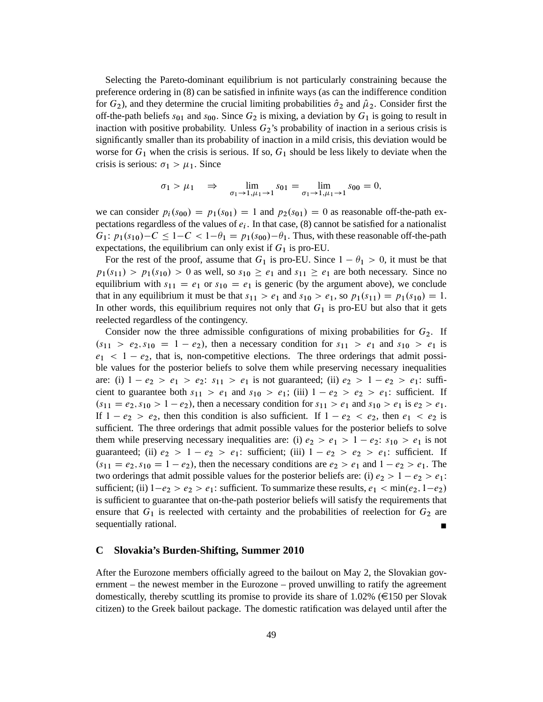Selecting the Pareto-dominant equilibrium is not particularly constraining because the preference ordering in (8) can be satisfied in infinite ways (as can the indifference condition for  $G_2$ ), and they determine the crucial limiting probabilities  $\hat{\sigma}_2$  and  $\hat{\mu}_2$ . Consider first the off-the-path beliefs  $s_{01}$  and  $s_{00}$ . Since  $G_2$  is mixing, a deviation by  $G_1$  is going to result in inaction with positive probability. Unless  $G_2$ 's probability of inaction in a serious crisis is significantly smaller than its probability of inaction in a mild crisis, this deviation would be worse for  $G_1$  when the crisis is serious. If so,  $G_1$  should be less likely to deviate when the crisis is serious:  $\sigma_1 > \mu_1$ . Since

$$
\sigma_1 > \mu_1 \implies \lim_{\sigma_1 \to 1, \mu_1 \to 1} s_{01} = \lim_{\sigma_1 \to 1, \mu_1 \to 1} s_{00} = 0,
$$

we can consider  $p_i(s_{00}) = p_1(s_{01}) = 1$  and  $p_2(s_{01}) = 0$  as reasonable off-the-path expectations regardless of the values of  $e_i$ . In that case, (8) cannot be satisfied for a nationalist  $G_1: p_1(s_{10})-C \leq 1-C < 1-\theta_1 = p_1(s_{00})-\theta_1$ . Thus, with these reasonable off-the-path expectations, the equilibrium can only exist if  $G_1$  is pro-EU.

For the rest of the proof, assume that  $G_1$  is pro-EU. Since  $1 - \theta_1 > 0$ , it must be that  $p_1(s_{11}) > p_1(s_{10}) > 0$  as well, so  $s_{10} \ge e_1$  and  $s_{11} \ge e_1$  are both necessary. Since no equilibrium with  $s_{11} = e_1$  or  $s_{10} = e_1$  is generic (by the argument above), we conclude that in any equilibrium it must be that  $s_{11} > e_1$  and  $s_{10} > e_1$ , so  $p_1(s_{11}) = p_1(s_{10}) = 1$ . In other words, this equilibrium requires not only that  $G_1$  is pro-EU but also that it gets reelected regardless of the contingency.

Consider now the three admissible configurations of mixing probabilities for  $G_2$ . If  $(s_{11} > e_2, s_{10} = 1 - e_2)$ , then a necessary condition for  $s_{11} > e_1$  and  $s_{10} > e_1$  is  $e_1 < 1 - e_2$ , that is, non-competitive elections. The three orderings that admit possible values for the posterior beliefs to solve them while preserving necessary inequalities are: (i)  $1 - e_2 > e_1 > e_2$ :  $s_{11} > e_1$  is not guaranteed; (ii)  $e_2 > 1 - e_2 > e_1$ : sufficient to guarantee both  $s_{11} > e_1$  and  $s_{10} > e_1$ ; (iii)  $1 - e_2 > e_2 > e_1$ : sufficient. If  $(s_{11} = e_2, s_{10} > 1 - e_2)$ , then a necessary condition for  $s_{11} > e_1$  and  $s_{10} > e_1$  is  $e_2 > e_1$ . If  $1 - e_2 > e_2$ , then this condition is also sufficient. If  $1 - e_2 < e_2$ , then  $e_1 < e_2$  is sufficient. The three orderings that admit possible values for the posterior beliefs to solve them while preserving necessary inequalities are: (i)  $e_2 > e_1 > 1 - e_2$ :  $s_{10} > e_1$  is not guaranteed; (ii)  $e_2 > 1 - e_2 > e_1$ : sufficient; (iii)  $1 - e_2 > e_2 > e_1$ : sufficient. If  $(s_{11} = e_2, s_{10} = 1 - e_2)$ , then the necessary conditions are  $e_2 > e_1$  and  $1 - e_2 > e_1$ . The two orderings that admit possible values for the posterior beliefs are: (i)  $e_2 > 1 - e_2 > e_1$ : sufficient; (ii)  $1-e_2 > e_2 > e_1$ : sufficient. To summarize these results,  $e_1 < min(e_2, 1-e_2)$ is sufficient to guarantee that on-the-path posterior beliefs will satisfy the requirements that ensure that  $G_1$  is reelected with certainty and the probabilities of reelection for  $G_2$  are sequentially rational.

## **C Slovakia's Burden-Shifting, Summer 2010**

After the Eurozone members officially agreed to the bailout on May 2, the Slovakian government – the newest member in the Eurozone – proved unwilling to ratify the agreement domestically, thereby scuttling its promise to provide its share of 1.02% ( $\epsilon$ 150 per Slovak citizen) to the Greek bailout package. The domestic ratification was delayed until after the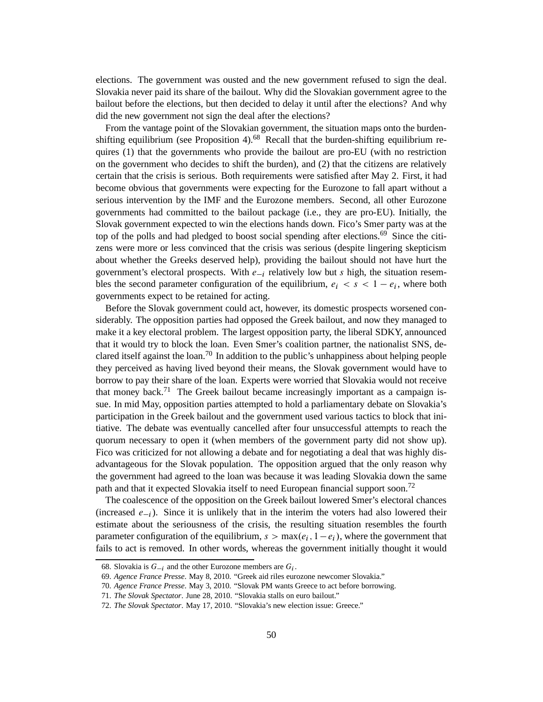elections. The government was ousted and the new government refused to sign the deal. Slovakia never paid its share of the bailout. Why did the Slovakian government agree to the bailout before the elections, but then decided to delay it until after the elections? And why did the new government not sign the deal after the elections?

From the vantage point of the Slovakian government, the situation maps onto the burdenshifting equilibrium (see Proposition 4).<sup>68</sup> Recall that the burden-shifting equilibrium requires (1) that the governments who provide the bailout are pro-EU (with no restriction on the government who decides to shift the burden), and (2) that the citizens are relatively certain that the crisis is serious. Both requirements were satisfied after May 2. First, it had become obvious that governments were expecting for the Eurozone to fall apart without a serious intervention by the IMF and the Eurozone members. Second, all other Eurozone governments had committed to the bailout package (i.e., they are pro-EU). Initially, the Slovak government expected to win the elections hands down. Fico's Smer party was at the top of the polls and had pledged to boost social spending after elections.<sup>69</sup> Since the citizens were more or less convinced that the crisis was serious (despite lingering skepticism about whether the Greeks deserved help), providing the bailout should not have hurt the government's electoral prospects. With  $e_{-i}$  relatively low but s high, the situation resembles the second parameter configuration of the equilibrium,  $e_i < s < 1 - e_i$ , where both governments expect to be retained for acting.

Before the Slovak government could act, however, its domestic prospects worsened considerably. The opposition parties had opposed the Greek bailout, and now they managed to make it a key electoral problem. The largest opposition party, the liberal SDKY, announced that it would try to block the loan. Even Smer's coalition partner, the nationalist SNS, declared itself against the loan.<sup>70</sup> In addition to the public's unhappiness about helping people they perceived as having lived beyond their means, the Slovak government would have to borrow to pay their share of the loan. Experts were worried that Slovakia would not receive that money back.<sup>71</sup> The Greek bailout became increasingly important as a campaign issue. In mid May, opposition parties attempted to hold a parliamentary debate on Slovakia's participation in the Greek bailout and the government used various tactics to block that initiative. The debate was eventually cancelled after four unsuccessful attempts to reach the quorum necessary to open it (when members of the government party did not show up). Fico was criticized for not allowing a debate and for negotiating a deal that was highly disadvantageous for the Slovak population. The opposition argued that the only reason why the government had agreed to the loan was because it was leading Slovakia down the same path and that it expected Slovakia itself to need European financial support soon.<sup>72</sup>

The coalescence of the opposition on the Greek bailout lowered Smer's electoral chances (increased  $e_{-i}$ ). Since it is unlikely that in the interim the voters had also lowered their estimate about the seriousness of the crisis, the resulting situation resembles the fourth parameter configuration of the equilibrium,  $s > \max(e_i, 1 - e_i)$ , where the government that fails to act is removed. In other words, whereas the government initially thought it would

<sup>68.</sup> Slovakia is  $G_{-i}$  and the other Eurozone members are  $G_i$ .

<sup>69.</sup> *Agence France Presse*. May 8, 2010. "Greek aid riles eurozone newcomer Slovakia."

<sup>70.</sup> *Agence France Presse*. May 3, 2010. "Slovak PM wants Greece to act before borrowing.

<sup>71.</sup> *The Slovak Spectator*. June 28, 2010. "Slovakia stalls on euro bailout."

<sup>72.</sup> *The Slovak Spectator*. May 17, 2010. "Slovakia's new election issue: Greece."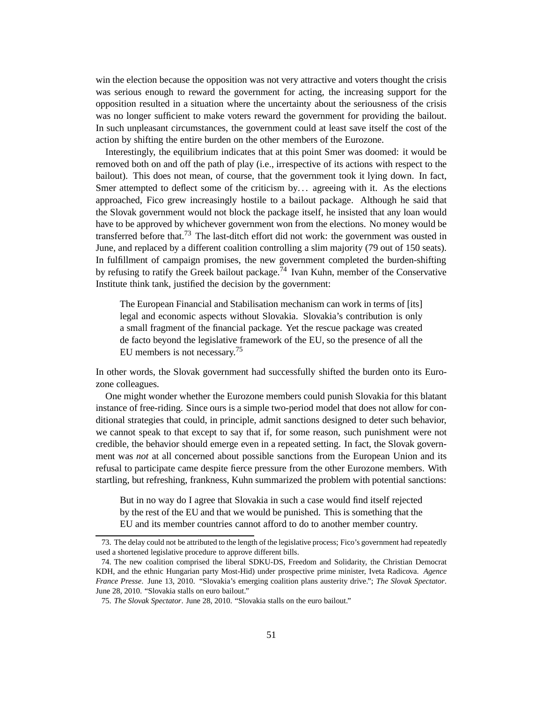win the election because the opposition was not very attractive and voters thought the crisis was serious enough to reward the government for acting, the increasing support for the opposition resulted in a situation where the uncertainty about the seriousness of the crisis was no longer sufficient to make voters reward the government for providing the bailout. In such unpleasant circumstances, the government could at least save itself the cost of the action by shifting the entire burden on the other members of the Eurozone.

Interestingly, the equilibrium indicates that at this point Smer was doomed: it would be removed both on and off the path of play (i.e., irrespective of its actions with respect to the bailout). This does not mean, of course, that the government took it lying down. In fact, Smer attempted to deflect some of the criticism by... agreeing with it. As the elections approached, Fico grew increasingly hostile to a bailout package. Although he said that the Slovak government would not block the package itself, he insisted that any loan would have to be approved by whichever government won from the elections. No money would be transferred before that.<sup>73</sup> The last-ditch effort did not work: the government was ousted in June, and replaced by a different coalition controlling a slim majority (79 out of 150 seats). In fulfillment of campaign promises, the new government completed the burden-shifting by refusing to ratify the Greek bailout package.<sup>74</sup> Ivan Kuhn, member of the Conservative Institute think tank, justified the decision by the government:

The European Financial and Stabilisation mechanism can work in terms of [its] legal and economic aspects without Slovakia. Slovakia's contribution is only a small fragment of the financial package. Yet the rescue package was created de facto beyond the legislative framework of the EU, so the presence of all the EU members is not necessary.<sup>75</sup>

In other words, the Slovak government had successfully shifted the burden onto its Eurozone colleagues.

One might wonder whether the Eurozone members could punish Slovakia for this blatant instance of free-riding. Since ours is a simple two-period model that does not allow for conditional strategies that could, in principle, admit sanctions designed to deter such behavior, we cannot speak to that except to say that if, for some reason, such punishment were not credible, the behavior should emerge even in a repeated setting. In fact, the Slovak government was *not* at all concerned about possible sanctions from the European Union and its refusal to participate came despite fierce pressure from the other Eurozone members. With startling, but refreshing, frankness, Kuhn summarized the problem with potential sanctions:

But in no way do I agree that Slovakia in such a case would find itself rejected by the rest of the EU and that we would be punished. This is something that the EU and its member countries cannot afford to do to another member country.

<sup>73.</sup> The delay could not be attributed to the length of the legislative process; Fico's government had repeatedly used a shortened legislative procedure to approve different bills.

<sup>74.</sup> The new coalition comprised the liberal SDKU-DS, Freedom and Solidarity, the Christian Democrat KDH, and the ethnic Hungarian party Most-Hid) under prospective prime minister, Iveta Radicova. *Agence France Presse*. June 13, 2010. "Slovakia's emerging coalition plans austerity drive."; *The Slovak Spectator*. June 28, 2010. "Slovakia stalls on euro bailout."

<sup>75.</sup> *The Slovak Spectator*. June 28, 2010. "Slovakia stalls on the euro bailout."